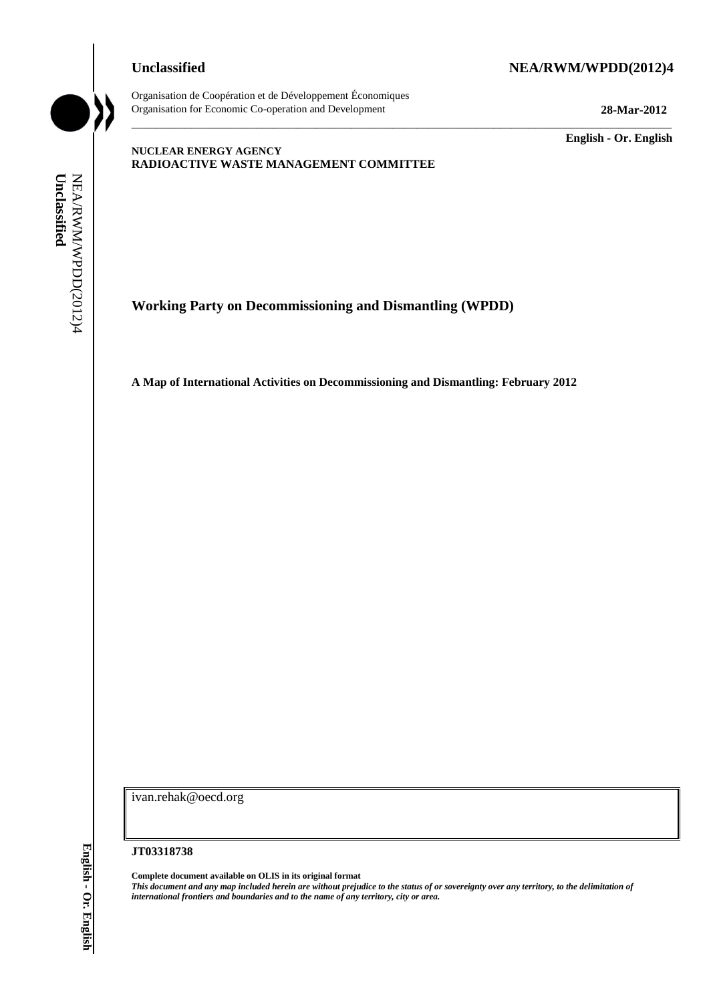## **Unclassified NEA/RWM/WPDD(2012)4**



Organisation de Coopération et de Développement Économiques Organisation for Economic Co-operation and Development **28-Mar-2012**

\_\_\_\_\_\_\_\_\_\_\_\_\_ **English - Or. English**

## **NUCLEAR ENERGY AGENCY RADIOACTIVE WASTE MANAGEMENT COMMITTEE**

**Working Party on Decommissioning and Dismantling (WPDD)**

**A Map of International Activities on Decommissioning and Dismantling: February 2012**

\_\_\_\_\_\_\_\_\_\_\_\_\_\_\_\_\_\_\_\_\_\_\_\_\_\_\_\_\_\_\_\_\_\_\_\_\_\_\_\_\_\_\_\_\_\_\_\_\_\_\_\_\_\_\_\_\_\_\_\_\_\_\_\_\_\_\_\_\_\_\_\_\_\_\_\_\_\_\_\_\_\_\_\_\_\_\_\_\_\_\_

ivan.rehak@oecd.org

#### **JT03318738**

**Complete document available on OLIS in its original format** *This document and any map included herein are without prejudice to the status of or sovereignty over any territory, to the delimitation of international frontiers and boundaries and to the name of any territory, city or area.* **Unclassified** NEA/RWM/WPDD(2012)4 **English - Or. English**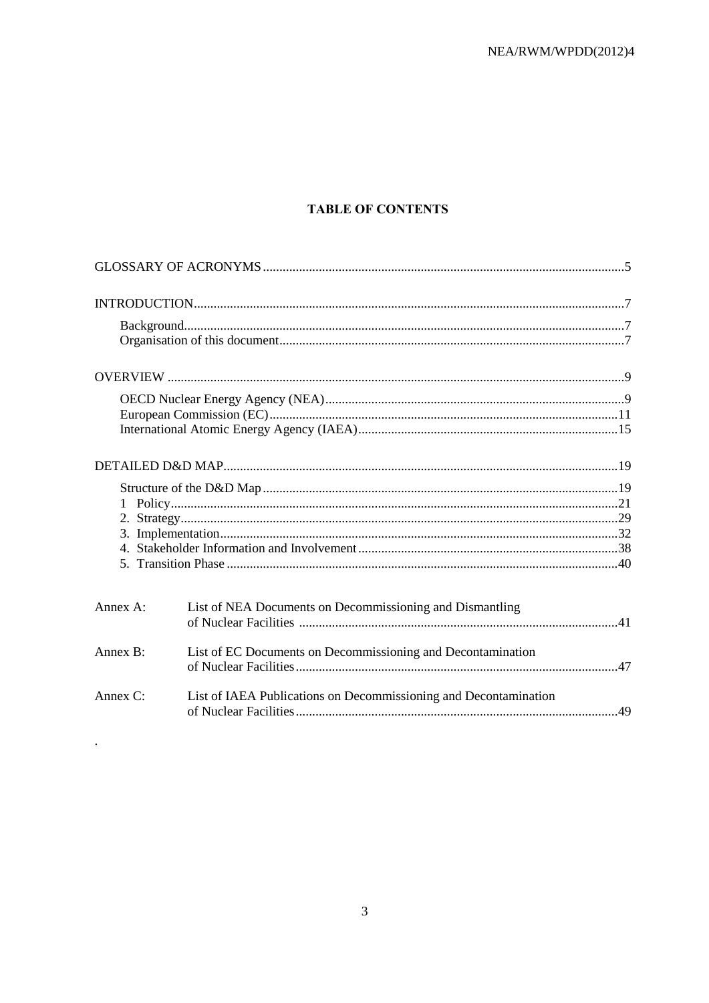# **TABLE OF CONTENTS**

| Annex A: | List of NEA Documents on Decommissioning and Dismantling         |  |  |
|----------|------------------------------------------------------------------|--|--|
| Annex B: | List of EC Documents on Decommissioning and Decontamination      |  |  |
| Annex C: | List of IAEA Publications on Decommissioning and Decontamination |  |  |

 $\sim 10^{10}$  km  $^{-1}$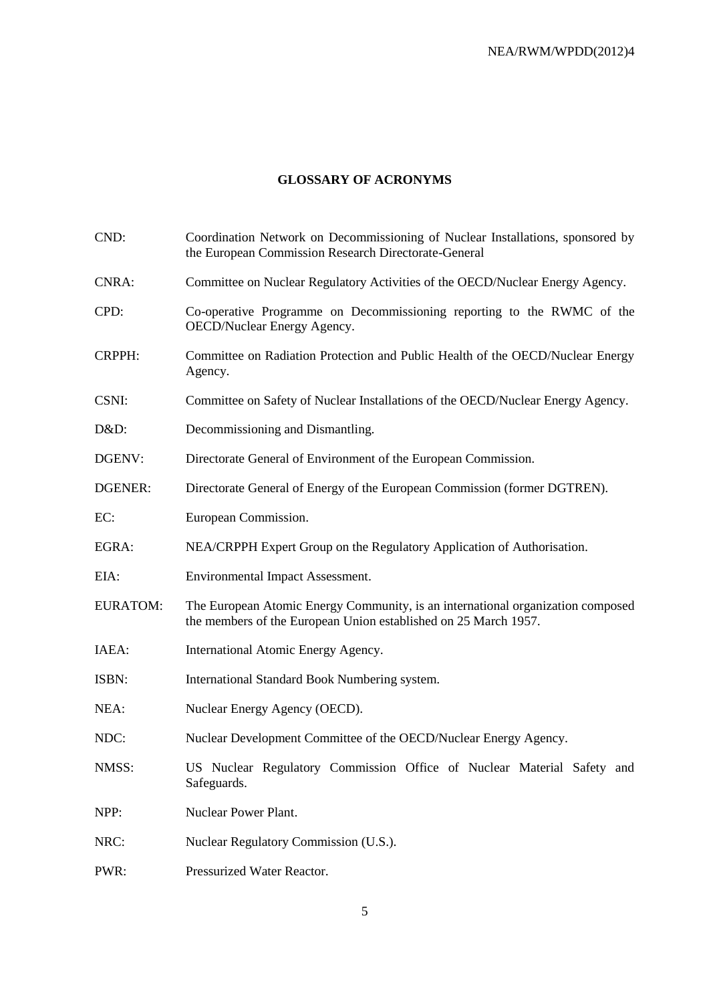# **GLOSSARY OF ACRONYMS**

| CND:            | Coordination Network on Decommissioning of Nuclear Installations, sponsored by<br>the European Commission Research Directorate-General             |
|-----------------|----------------------------------------------------------------------------------------------------------------------------------------------------|
| <b>CNRA:</b>    | Committee on Nuclear Regulatory Activities of the OECD/Nuclear Energy Agency.                                                                      |
| CPD:            | Co-operative Programme on Decommissioning reporting to the RWMC of the<br>OECD/Nuclear Energy Agency.                                              |
| <b>CRPPH:</b>   | Committee on Radiation Protection and Public Health of the OECD/Nuclear Energy<br>Agency.                                                          |
| CSNI:           | Committee on Safety of Nuclear Installations of the OECD/Nuclear Energy Agency.                                                                    |
| $D&D$ :         | Decommissioning and Dismantling.                                                                                                                   |
| DGENV:          | Directorate General of Environment of the European Commission.                                                                                     |
| <b>DGENER:</b>  | Directorate General of Energy of the European Commission (former DGTREN).                                                                          |
| EC:             | European Commission.                                                                                                                               |
| EGRA:           | NEA/CRPPH Expert Group on the Regulatory Application of Authorisation.                                                                             |
| EIA:            | Environmental Impact Assessment.                                                                                                                   |
| <b>EURATOM:</b> | The European Atomic Energy Community, is an international organization composed<br>the members of the European Union established on 25 March 1957. |
| IAEA:           | International Atomic Energy Agency.                                                                                                                |
| ISBN:           | International Standard Book Numbering system.                                                                                                      |
| NEA:            | Nuclear Energy Agency (OECD).                                                                                                                      |
| NDC:            | Nuclear Development Committee of the OECD/Nuclear Energy Agency.                                                                                   |
| NMSS:           | US Nuclear Regulatory Commission Office of Nuclear Material Safety and<br>Safeguards.                                                              |
| NPP:            | Nuclear Power Plant.                                                                                                                               |
| NRC:            | Nuclear Regulatory Commission (U.S.).                                                                                                              |
| PWR:            | Pressurized Water Reactor.                                                                                                                         |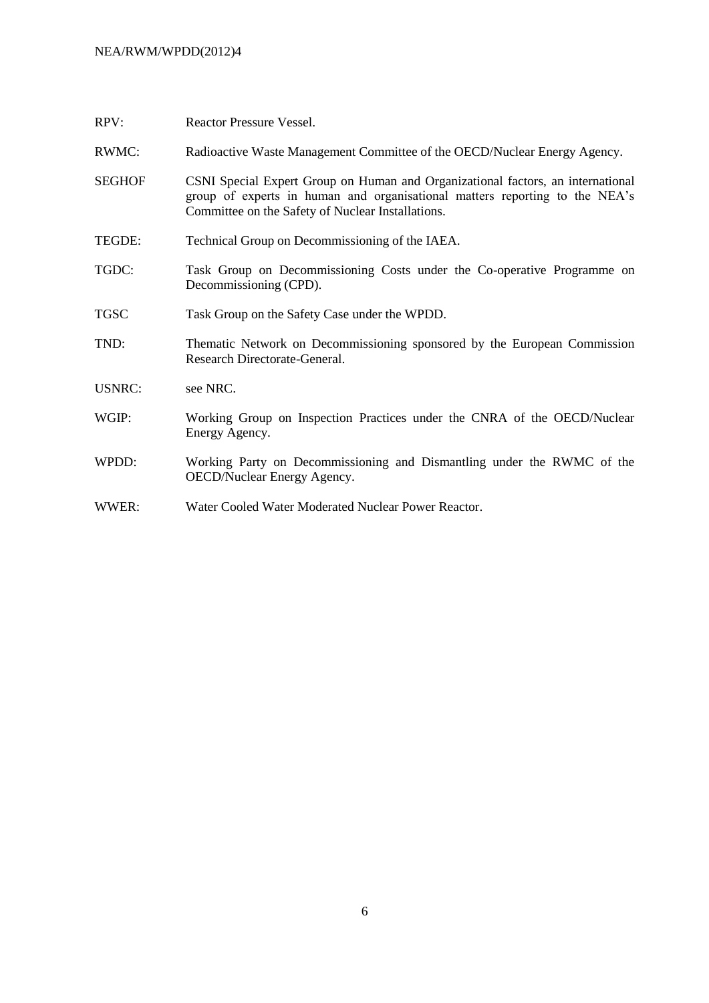| RPV:          | <b>Reactor Pressure Vessel.</b>                                                                                                                                                                                     |
|---------------|---------------------------------------------------------------------------------------------------------------------------------------------------------------------------------------------------------------------|
| <b>RWMC:</b>  | Radioactive Waste Management Committee of the OECD/Nuclear Energy Agency.                                                                                                                                           |
| <b>SEGHOF</b> | CSNI Special Expert Group on Human and Organizational factors, an international<br>group of experts in human and organisational matters reporting to the NEA's<br>Committee on the Safety of Nuclear Installations. |
| TEGDE:        | Technical Group on Decommissioning of the IAEA.                                                                                                                                                                     |
| TGDC:         | Task Group on Decommissioning Costs under the Co-operative Programme on<br>Decommissioning (CPD).                                                                                                                   |
| <b>TGSC</b>   | Task Group on the Safety Case under the WPDD.                                                                                                                                                                       |
| TND:          | Thematic Network on Decommissioning sponsored by the European Commission<br>Research Directorate-General.                                                                                                           |
| <b>USNRC:</b> | see NRC.                                                                                                                                                                                                            |
| WGIP:         | Working Group on Inspection Practices under the CNRA of the OECD/Nuclear<br>Energy Agency.                                                                                                                          |
| WPDD:         | Working Party on Decommissioning and Dismantling under the RWMC of the<br>OECD/Nuclear Energy Agency.                                                                                                               |
| WWER:         | Water Cooled Water Moderated Nuclear Power Reactor.                                                                                                                                                                 |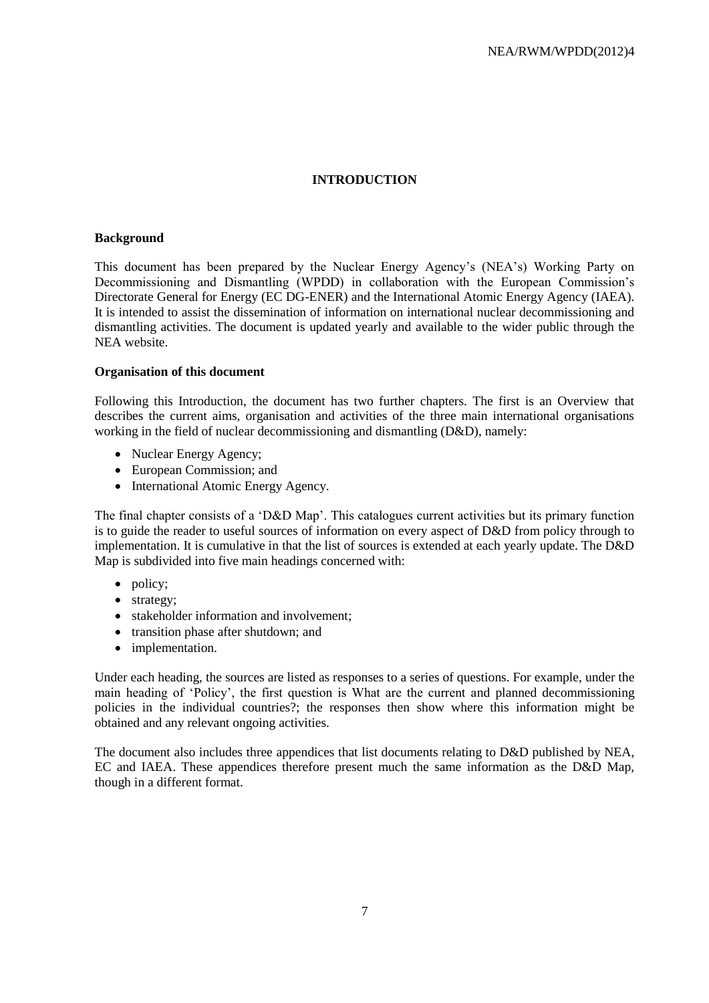## **INTRODUCTION**

#### **Background**

This document has been prepared by the Nuclear Energy Agency"s (NEA"s) Working Party on Decommissioning and Dismantling (WPDD) in collaboration with the European Commission's Directorate General for Energy (EC DG-ENER) and the International Atomic Energy Agency (IAEA). It is intended to assist the dissemination of information on international nuclear decommissioning and dismantling activities. The document is updated yearly and available to the wider public through the NEA website.

#### **Organisation of this document**

Following this Introduction, the document has two further chapters. The first is an Overview that describes the current aims, organisation and activities of the three main international organisations working in the field of nuclear decommissioning and dismantling (D&D), namely:

- Nuclear Energy Agency:
- European Commission; and
- International Atomic Energy Agency.

The final chapter consists of a 'D&D Map'. This catalogues current activities but its primary function is to guide the reader to useful sources of information on every aspect of D&D from policy through to implementation. It is cumulative in that the list of sources is extended at each yearly update. The D&D Map is subdivided into five main headings concerned with:

- policy;
- strategy;
- stakeholder information and involvement;
- transition phase after shutdown; and
- implementation.

Under each heading, the sources are listed as responses to a series of questions. For example, under the main heading of "Policy", the first question is What are the current and planned decommissioning policies in the individual countries?; the responses then show where this information might be obtained and any relevant ongoing activities.

The document also includes three appendices that list documents relating to D&D published by NEA, EC and IAEA. These appendices therefore present much the same information as the D&D Map, though in a different format.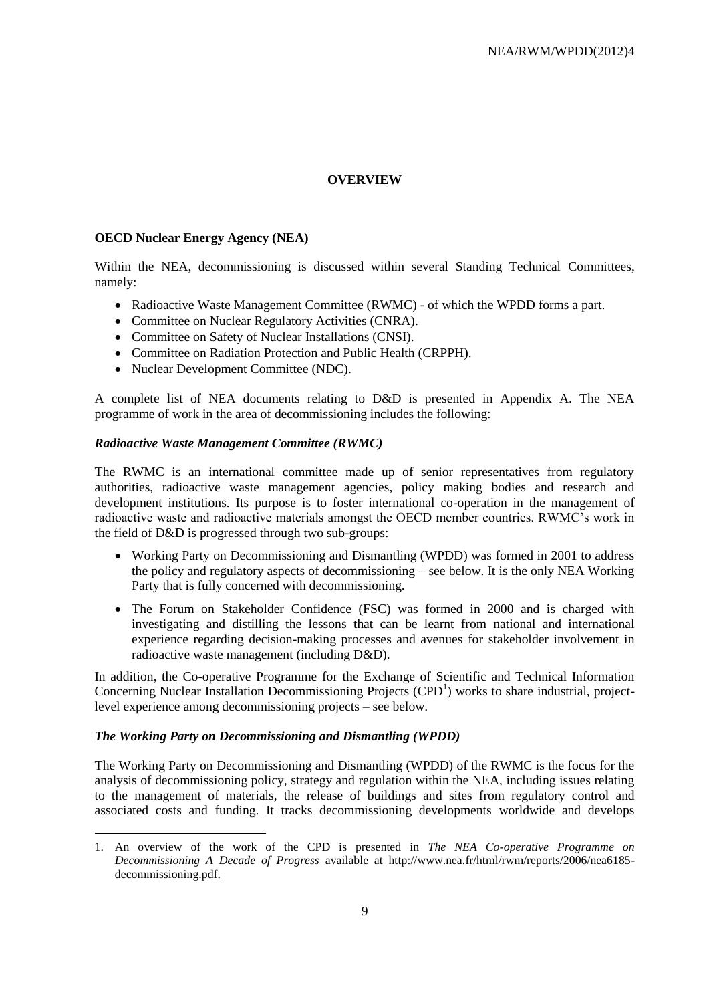## **OVERVIEW**

#### **OECD Nuclear Energy Agency (NEA)**

Within the NEA, decommissioning is discussed within several Standing Technical Committees, namely:

- Radioactive Waste Management Committee (RWMC) of which the WPDD forms a part.
- Committee on Nuclear Regulatory Activities (CNRA).
- Committee on Safety of Nuclear Installations (CNSI).
- Committee on Radiation Protection and Public Health (CRPPH).
- Nuclear Development Committee (NDC).

A complete list of NEA documents relating to D&D is presented in Appendix A. The NEA programme of work in the area of decommissioning includes the following:

### *Radioactive Waste Management Committee (RWMC)*

The RWMC is an international committee made up of senior representatives from regulatory authorities, radioactive waste management agencies, policy making bodies and research and development institutions. Its purpose is to foster international co-operation in the management of radioactive waste and radioactive materials amongst the OECD member countries. RWMC"s work in the field of D&D is progressed through two sub-groups:

- Working Party on Decommissioning and Dismantling (WPDD) was formed in 2001 to address the policy and regulatory aspects of decommissioning – see below. It is the only NEA Working Party that is fully concerned with decommissioning.
- The Forum on Stakeholder Confidence (FSC) was formed in 2000 and is charged with investigating and distilling the lessons that can be learnt from national and international experience regarding decision-making processes and avenues for stakeholder involvement in radioactive waste management (including D&D).

In addition, the Co-operative Programme for the Exchange of Scientific and Technical Information Concerning Nuclear Installation Decommissioning Projects (CPD<sup>1</sup>) works to share industrial, projectlevel experience among decommissioning projects – see below.

### *The Working Party on Decommissioning and Dismantling (WPDD)*

1

The Working Party on Decommissioning and Dismantling (WPDD) of the RWMC is the focus for the analysis of decommissioning policy, strategy and regulation within the NEA, including issues relating to the management of materials, the release of buildings and sites from regulatory control and associated costs and funding. It tracks decommissioning developments worldwide and develops

<sup>1.</sup> An overview of the work of the CPD is presented in *The NEA Co-operative Programme on Decommissioning A Decade of Progress* available at [http://www.nea.fr/html/rwm/reports/2006/nea6185](http://www.nea.fr/html/rwm/reports/2006/nea6185-decommissioning.pdf) [decommissioning.pdf.](http://www.nea.fr/html/rwm/reports/2006/nea6185-decommissioning.pdf)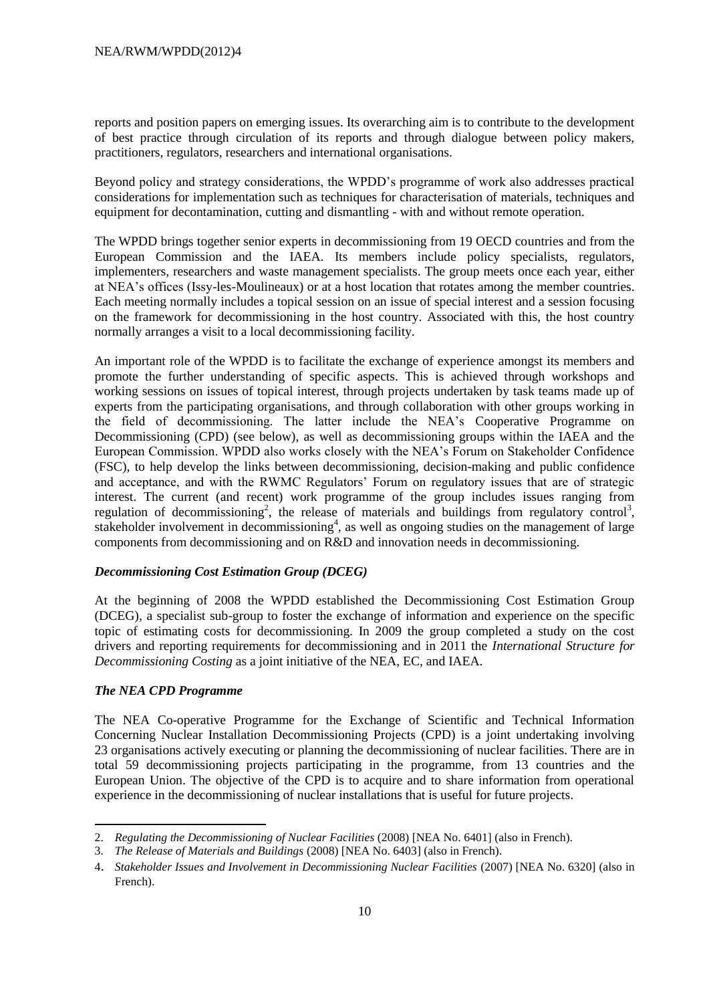reports and position papers on emerging issues. Its overarching aim is to contribute to the development of best practice through circulation of its reports and through dialogue between policy makers, practitioners, regulators, researchers and international organisations.

Beyond policy and strategy considerations, the WPDD"s programme of work also addresses practical considerations for implementation such as techniques for characterisation of materials, techniques and equipment for decontamination, cutting and dismantling - with and without remote operation.

The WPDD brings together senior experts in decommissioning from 19 OECD countries and from the European Commission and the IAEA. Its members include policy specialists, regulators, implementers, researchers and waste management specialists. The group meets once each year, either at NEA"s offices (Issy-les-Moulineaux) or at a host location that rotates among the member countries. Each meeting normally includes a topical session on an issue of special interest and a session focusing on the framework for decommissioning in the host country. Associated with this, the host country normally arranges a visit to a local decommissioning facility.

An important role of the WPDD is to facilitate the exchange of experience amongst its members and promote the further understanding of specific aspects. This is achieved through workshops and working sessions on issues of topical interest, through projects undertaken by task teams made up of experts from the participating organisations, and through collaboration with other groups working in the field of decommissioning. The latter include the NEA"s Cooperative Programme on Decommissioning (CPD) (see below), as well as decommissioning groups within the IAEA and the European Commission. WPDD also works closely with the NEA"s Forum on Stakeholder Confidence (FSC), to help develop the links between decommissioning, decision-making and public confidence and acceptance, and with the RWMC Regulators' Forum on regulatory issues that are of strategic interest. The current (and recent) work programme of the group includes issues ranging from regulation of decommissioning<sup>2</sup>, the release of materials and buildings from regulatory control<sup>3</sup>, stakeholder involvement in decommissioning<sup>4</sup>, as well as ongoing studies on the management of large components from decommissioning and on R&D and innovation needs in decommissioning.

### *Decommissioning Cost Estimation Group (DCEG)*

At the beginning of 2008 the WPDD established the Decommissioning Cost Estimation Group (DCEG), a specialist sub-group to foster the exchange of information and experience on the specific topic of estimating costs for decommissioning. In 2009 the group completed a study on the cost drivers and reporting requirements for decommissioning and in 2011 the *International Structure for Decommissioning Costing* as a joint initiative of the NEA, EC, and IAEA.

### *The NEA CPD Programme*

1

The NEA Co-operative Programme for the Exchange of Scientific and Technical Information Concerning Nuclear Installation Decommissioning Projects (CPD) is a joint undertaking involving 23 organisations actively executing or planning the decommissioning of nuclear facilities. There are in total 59 decommissioning projects participating in the programme, from 13 countries and the European Union. The objective of the CPD is to acquire and to share information from operational experience in the decommissioning of nuclear installations that is useful for future projects.

<sup>2.</sup> *Regulating the Decommissioning of Nuclear Facilities* (2008) [NEA No. 6401] (also in French).

<sup>3.</sup> *The Release of Materials and Buildings* (2008) [NEA No. 6403] (also in French).

<sup>4</sup>. *Stakeholder Issues and Involvement in Decommissioning Nuclear Facilities* (2007) [NEA No. 6320] (also in French).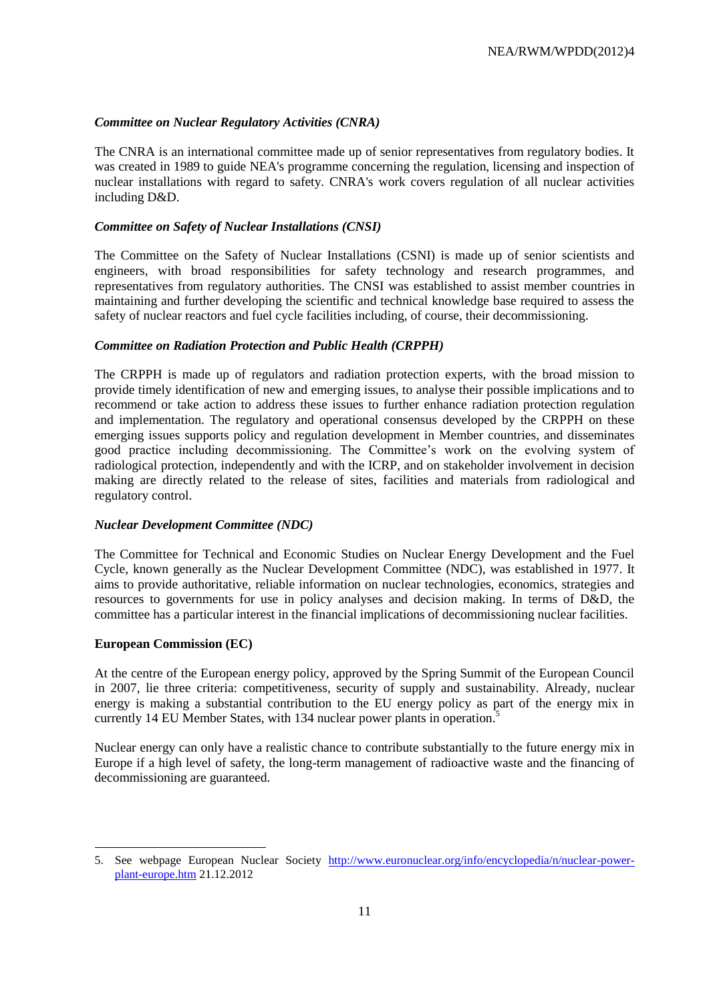#### *Committee on Nuclear Regulatory Activities (CNRA)*

The CNRA is an international committee made up of senior representatives from regulatory bodies. It was created in 1989 to guide NEA's programme concerning the regulation, licensing and inspection of nuclear installations with regard to safety. CNRA's work covers regulation of all nuclear activities including D&D.

#### *Committee on Safety of Nuclear Installations (CNSI)*

The Committee on the Safety of Nuclear Installations (CSNI) is made up of senior scientists and engineers, with broad responsibilities for safety technology and research programmes, and representatives from regulatory authorities. The CNSI was established to assist member countries in maintaining and further developing the scientific and technical knowledge base required to assess the safety of nuclear reactors and fuel cycle facilities including, of course, their decommissioning.

#### *Committee on Radiation Protection and Public Health (CRPPH)*

The CRPPH is made up of regulators and radiation protection experts, with the broad mission to provide timely identification of new and emerging issues, to analyse their possible implications and to recommend or take action to address these issues to further enhance radiation protection regulation and implementation. The regulatory and operational consensus developed by the CRPPH on these emerging issues supports policy and regulation development in Member countries, and disseminates good practice including decommissioning. The Committee"s work on the evolving system of radiological protection, independently and with the ICRP, and on stakeholder involvement in decision making are directly related to the release of sites, facilities and materials from radiological and regulatory control.

### *Nuclear Development Committee (NDC)*

The Committee for Technical and Economic Studies on Nuclear Energy Development and the Fuel Cycle, known generally as the Nuclear Development Committee (NDC), was established in 1977. It aims to provide authoritative, reliable information on nuclear technologies, economics, strategies and resources to governments for use in policy analyses and decision making. In terms of D&D, the committee has a particular interest in the financial implications of decommissioning nuclear facilities.

#### **European Commission (EC)**

-

At the centre of the European energy policy, approved by the Spring Summit of the European Council in 2007, lie three criteria: competitiveness, security of supply and sustainability. Already, nuclear energy is making a substantial contribution to the EU energy policy as part of the energy mix in currently 14 EU Member States, with 134 nuclear power plants in operation.<sup>5</sup>

Nuclear energy can only have a realistic chance to contribute substantially to the future energy mix in Europe if a high level of safety, the long-term management of radioactive waste and the financing of decommissioning are guaranteed.

<sup>5.</sup> See webpage European Nuclear Society [http://www.euronuclear.org/info/encyclopedia/n/nuclear-power](http://www.euronuclear.org/info/encyclopedia/n/nuclear-power-plant-europe.htm)[plant-europe.htm](http://www.euronuclear.org/info/encyclopedia/n/nuclear-power-plant-europe.htm) 21.12.2012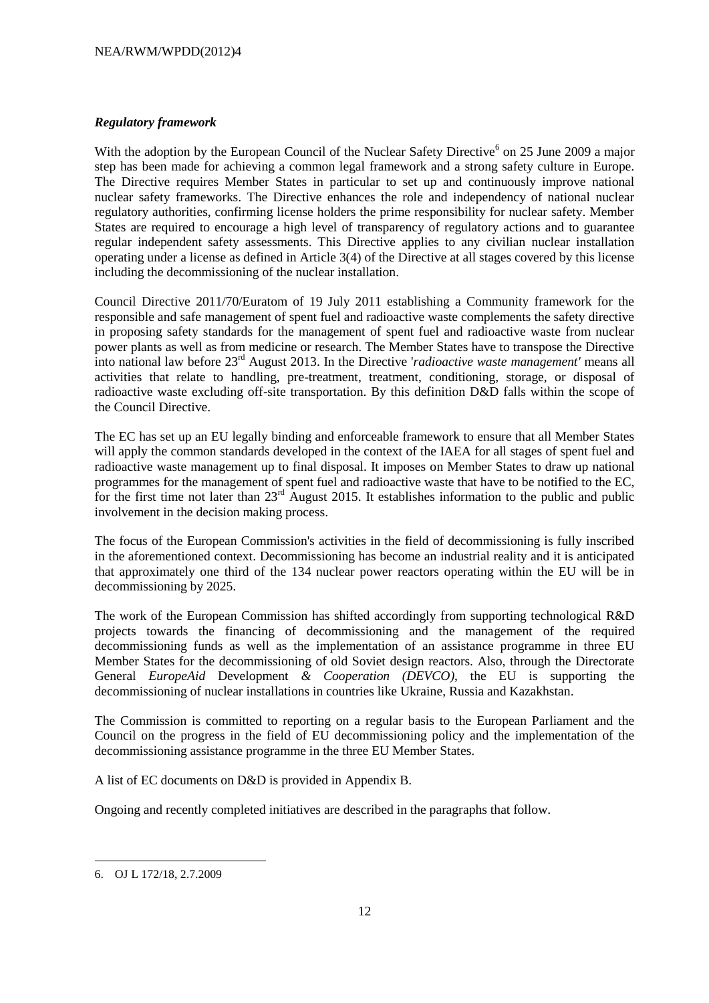## *Regulatory framework*

With the adoption by the European Council of the Nuclear Safety Directive<sup>6</sup> on 25 June 2009 a major step has been made for achieving a common legal framework and a strong safety culture in Europe. The Directive requires Member States in particular to set up and continuously improve national nuclear safety frameworks. The Directive enhances the role and independency of national nuclear regulatory authorities, confirming license holders the prime responsibility for nuclear safety. Member States are required to encourage a high level of transparency of regulatory actions and to guarantee regular independent safety assessments. This Directive applies to any civilian nuclear installation operating under a license as defined in Article 3(4) of the Directive at all stages covered by this license including the decommissioning of the nuclear installation.

Council Directive 2011/70/Euratom of 19 July 2011 establishing a Community framework for the responsible and safe management of spent fuel and radioactive waste complements the safety directive in proposing safety standards for the management of spent fuel and radioactive waste from nuclear power plants as well as from medicine or research. The Member States have to transpose the Directive into national law before 23rd August 2013. In the Directive '*radioactive waste management'* means all activities that relate to handling, pre-treatment, treatment, conditioning, storage, or disposal of radioactive waste excluding off-site transportation. By this definition D&D falls within the scope of the Council Directive.

The EC has set up an EU legally binding and enforceable framework to ensure that all Member States will apply the common standards developed in the context of the IAEA for all stages of spent fuel and radioactive waste management up to final disposal. It imposes on Member States to draw up national programmes for the management of spent fuel and radioactive waste that have to be notified to the EC, for the first time not later than  $23<sup>rd</sup>$  August 2015. It establishes information to the public and public involvement in the decision making process.

The focus of the European Commission's activities in the field of decommissioning is fully inscribed in the aforementioned context. Decommissioning has become an industrial reality and it is anticipated that approximately one third of the 134 nuclear power reactors operating within the EU will be in decommissioning by 2025.

The work of the European Commission has shifted accordingly from supporting technological R&D projects towards the financing of decommissioning and the management of the required decommissioning funds as well as the implementation of an assistance programme in three EU Member States for the decommissioning of old Soviet design reactors. Also, through the Directorate General *EuropeAid* Development *& Cooperation (DEVCO)*, the EU is supporting the decommissioning of nuclear installations in countries like Ukraine, Russia and Kazakhstan.

The Commission is committed to reporting on a regular basis to the European Parliament and the Council on the progress in the field of EU decommissioning policy and the implementation of the decommissioning assistance programme in the three EU Member States.

A list of EC documents on D&D is provided in Appendix B.

Ongoing and recently completed initiatives are described in the paragraphs that follow.

1

<sup>6.</sup> OJ L 172/18, 2.7.2009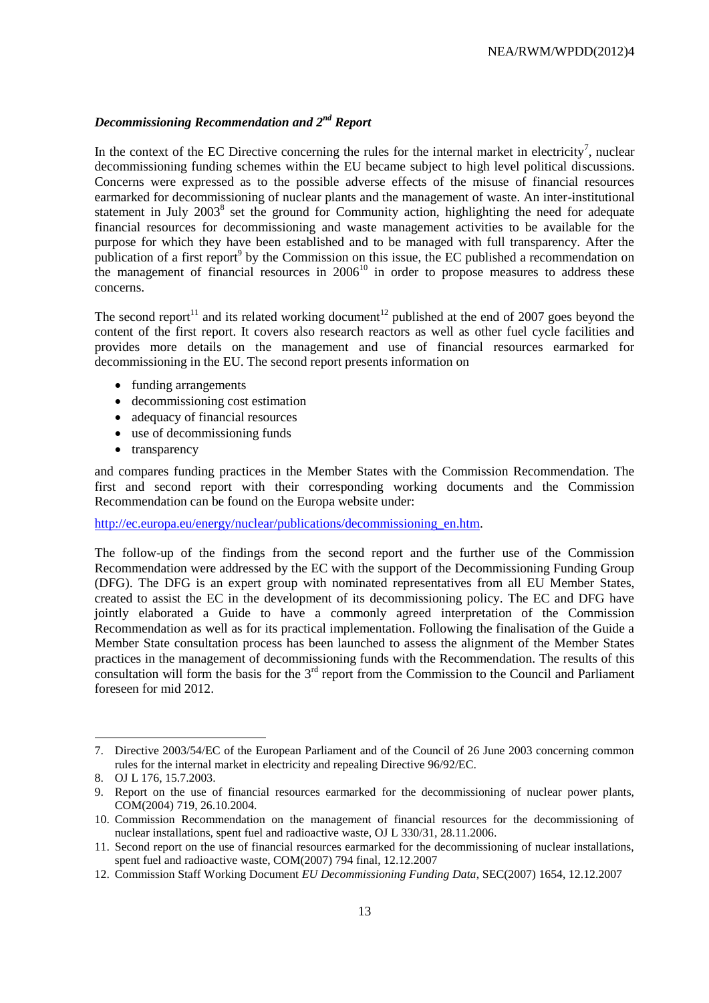#### *Decommissioning Recommendation and 2nd Report*

In the context of the EC Directive concerning the rules for the internal market in electricity<sup>7</sup>, nuclear decommissioning funding schemes within the EU became subject to high level political discussions. Concerns were expressed as to the possible adverse effects of the misuse of financial resources earmarked for decommissioning of nuclear plants and the management of waste. An inter-institutional statement in July 2003<sup>8</sup> set the ground for Community action, highlighting the need for adequate financial resources for decommissioning and waste management activities to be available for the purpose for which they have been established and to be managed with full transparency. After the publication of a first report<sup>9</sup> by the Commission on this issue, the EC published a recommendation on the management of financial resources in  $2006<sup>10</sup>$  in order to propose measures to address these concerns.

The second report<sup>11</sup> and its related working document<sup>12</sup> published at the end of 2007 goes beyond the content of the first report. It covers also research reactors as well as other fuel cycle facilities and provides more details on the management and use of financial resources earmarked for decommissioning in the EU. The second report presents information on

- funding arrangements
- decommissioning cost estimation
- adequacy of financial resources
- use of decommissioning funds
- transparency

and compares funding practices in the Member States with the Commission Recommendation. The first and second report with their corresponding working documents and the Commission Recommendation can be found on the Europa website under:

[http://ec.europa.eu/energy/nuclear/publications/decommissioning\\_en.htm.](http://ec.europa.eu/energy/nuclear/publications/decommissioning_en.htm)

The follow-up of the findings from the second report and the further use of the Commission Recommendation were addressed by the EC with the support of the Decommissioning Funding Group (DFG). The DFG is an expert group with nominated representatives from all EU Member States, created to assist the EC in the development of its decommissioning policy. The EC and DFG have jointly elaborated a Guide to have a commonly agreed interpretation of the Commission Recommendation as well as for its practical implementation. Following the finalisation of the Guide a Member State consultation process has been launched to assess the alignment of the Member States practices in the management of decommissioning funds with the Recommendation. The results of this consultation will form the basis for the  $3<sup>rd</sup>$  report from the Commission to the Council and Parliament foreseen for mid 2012.

1

<sup>7.</sup> Directive 2003/54/EC of the European Parliament and of the Council of 26 June 2003 concerning common rules for the internal market in electricity and repealing Directive 96/92/EC.

<sup>8.</sup> OJ L 176, 15.7.2003.

<sup>9.</sup> Report on the use of financial resources earmarked for the decommissioning of nuclear power plants, COM(2004) 719, 26.10.2004.

<sup>10.</sup> Commission Recommendation on the management of financial resources for the decommissioning of nuclear installations, spent fuel and radioactive waste, OJ L 330/31, 28.11.2006.

<sup>11.</sup> Second report on the use of financial resources earmarked for the decommissioning of nuclear installations, spent fuel and radioactive waste, COM(2007) 794 final, 12.12.2007

<sup>12.</sup> Commission Staff Working Document *EU Decommissioning Funding Data*, SEC(2007) 1654, 12.12.2007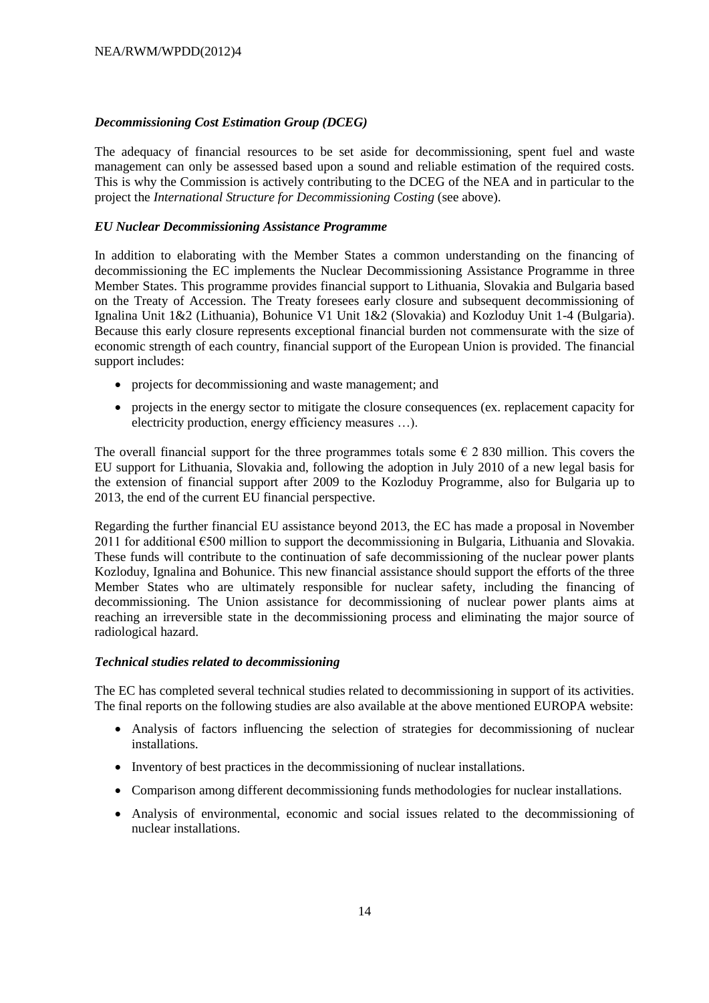## *Decommissioning Cost Estimation Group (DCEG)*

The adequacy of financial resources to be set aside for decommissioning, spent fuel and waste management can only be assessed based upon a sound and reliable estimation of the required costs. This is why the Commission is actively contributing to the DCEG of the NEA and in particular to the project the *International Structure for Decommissioning Costing* (see above).

### *EU Nuclear Decommissioning Assistance Programme*

In addition to elaborating with the Member States a common understanding on the financing of decommissioning the EC implements the Nuclear Decommissioning Assistance Programme in three Member States. This programme provides financial support to Lithuania, Slovakia and Bulgaria based on the Treaty of Accession. The Treaty foresees early closure and subsequent decommissioning of Ignalina Unit 1&2 (Lithuania), Bohunice V1 Unit 1&2 (Slovakia) and Kozloduy Unit 1-4 (Bulgaria). Because this early closure represents exceptional financial burden not commensurate with the size of economic strength of each country, financial support of the European Union is provided. The financial support includes:

- projects for decommissioning and waste management; and
- projects in the energy sector to mitigate the closure consequences (ex. replacement capacity for electricity production, energy efficiency measures …).

The overall financial support for the three programmes totals some  $\epsilon$  2 830 million. This covers the EU support for Lithuania, Slovakia and, following the adoption in July 2010 of a new legal basis for the extension of financial support after 2009 to the Kozloduy Programme, also for Bulgaria up to 2013, the end of the current EU financial perspective.

Regarding the further financial EU assistance beyond 2013, the EC has made a proposal in November 2011 for additional €500 million to support the decommissioning in Bulgaria, Lithuania and Slovakia. These funds will contribute to the continuation of safe decommissioning of the nuclear power plants Kozloduy, Ignalina and Bohunice. This new financial assistance should support the efforts of the three Member States who are ultimately responsible for nuclear safety, including the financing of decommissioning. The Union assistance for decommissioning of nuclear power plants aims at reaching an irreversible state in the decommissioning process and eliminating the major source of radiological hazard.

### *Technical studies related to decommissioning*

The EC has completed several technical studies related to decommissioning in support of its activities. The final reports on the following studies are also available at the above mentioned EUROPA website:

- Analysis of factors influencing the selection of strategies for decommissioning of nuclear installations.
- Inventory of best practices in the decommissioning of nuclear installations.
- Comparison among different decommissioning funds methodologies for nuclear installations.
- Analysis of environmental, economic and social issues related to the decommissioning of nuclear installations.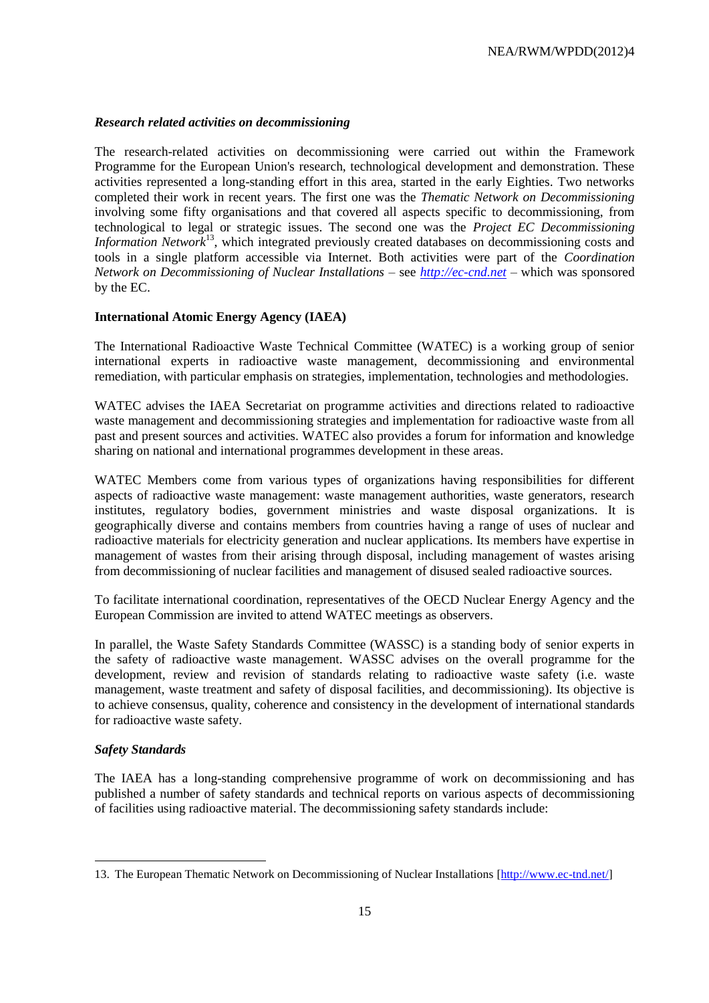#### *Research related activities on decommissioning*

The research-related activities on decommissioning were carried out within the Framework Programme for the European Union's research, technological development and demonstration. These activities represented a long-standing effort in this area, started in the early Eighties. Two networks completed their work in recent years. The first one was the *Thematic Network on Decommissioning* involving some fifty organisations and that covered all aspects specific to decommissioning, from technological to legal or strategic issues. The second one was the *Project EC Decommissioning Information Network*<sup>13</sup>, which integrated previously created databases on decommissioning costs and tools in a single platform accessible via Internet. Both activities were part of the *Coordination Network on Decommissioning of Nuclear Installations* – see *[http://ec-cnd.net](http://ec-cnd.net/)* – which was sponsored by the EC.

#### **International Atomic Energy Agency (IAEA)**

The International Radioactive Waste Technical Committee (WATEC) is a working group of senior international experts in radioactive waste management, decommissioning and environmental remediation, with particular emphasis on strategies, implementation, technologies and methodologies.

WATEC advises the IAEA Secretariat on programme activities and directions related to radioactive waste management and decommissioning strategies and implementation for radioactive waste from all past and present sources and activities. WATEC also provides a forum for information and knowledge sharing on national and international programmes development in these areas.

WATEC Members come from various types of organizations having responsibilities for different aspects of radioactive waste management: waste management authorities, waste generators, research institutes, regulatory bodies, government ministries and waste disposal organizations. It is geographically diverse and contains members from countries having a range of uses of nuclear and radioactive materials for electricity generation and nuclear applications. Its members have expertise in management of wastes from their arising through disposal, including management of wastes arising from decommissioning of nuclear facilities and management of disused sealed radioactive sources.

To facilitate international coordination, representatives of the OECD Nuclear Energy Agency and the European Commission are invited to attend WATEC meetings as observers.

In parallel, the Waste Safety Standards Committee (WASSC) is a standing body of senior experts in the safety of radioactive waste management. WASSC advises on the overall programme for the development, review and revision of standards relating to radioactive waste safety (i.e. waste management, waste treatment and safety of disposal facilities, and decommissioning). Its objective is to achieve consensus, quality, coherence and consistency in the development of international standards for radioactive waste safety.

#### *Safety Standards*

1

The IAEA has a long-standing comprehensive programme of work on decommissioning and has published a number of safety standards and technical reports on various aspects of decommissioning of facilities using radioactive material. The decommissioning safety standards include:

<sup>13.</sup> The European Thematic Network on Decommissioning of Nuclear Installations [\[http://www.ec-tnd.net/\]](http://www.ec-tnd.net/)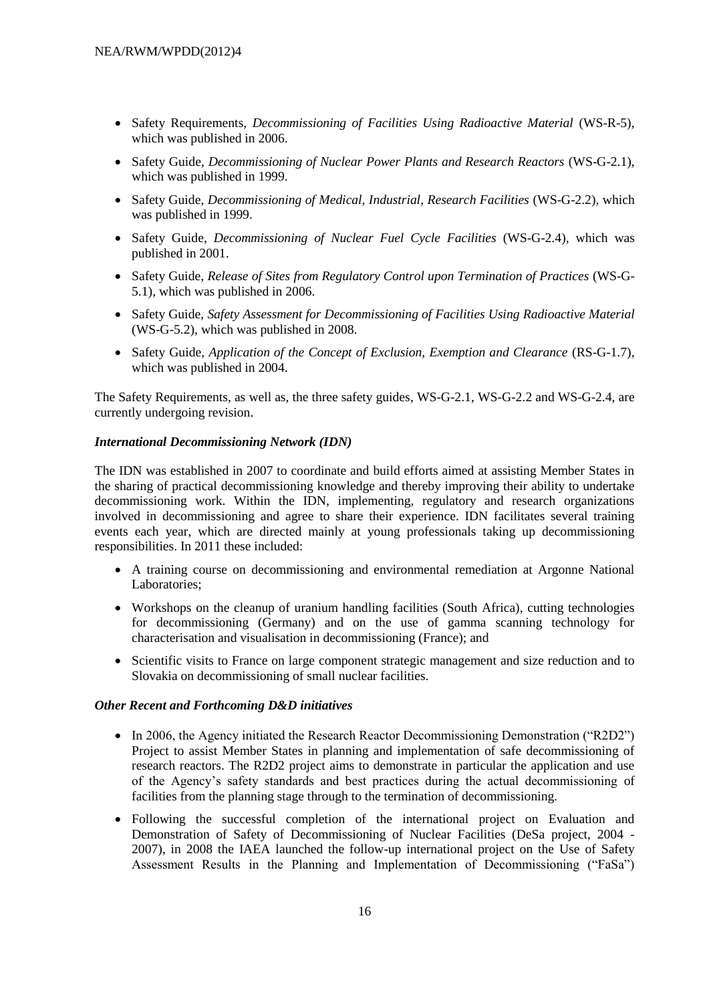- Safety Requirements, *Decommissioning of Facilities Using Radioactive Material* (WS-R-5), which was published in 2006.
- Safety Guide, *Decommissioning of Nuclear Power Plants and Research Reactors* (WS-G-2.1), which was published in 1999.
- Safety Guide, *Decommissioning of Medical, Industrial, Research Facilities* (WS-G-2.2), which was published in 1999.
- Safety Guide, *Decommissioning of Nuclear Fuel Cycle Facilities* (WS-G-2.4), which was published in 2001.
- Safety Guide, *Release of Sites from Regulatory Control upon Termination of Practices* (WS-G-5.1), which was published in 2006.
- Safety Guide, *Safety Assessment for Decommissioning of Facilities Using Radioactive Material*  (WS-G-5.2), which was published in 2008.
- Safety Guide, *Application of the Concept of Exclusion, Exemption and Clearance* (RS-G-1.7), which was published in 2004.

The Safety Requirements, as well as, the three safety guides, WS-G-2.1, WS-G-2.2 and WS-G-2.4, are currently undergoing revision.

## *International Decommissioning Network (IDN)*

The IDN was established in 2007 to coordinate and build efforts aimed at assisting Member States in the sharing of practical decommissioning knowledge and thereby improving their ability to undertake decommissioning work. Within the IDN, implementing, regulatory and research organizations involved in decommissioning and agree to share their experience. IDN facilitates several training events each year, which are directed mainly at young professionals taking up decommissioning responsibilities. In 2011 these included:

- A training course on decommissioning and environmental remediation at Argonne National Laboratories;
- Workshops on the cleanup of uranium handling facilities (South Africa), cutting technologies for decommissioning (Germany) and on the use of gamma scanning technology for characterisation and visualisation in decommissioning (France); and
- Scientific visits to France on large component strategic management and size reduction and to Slovakia on decommissioning of small nuclear facilities.

### *Other Recent and Forthcoming D&D initiatives*

- In 2006, the Agency initiated the Research Reactor Decommissioning Demonstration ("R2D2") Project to assist Member States in planning and implementation of safe decommissioning of research reactors. The R2D2 project aims to demonstrate in particular the application and use of the Agency"s safety standards and best practices during the actual decommissioning of facilities from the planning stage through to the termination of decommissioning.
- Following the successful completion of the international project on Evaluation and Demonstration of Safety of Decommissioning of Nuclear Facilities (DeSa project, 2004 - 2007), in 2008 the IAEA launched the follow-up international project on the Use of Safety Assessment Results in the Planning and Implementation of Decommissioning ("FaSa")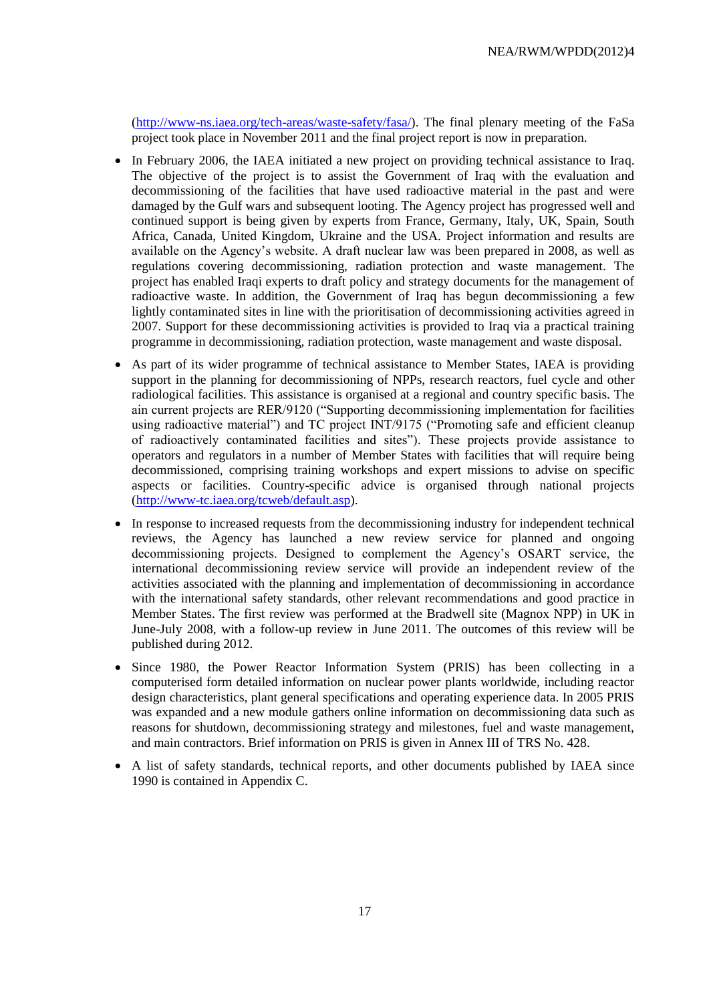[\(http://www-ns.iaea.org/tech-areas/waste-safety/fasa/\)](http://www-ns.iaea.org/tech-areas/waste-safety/fasa/). The final plenary meeting of the FaSa project took place in November 2011 and the final project report is now in preparation.

- In February 2006, the IAEA initiated a new project on providing technical assistance to Iraq. The objective of the project is to assist the Government of Iraq with the evaluation and decommissioning of the facilities that have used radioactive material in the past and were damaged by the Gulf wars and subsequent looting. The Agency project has progressed well and continued support is being given by experts from France, Germany, Italy, UK, Spain, South Africa, Canada, United Kingdom, Ukraine and the USA. Project information and results are available on the Agency"s website. A draft nuclear law was been prepared in 2008, as well as regulations covering decommissioning, radiation protection and waste management. The project has enabled Iraqi experts to draft policy and strategy documents for the management of radioactive waste. In addition, the Government of Iraq has begun decommissioning a few lightly contaminated sites in line with the prioritisation of decommissioning activities agreed in 2007. Support for these decommissioning activities is provided to Iraq via a practical training programme in decommissioning, radiation protection, waste management and waste disposal.
- As part of its wider programme of technical assistance to Member States, IAEA is providing support in the planning for decommissioning of NPPs, research reactors, fuel cycle and other radiological facilities. This assistance is organised at a regional and country specific basis. The ain current projects are RER/9120 ("Supporting decommissioning implementation for facilities using radioactive material") and TC project INT/9175 ("Promoting safe and efficient cleanup of radioactively contaminated facilities and sites"). These projects provide assistance to operators and regulators in a number of Member States with facilities that will require being decommissioned, comprising training workshops and expert missions to advise on specific aspects or facilities. Country-specific advice is organised through national projects [\(http://www-tc.iaea.org/tcweb/default.asp\)](http://www-tc.iaea.org/tcweb/default.asp).
- In response to increased requests from the decommissioning industry for independent technical reviews, the Agency has launched a new review service for planned and ongoing decommissioning projects. Designed to complement the Agency"s OSART service, the international decommissioning review service will provide an independent review of the activities associated with the planning and implementation of decommissioning in accordance with the international safety standards, other relevant recommendations and good practice in Member States. The first review was performed at the Bradwell site (Magnox NPP) in UK in June-July 2008, with a follow-up review in June 2011. The outcomes of this review will be published during 2012.
- Since 1980, the Power Reactor Information System (PRIS) has been collecting in a computerised form detailed information on nuclear power plants worldwide, including reactor design characteristics, plant general specifications and operating experience data. In 2005 PRIS was expanded and a new module gathers online information on decommissioning data such as reasons for shutdown, decommissioning strategy and milestones, fuel and waste management, and main contractors. Brief information on PRIS is given in Annex III of TRS No. 428.
- A list of safety standards, technical reports, and other documents published by IAEA since 1990 is contained in Appendix C.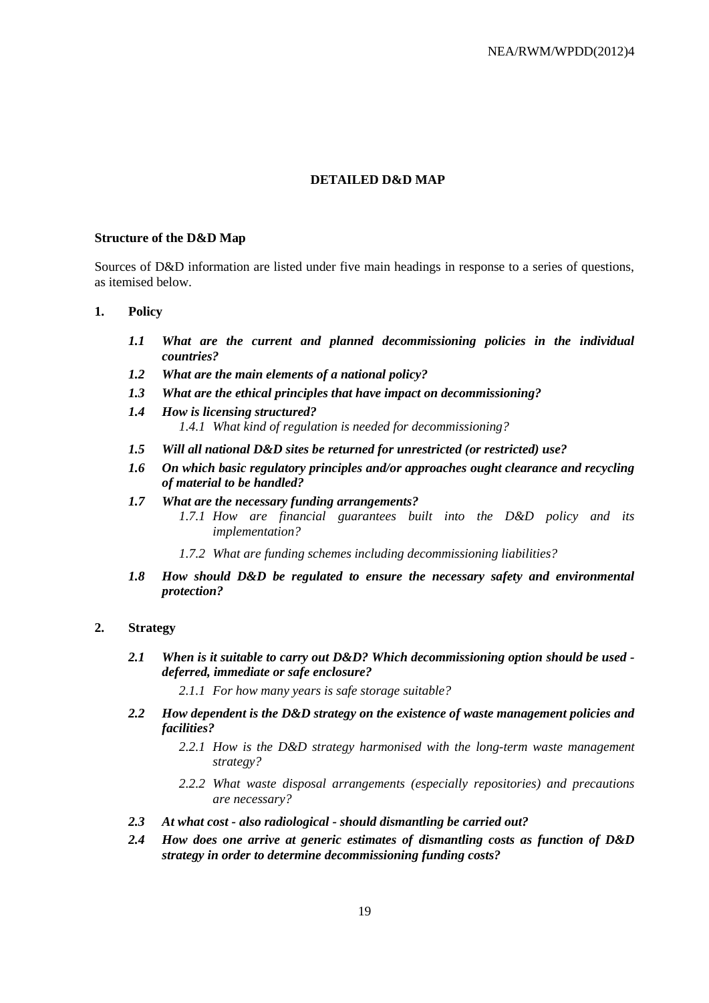#### **DETAILED D&D MAP**

#### **Structure of the D&D Map**

Sources of D&D information are listed under five main headings in response to a series of questions, as itemised below.

#### **1. Policy**

- *1.1 What are the current and planned decommissioning policies in the individual countries?*
- *1.2 What are the main elements of a national policy?*
- *1.3 What are the ethical principles that have impact on decommissioning?*
- *1.4 How is licensing structured? 1.4.1 What kind of regulation is needed for decommissioning?*
- *1.5 Will all national D&D sites be returned for unrestricted (or restricted) use?*
- *1.6 On which basic regulatory principles and/or approaches ought clearance and recycling of material to be handled?*
- *1.7 What are the necessary funding arrangements? 1.7.1 How are financial guarantees built into the D&D policy and its implementation?*
	- *1.7.2 What are funding schemes including decommissioning liabilities?*
- *1.8 How should D&D be regulated to ensure the necessary safety and environmental protection?*

#### **2. Strategy**

*2.1 When is it suitable to carry out D&D? Which decommissioning option should be used deferred, immediate or safe enclosure?*

*2.1.1 For how many years is safe storage suitable?*

- *2.2 How dependent is the D&D strategy on the existence of waste management policies and facilities?*
	- *2.2.1 How is the D&D strategy harmonised with the long-term waste management strategy?*
	- *2.2.2 What waste disposal arrangements (especially repositories) and precautions are necessary?*
- *2.3 At what cost - also radiological - should dismantling be carried out?*
- *2.4 How does one arrive at generic estimates of dismantling costs as function of D&D strategy in order to determine decommissioning funding costs?*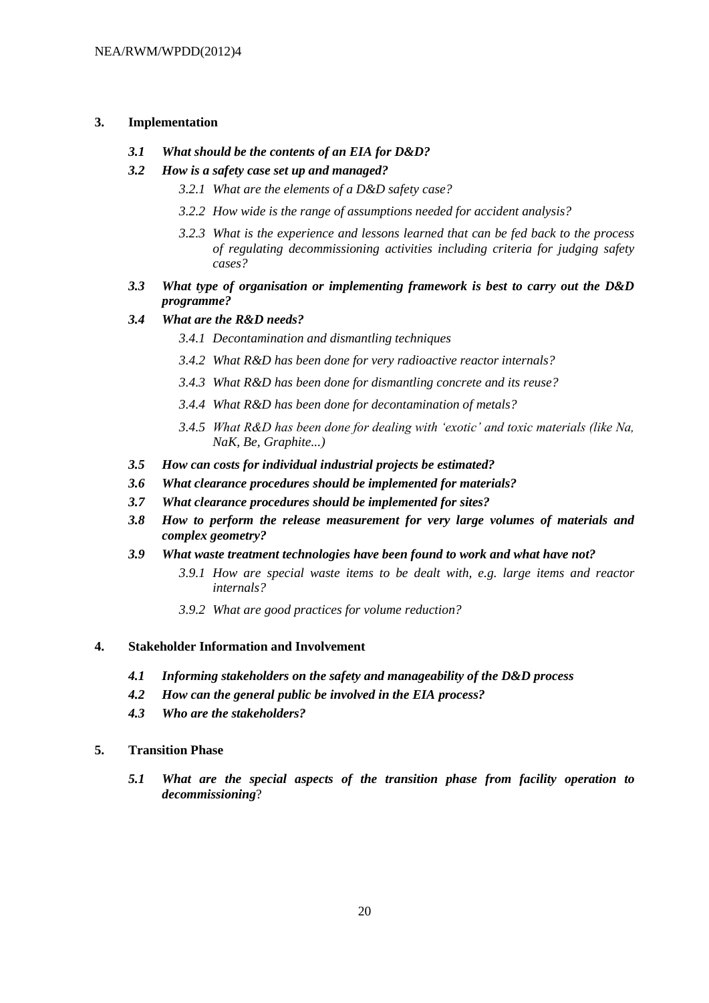## **3. Implementation**

#### *3.1 What should be the contents of an EIA for D&D?*

#### *3.2 How is a safety case set up and managed?*

- *3.2.1 What are the elements of a D&D safety case?*
- *3.2.2 How wide is the range of assumptions needed for accident analysis?*
- *3.2.3 What is the experience and lessons learned that can be fed back to the process of regulating decommissioning activities including criteria for judging safety cases?*

## *3.3 What type of organisation or implementing framework is best to carry out the D&D programme?*

### *3.4 What are the R&D needs?*

- *3.4.1 Decontamination and dismantling techniques*
- *3.4.2 What R&D has been done for very radioactive reactor internals?*
- *3.4.3 What R&D has been done for dismantling concrete and its reuse?*
- *3.4.4 What R&D has been done for decontamination of metals?*
- *3.4.5 What R&D has been done for dealing with 'exotic' and toxic materials (like Na, NaK, Be, Graphite...)*
- *3.5 How can costs for individual industrial projects be estimated?*
- *3.6 What clearance procedures should be implemented for materials?*
- *3.7 What clearance procedures should be implemented for sites?*
- *3.8 How to perform the release measurement for very large volumes of materials and complex geometry?*
- *3.9 What waste treatment technologies have been found to work and what have not?* 
	- *3.9.1 How are special waste items to be dealt with, e.g. large items and reactor internals?*
	- *3.9.2 What are good practices for volume reduction?*

# **4. Stakeholder Information and Involvement**

- *4.1 Informing stakeholders on the safety and manageability of the D&D process*
- *4.2 How can the general public be involved in the EIA process?*
- *4.3 Who are the stakeholders?*

#### **5. Transition Phase**

*5.1 What are the special aspects of the transition phase from facility operation to decommissioning*?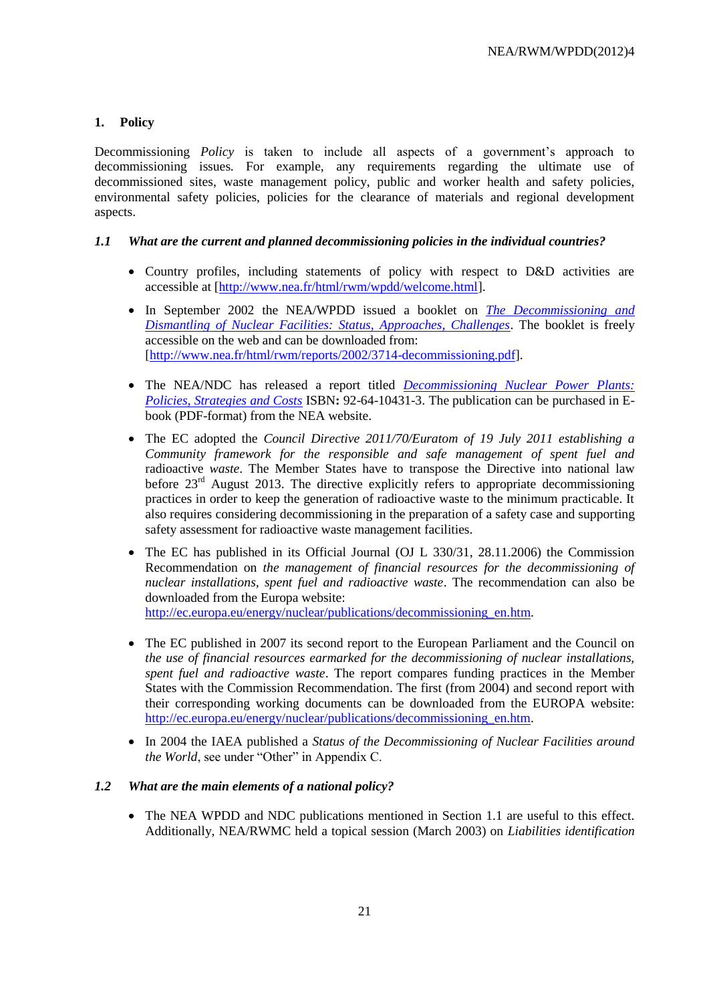## **1. Policy**

Decommissioning *Policy* is taken to include all aspects of a government's approach to decommissioning issues. For example, any requirements regarding the ultimate use of decommissioned sites, waste management policy, public and worker health and safety policies, environmental safety policies, policies for the clearance of materials and regional development aspects.

## *1.1 What are the current and planned decommissioning policies in the individual countries?*

- Country profiles, including statements of policy with respect to D&D activities are accessible at [\[http://www.nea.fr/html/rwm/wpdd/welcome.html\]](http://www.nea.fr/html/rwm/wpdd/welcome.html).
- In September 2002 the NEA/WPDD issued a booklet on *[The Decommissioning and](file://192.168.102.97/html/rwm/reports/2002/3714-decommissioning.pdf)  [Dismantling of Nuclear Facilities: Status, Approaches, Challenges](file://192.168.102.97/html/rwm/reports/2002/3714-decommissioning.pdf)*. The booklet is freely accessible on the web and can be downloaded from: [\[http://www.nea.fr/html/rwm/reports/2002/3714-decommissioning.pdf\]](http://www.nea.fr/html/rwm/reports/2002/3714-decommissioning.pdf).
- The NEA/NDC has released a report titled *[Decommissioning Nuclear Power Plants:](http://publications.oecd.org/kappa/publications/description.asp?ProductId=14530&EditMode=&FormId=&InputId=&NoBorder=)  [Policies, Strategies and Costs](http://publications.oecd.org/kappa/publications/description.asp?ProductId=14530&EditMode=&FormId=&InputId=&NoBorder=)* ISBN**:** 92-64-10431-3. The publication can be purchased in Ebook (PDF-format) from the NEA website.
- The EC adopted the *Council Directive 2011/70/Euratom of 19 July 2011 establishing a Community framework for the responsible and safe management of spent fuel and*  radioactive *waste*. The Member States have to transpose the Directive into national law before  $23<sup>rd</sup>$  August 2013. The directive explicitly refers to appropriate decommissioning practices in order to keep the generation of radioactive waste to the minimum practicable. It also requires considering decommissioning in the preparation of a safety case and supporting safety assessment for radioactive waste management facilities.
- The EC has published in its Official Journal (OJ L 330/31, 28.11.2006) the Commission Recommendation on *the management of financial resources for the decommissioning of nuclear installations, spent fuel and radioactive waste*. The recommendation can also be downloaded from the Europa website:

[http://ec.europa.eu/energy/nuclear/publications/decommissioning\\_en.htm.](http://ec.europa.eu/energy/nuclear/publications/decommissioning_en.htm)

- The EC published in 2007 its second report to the European Parliament and the Council on *the use of financial resources earmarked for the decommissioning of nuclear installations, spent fuel and radioactive waste*. The report compares funding practices in the Member States with the Commission Recommendation. The first (from 2004) and second report with their corresponding working documents can be downloaded from the EUROPA website: [http://ec.europa.eu/energy/nuclear/publications/decommissioning\\_en.htm.](http://ec.europa.eu/energy/nuclear/publications/decommissioning_en.htm)
- In 2004 the IAEA published a *Status of the Decommissioning of Nuclear Facilities around the World*, see under "Other" in Appendix C.

### *1.2 What are the main elements of a national policy?*

• The NEA WPDD and NDC publications mentioned in Section 1.1 are useful to this effect. Additionally, NEA/RWMC held a topical session (March 2003) on *Liabilities identification*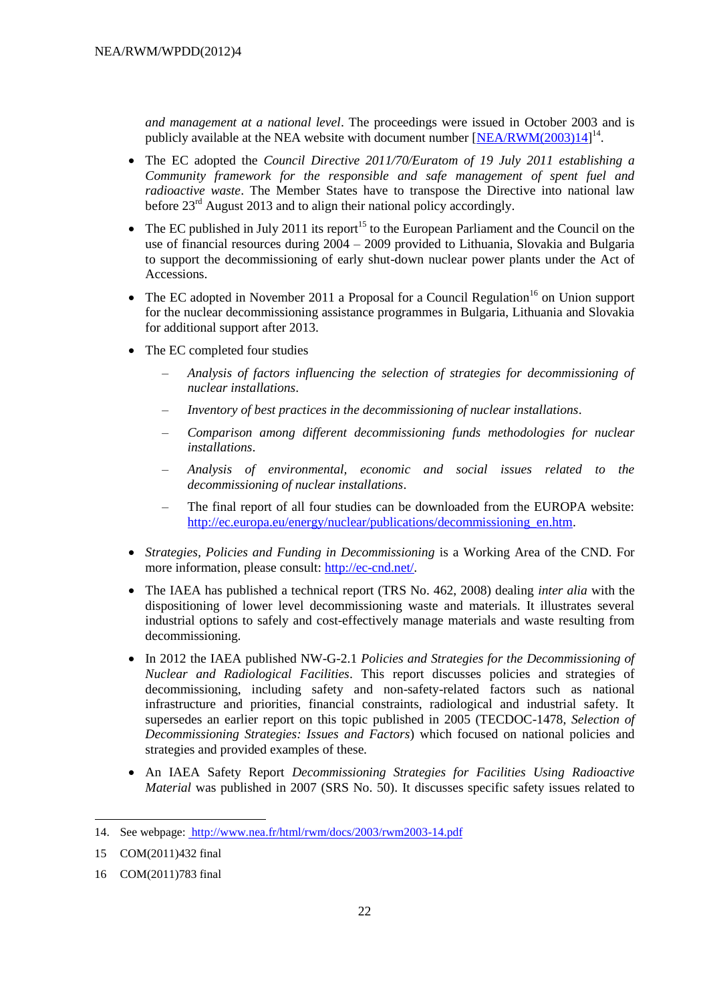*and management at a national level*. The proceedings were issued in October 2003 and is publicly available at the NEA website with document number [\[NEA/RWM\(2003\)14\]](http://www2.oecd.org/oecdinfo/info.aspx?app=OLIScoteEN&Ref=NEA/RWM(2003)14)<sup>14</sup>.

- The EC adopted the *Council Directive 2011/70/Euratom of 19 July 2011 establishing a Community framework for the responsible and safe management of spent fuel and radioactive waste*. The Member States have to transpose the Directive into national law before  $23<sup>rd</sup>$  August 2013 and to align their national policy accordingly.
- The EC published in July 2011 its report<sup>15</sup> to the European Parliament and the Council on the use of financial resources during 2004 – 2009 provided to Lithuania, Slovakia and Bulgaria to support the decommissioning of early shut-down nuclear power plants under the Act of Accessions.
- The EC adopted in November 2011 a Proposal for a Council Regulation<sup>16</sup> on Union support for the nuclear decommissioning assistance programmes in Bulgaria, Lithuania and Slovakia for additional support after 2013.
- The EC completed four studies
	- *Analysis of factors influencing the selection of strategies for decommissioning of nuclear installations*.
	- *Inventory of best practices in the decommissioning of nuclear installations*.
	- *Comparison among different decommissioning funds methodologies for nuclear installations*.
	- *Analysis of environmental, economic and social issues related to the decommissioning of nuclear installations*.
	- The final report of all four studies can be downloaded from the EUROPA website: [http://ec.europa.eu/energy/nuclear/publications/decommissioning\\_en.htm.](http://ec.europa.eu/energy/nuclear/publications/decommissioning_en.htm)
- *Strategies, Policies and Funding in Decommissioning* is a Working Area of the CND. For more information, please consult: [http://ec-cnd.net/.](http://ec-cnd.net/)
- The IAEA has published a technical report (TRS No. 462, 2008) dealing *inter alia* with the dispositioning of lower level decommissioning waste and materials. It illustrates several industrial options to safely and cost-effectively manage materials and waste resulting from decommissioning.
- In 2012 the IAEA published NW-G-2.1 *Policies and Strategies for the Decommissioning of Nuclear and Radiological Facilities*. This report discusses policies and strategies of decommissioning, including safety and non-safety-related factors such as national infrastructure and priorities, financial constraints, radiological and industrial safety. It supersedes an earlier report on this topic published in 2005 (TECDOC-1478, *Selection of Decommissioning Strategies: Issues and Factors*) which focused on national policies and strategies and provided examples of these*.*
- An IAEA Safety Report *Decommissioning Strategies for Facilities Using Radioactive Material* was published in 2007 (SRS No. 50). It discusses specific safety issues related to

1

<sup>14.</sup> See webpage:<http://www.nea.fr/html/rwm/docs/2003/rwm2003-14.pdf>

<sup>15</sup> COM(2011)432 final

<sup>16</sup> COM(2011)783 final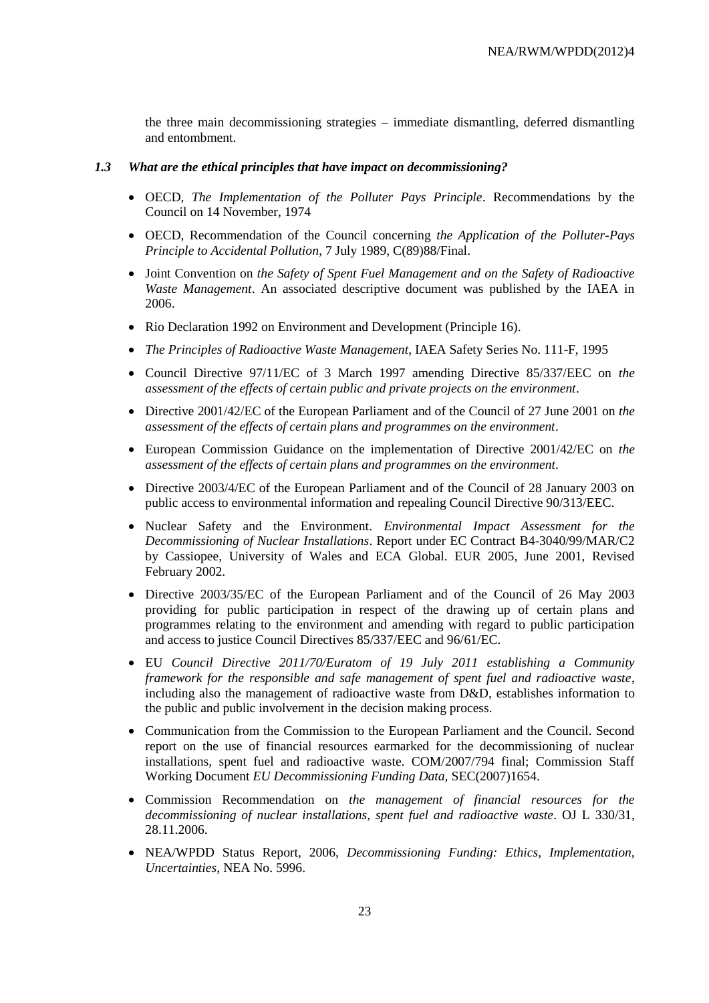the three main decommissioning strategies – immediate dismantling, deferred dismantling and entombment.

#### *1.3 What are the ethical principles that have impact on decommissioning?*

- OECD, *The Implementation of the Polluter Pays Principle*. Recommendations by the Council on 14 November, 1974
- OECD, Recommendation of the Council concerning *the Application of the Polluter-Pays Principle to Accidental Pollution*, 7 July 1989, C(89)88/Final.
- Joint Convention on *the Safety of Spent Fuel Management and on the Safety of Radioactive Waste Management*. An associated descriptive document was published by the IAEA in 2006.
- Rio Declaration 1992 on Environment and Development (Principle 16).
- *The Principles of Radioactive Waste Management*, IAEA Safety Series No. 111-F, 1995
- Council Directive 97/11/EC of 3 March 1997 amending Directive 85/337/EEC on *the assessment of the effects of certain public and private projects on the environment*.
- Directive 2001/42/EC of the European Parliament and of the Council of 27 June 2001 on *the assessment of the effects of certain plans and programmes on the environment*.
- European Commission Guidance on the implementation of Directive 2001/42/EC on *the assessment of the effects of certain plans and programmes on the environment*.
- Directive 2003/4/EC of the European Parliament and of the Council of 28 January 2003 on public access to environmental information and repealing Council Directive 90/313/EEC.
- Nuclear Safety and the Environment. *Environmental Impact Assessment for the Decommissioning of Nuclear Installations*. Report under EC Contract B4-3040/99/MAR/C2 by Cassiopee, University of Wales and ECA Global. EUR 2005, June 2001, Revised February 2002.
- Directive 2003/35/EC of the European Parliament and of the Council of 26 May 2003 providing for public participation in respect of the drawing up of certain plans and programmes relating to the environment and amending with regard to public participation and access to justice Council Directives 85/337/EEC and 96/61/EC.
- EU *Council Directive 2011/70/Euratom of 19 July 2011 establishing a Community framework for the responsible and safe management of spent fuel and radioactive waste*, including also the management of radioactive waste from D&D, establishes information to the public and public involvement in the decision making process.
- Communication from the Commission to the European Parliament and the Council. Second report on the use of financial resources earmarked for the decommissioning of nuclear installations, spent fuel and radioactive waste. COM/2007/794 final; Commission Staff Working Document *EU Decommissioning Funding Data,* SEC(2007)1654.
- Commission Recommendation on *the management of financial resources for the decommissioning of nuclear installations, spent fuel and radioactive waste*. OJ L 330/31, 28.11.2006.
- NEA/WPDD Status Report, 2006, *Decommissioning Funding: Ethics, Implementation, Uncertainties*, NEA No. 5996.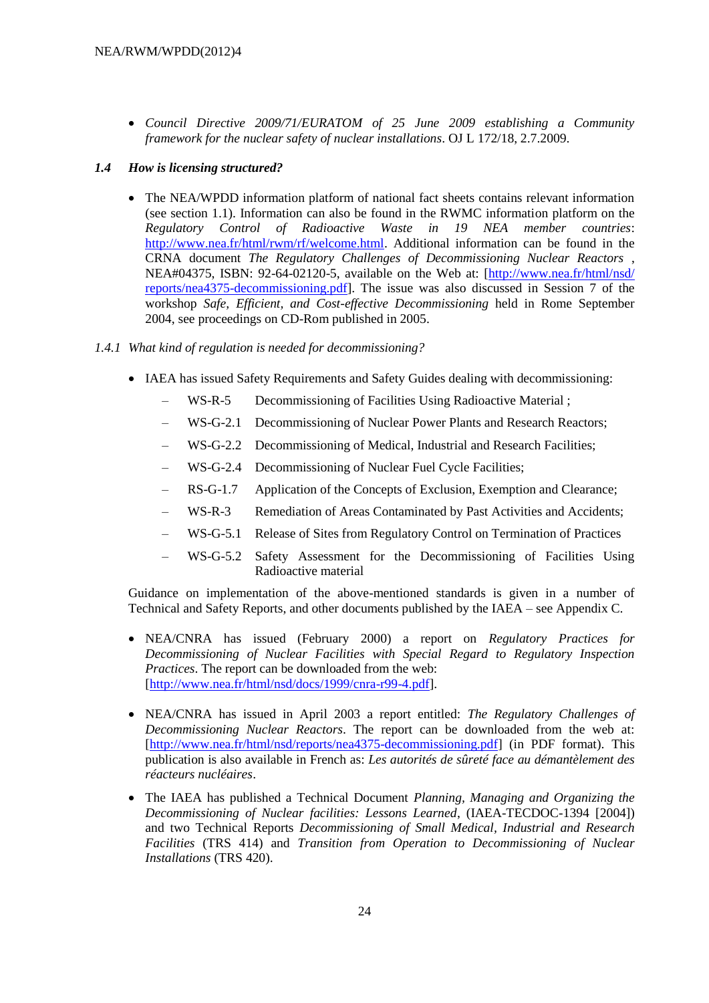*Council Directive 2009/71/EURATOM of 25 June 2009 establishing a Community framework for the nuclear safety of nuclear installations*. OJ L 172/18, 2.7.2009.

## *1.4 How is licensing structured?*

- The NEA/WPDD information platform of national fact sheets contains relevant information (see section 1.1). Information can also be found in the RWMC information platform on the *Regulatory Control of Radioactive Waste in 19 NEA member countries*: [http://www.nea.fr/html/rwm/rf/welcome.html.](http://www.nea.fr/html/rwm/rf/welcome.html) Additional information can be found in the CRNA document *The Regulatory Challenges of Decommissioning Nuclear Reactors* , NEA#04375, ISBN: 92-64-02120-5, available on the Web at: [\[http://www.nea.fr/html/nsd/](http://www.nea.fr/html/nsd/reports/nea4375-decommissioning.pdf) [reports/nea4375-decommissioning.pdf\]](http://www.nea.fr/html/nsd/reports/nea4375-decommissioning.pdf). The issue was also discussed in Session 7 of the workshop *Safe, Efficient, and Cost-effective Decommissioning* held in Rome September 2004, see proceedings on CD-Rom published in 2005.
- *1.4.1 What kind of regulation is needed for decommissioning?*
	- IAEA has issued Safety Requirements and Safety Guides dealing with decommissioning:
		- WS-R-5 Decommissioning of Facilities Using Radioactive Material ;
		- WS-G-2.1 Decommissioning of Nuclear Power Plants and Research Reactors;
		- WS-G-2.2 Decommissioning of Medical, Industrial and Research Facilities;
		- WS-G-2.4 Decommissioning of Nuclear Fuel Cycle Facilities;
		- RS-G-1.7 Application of the Concepts of Exclusion, Exemption and Clearance;
		- WS-R-3 Remediation of Areas Contaminated by Past Activities and Accidents;
		- WS-G-5.1 Release of Sites from Regulatory Control on Termination of Practices
		- WS-G-5.2 Safety Assessment for the Decommissioning of Facilities Using Radioactive material

Guidance on implementation of the above-mentioned standards is given in a number of Technical and Safety Reports, and other documents published by the IAEA – see Appendix C.

- NEA/CNRA has issued (February 2000) a report on *Regulatory Practices for Decommissioning of Nuclear Facilities with Special Regard to Regulatory Inspection Practices*. The report can be downloaded from the web: [\[http://www.nea.fr/html/nsd/docs/1999/cnra-r99-4.pdf\]](http://www.nea.fr/html/nsd/docs/1999/cnra-r99-4.pdf).
- NEA/CNRA has issued in April 2003 a report entitled: *The Regulatory Challenges of Decommissioning Nuclear Reactors*. The report can be downloaded from the web at: [\[http://www.nea.fr/html/nsd/reports/nea4375-decommissioning.pdf\]](http://home.nea.fr/html/nsd/reports/nea4375-decommissioning.pdf) (in PDF format). This publication is also available in French as: *Les autorités de sûreté face au démantèlement des réacteurs nucléaires*.
- The IAEA has published a Technical Document *Planning, Managing and Organizing the Decommissioning of Nuclear facilities: Lessons Learned*, (IAEA-TECDOC-1394 [2004]) and two Technical Reports *Decommissioning of Small Medical, Industrial and Research Facilities* (TRS 414) and *Transition from Operation to Decommissioning of Nuclear Installations* (TRS 420).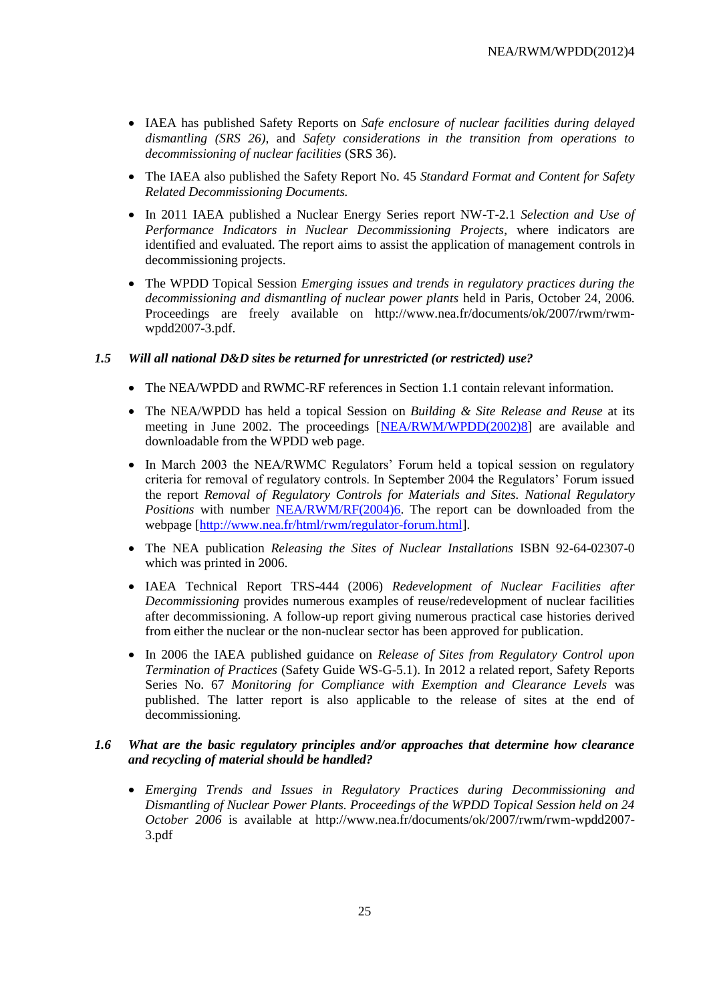- IAEA has published Safety Reports on *Safe enclosure of nuclear facilities during delayed dismantling (SRS 26)*, and *Safety considerations in the transition from operations to decommissioning of nuclear facilities* (SRS 36).
- The IAEA also published the Safety Report No. 45 *Standard Format and Content for Safety Related Decommissioning Documents.*
- In 2011 IAEA published a Nuclear Energy Series report NW-T-2.1 *Selection and Use of Performance Indicators in Nuclear Decommissioning Projects*, where indicators are identified and evaluated. The report aims to assist the application of management controls in decommissioning projects.
- The WPDD Topical Session *Emerging issues and trends in regulatory practices during the decommissioning and dismantling of nuclear power plants* held in Paris, October 24, 2006. Proceedings are freely available on http://www.nea.fr/documents/ok/2007/rwm/rwmwpdd2007-3.pdf.

### *1.5 Will all national D&D sites be returned for unrestricted (or restricted) use?*

- The NEA/WPDD and RWMC-RF references in Section 1.1 contain relevant information.
- The NEA/WPDD has held a topical Session on *Building & Site Release and Reuse* at its meeting in June 2002. The proceedings [\[NEA/RWM/WPDD\(2002\)8\]](http://www2.oecd.org/oecdinfo/info.aspx?app=OLIScoteEN&Ref=NEA/RWM/WPDD(2002)8) are available and downloadable from the WPDD web page.
- In March 2003 the NEA/RWMC Regulators' Forum held a topical session on regulatory criteria for removal of regulatory controls. In September 2004 the Regulators" Forum issued the report *Removal of Regulatory Controls for Materials and Sites. National Regulatory Positions* with number [NEA/RWM/RF\(2004\)6.](http://www2.oecd.org/oecdinfo/info.aspx?app=OLIScoteEN&Ref=NEA/RWM/RF(2004)6) The report can be downloaded from the webpage [\[http://www.nea.fr/html/rwm/regulator-forum.html\]](http://www.nea.fr/html/rwm/regulator-forum.html).
- The NEA publication *Releasing the Sites of Nuclear Installations* ISBN 92-64-02307-0 which was printed in 2006.
- IAEA Technical Report TRS-444 (2006) *Redevelopment of Nuclear Facilities after Decommissioning* provides numerous examples of reuse/redevelopment of nuclear facilities after decommissioning. A follow-up report giving numerous practical case histories derived from either the nuclear or the non-nuclear sector has been approved for publication.
- In 2006 the IAEA published guidance on *Release of Sites from Regulatory Control upon Termination of Practices* (Safety Guide WS-G-5.1). In 2012 a related report, Safety Reports Series No. 67 *Monitoring for Compliance with Exemption and Clearance Levels* was published. The latter report is also applicable to the release of sites at the end of decommissioning.

### *1.6 What are the basic regulatory principles and/or approaches that determine how clearance and recycling of material should be handled?*

 *Emerging Trends and Issues in Regulatory Practices during Decommissioning and Dismantling of Nuclear Power Plants. Proceedings of the WPDD Topical Session held on 24 October 2006* is available at http://www.nea.fr/documents/ok/2007/rwm/rwm-wpdd2007- 3.pdf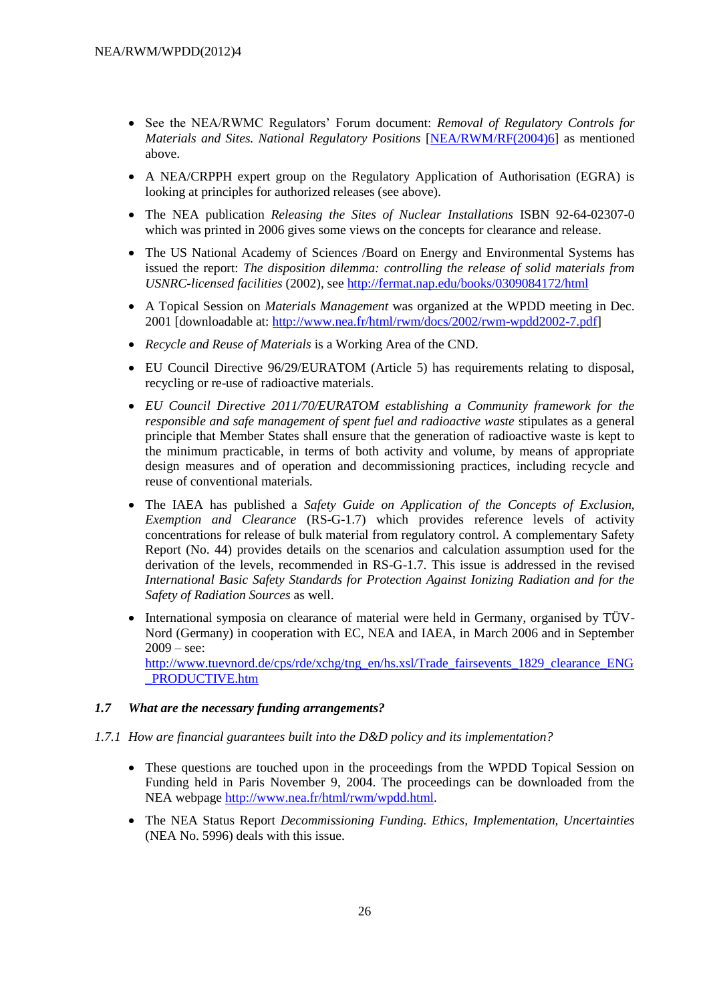- See the NEA/RWMC Regulators" Forum document: *Removal of Regulatory Controls for Materials and Sites. National Regulatory Positions* [\[NEA/RWM/RF\(2004\)6\]](http://www2.oecd.org/oecdinfo/info.aspx?app=OLIScoteEN&Ref=NEA/RWM/RF(2004)6) as mentioned above.
- A NEA/CRPPH expert group on the Regulatory Application of Authorisation (EGRA) is looking at principles for authorized releases (see above).
- The NEA publication *Releasing the Sites of Nuclear Installations* ISBN 92-64-02307-0 which was printed in 2006 gives some views on the concepts for clearance and release.
- The US National Academy of Sciences /Board on Energy and Environmental Systems has issued the report: *The disposition dilemma: controlling the release of solid materials from USNRC-licensed facilities* (2002), see<http://fermat.nap.edu/books/0309084172/html>
- A Topical Session on *Materials Management* was organized at the WPDD meeting in Dec. 2001 [downloadable at[: http://www.nea.fr/html/rwm/docs/2002/rwm-wpdd2002-7.pdf\]](http://www.nea.fr/html/rwm/docs/2002/rwm-wpdd2002-7.pdf)
- *Recycle and Reuse of Materials* is a Working Area of the CND.
- EU Council Directive 96/29/EURATOM (Article 5) has requirements relating to disposal, recycling or re-use of radioactive materials.
- *EU Council Directive 2011/70/EURATOM establishing a Community framework for the responsible and safe management of spent fuel and radioactive waste* stipulates as a general principle that Member States shall ensure that the generation of radioactive waste is kept to the minimum practicable, in terms of both activity and volume, by means of appropriate design measures and of operation and decommissioning practices, including recycle and reuse of conventional materials.
- The IAEA has published a *Safety Guide on Application of the Concepts of Exclusion, Exemption and Clearance* (RS-G-1.7) which provides reference levels of activity concentrations for release of bulk material from regulatory control. A complementary Safety Report (No. 44) provides details on the scenarios and calculation assumption used for the derivation of the levels, recommended in RS-G-1.7. This issue is addressed in the revised *International Basic Safety Standards for Protection Against Ionizing Radiation and for the Safety of Radiation Sources* as well.
- International symposia on clearance of material were held in Germany, organised by TÜV-Nord (Germany) in cooperation with EC, NEA and IAEA, in March 2006 and in September  $2009 - \sec$ [http://www.tuevnord.de/cps/rde/xchg/tng\\_en/hs.xsl/Trade\\_fairsevents\\_1829\\_clearance\\_ENG](http://www.tuevnord.de/cps/rde/xchg/tng_en/hs.xsl/Trade_fairsevents_1829_clearance_ENG_PRODUCTIVE.htm) [\\_PRODUCTIVE.htm](http://www.tuevnord.de/cps/rde/xchg/tng_en/hs.xsl/Trade_fairsevents_1829_clearance_ENG_PRODUCTIVE.htm)

### *1.7 What are the necessary funding arrangements?*

- *1.7.1 How are financial guarantees built into the D&D policy and its implementation?*
	- These questions are touched upon in the proceedings from the WPDD Topical Session on Funding held in Paris November 9, 2004. The proceedings can be downloaded from the NEA webpage [http://www.nea.fr/html/rwm/wpdd.html.](http://www.nea.fr/html/rwm/wpdd.html)
	- The NEA Status Report *Decommissioning Funding. Ethics, Implementation, Uncertainties* (NEA No. 5996) deals with this issue.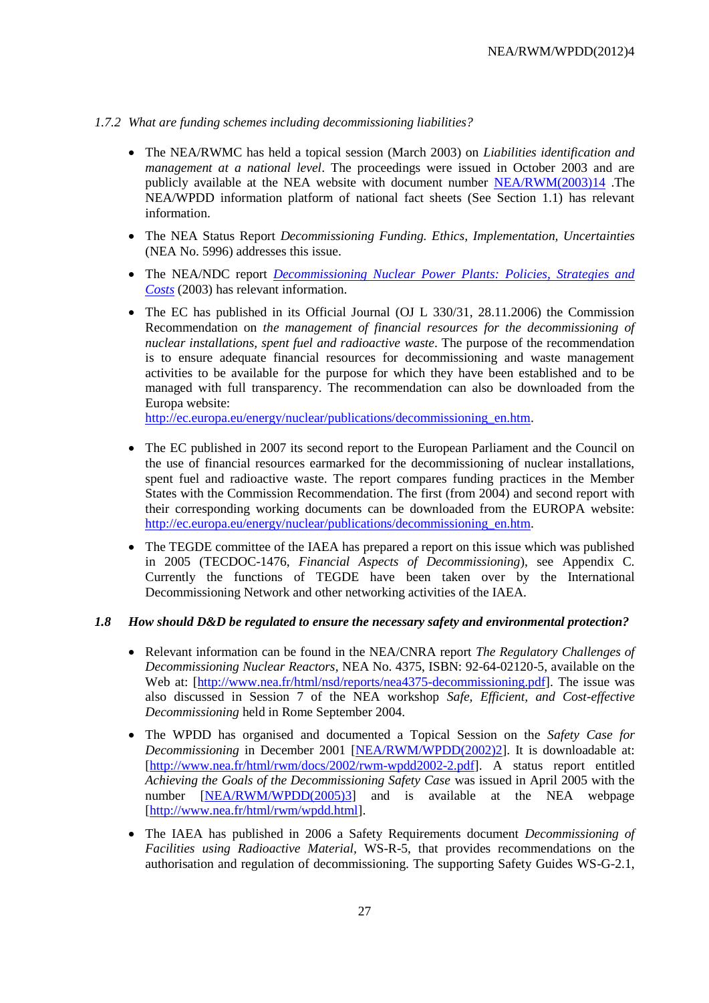- *1.7.2 What are funding schemes including decommissioning liabilities?*
	- The NEA/RWMC has held a topical session (March 2003) on *Liabilities identification and management at a national level*. The proceedings were issued in October 2003 and are publicly available at the NEA website with document number [NEA/RWM\(2003\)14](http://www2.oecd.org/oecdinfo/info.aspx?app=OLIScoteEN&Ref=NEA/RWM(2003)14) .The NEA/WPDD information platform of national fact sheets (See Section 1.1) has relevant information.
	- The NEA Status Report *Decommissioning Funding. Ethics, Implementation, Uncertainties* (NEA No. 5996) addresses this issue.
	- The NEA/NDC report *[Decommissioning Nuclear Power Plants: Policies, Strategies and](http://publications.oecd.org/kappa/publications/description.asp?ProductId=14530&EditMode=&FormId=&InputId=&NoBorder=)  [Costs](http://publications.oecd.org/kappa/publications/description.asp?ProductId=14530&EditMode=&FormId=&InputId=&NoBorder=)* (2003) has relevant information.
	- The EC has published in its Official Journal (OJ L 330/31, 28.11.2006) the Commission Recommendation on *the management of financial resources for the decommissioning of nuclear installations, spent fuel and radioactive waste*. The purpose of the recommendation is to ensure adequate financial resources for decommissioning and waste management activities to be available for the purpose for which they have been established and to be managed with full transparency. The recommendation can also be downloaded from the Europa website:

[http://ec.europa.eu/energy/nuclear/publications/decommissioning\\_en.htm.](http://ec.europa.eu/energy/nuclear/publications/decommissioning_en.htm)

- The EC published in 2007 its second report to the European Parliament and the Council on the use of financial resources earmarked for the decommissioning of nuclear installations, spent fuel and radioactive waste. The report compares funding practices in the Member States with the Commission Recommendation. The first (from 2004) and second report with their corresponding working documents can be downloaded from the EUROPA website: [http://ec.europa.eu/energy/nuclear/publications/decommissioning\\_en.htm.](http://ec.europa.eu/energy/nuclear/publications/decommissioning_en.htm)
- The TEGDE committee of the IAEA has prepared a report on this issue which was published in 2005 (TECDOC-1476, *Financial Aspects of Decommissioning*), see Appendix C*.*  Currently the functions of TEGDE have been taken over by the International Decommissioning Network and other networking activities of the IAEA.

#### *1.8 How should D&D be regulated to ensure the necessary safety and environmental protection?*

- Relevant information can be found in the NEA/CNRA report *The Regulatory Challenges of Decommissioning Nuclear Reactors*, NEA No. 4375, ISBN: 92-64-02120-5, available on the Web at: [\[http://www.nea.fr/html/nsd/reports/nea4375-decommissioning.pdf\]](http://home.nea.fr/html/nsd/reports/nea4375-decommissioning.pdf). The issue was also discussed in Session 7 of the NEA workshop *Safe, Efficient, and Cost-effective Decommissioning* held in Rome September 2004.
- The WPDD has organised and documented a Topical Session on the *Safety Case for Decommissioning* in December 2001 [\[NEA/RWM/WPDD\(2002\)2\]](http://www2.oecd.org/oecdinfo/info.aspx?app=OLIScoteEN&Ref=NEA/RWM/WPDD(2002)2). It is downloadable at: [\[http://www.nea.fr/html/rwm/docs/2002/rwm-wpdd2002-2.pdf\]](http://www.nea.fr/html/rwm/docs/2002/rwm-wpdd2002-2.pdf). A status report entitled *Achieving the Goals of the Decommissioning Safety Case* was issued in April 2005 with the number [\[NEA/RWM/WPDD\(2005\)3\]](http://www2.oecd.org/oecdinfo/info.aspx?app=OLIScoteEN&Ref=NEA/RWM/WPDD(2005)3) and is available at the NEA webpage [\[http://www.nea.fr/html/rwm/wpdd.html\]](http://www.nea.fr/html/rwm/wpdd.html).
- The IAEA has published in 2006 a Safety Requirements document *Decommissioning of Facilities using Radioactive Material,* WS-R-5, that provides recommendations on the authorisation and regulation of decommissioning. The supporting Safety Guides WS-G-2.1,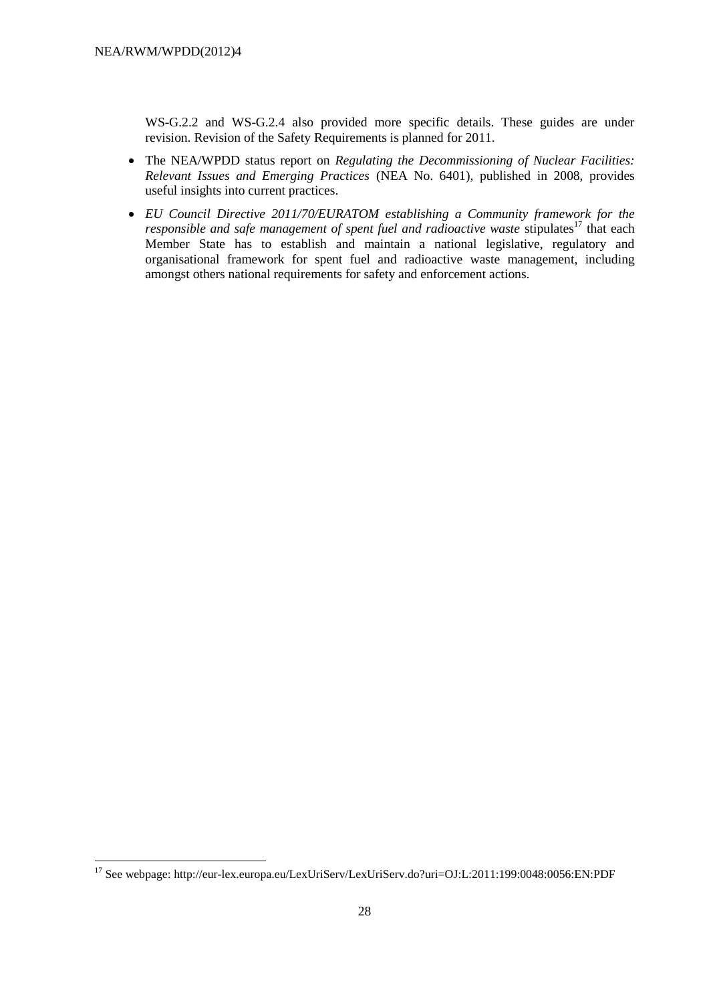1

WS-G.2.2 and WS-G.2.4 also provided more specific details. These guides are under revision. Revision of the Safety Requirements is planned for 2011.

- The NEA/WPDD status report on *Regulating the Decommissioning of Nuclear Facilities: Relevant Issues and Emerging Practices* (NEA No. 6401), published in 2008, provides useful insights into current practices.
- *EU Council Directive 2011/70/EURATOM establishing a Community framework for the responsible and safe management of spent fuel and radioactive waste* stipulates<sup>17</sup> that each Member State has to establish and maintain a national legislative, regulatory and organisational framework for spent fuel and radioactive waste management, including amongst others national requirements for safety and enforcement actions.

<sup>&</sup>lt;sup>17</sup> See webpage: http://eur-lex.europa.eu/LexUriServ/LexUriServ.do?uri=OJ:L:2011:199:0048:0056:EN:PDF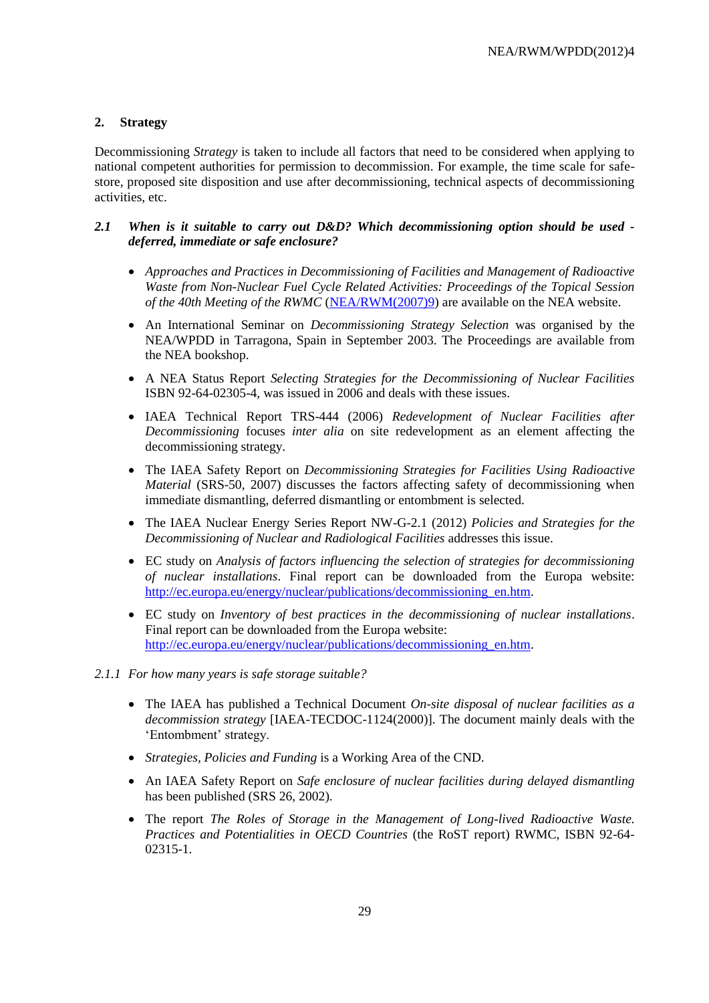## **2. Strategy**

Decommissioning *Strategy* is taken to include all factors that need to be considered when applying to national competent authorities for permission to decommission. For example, the time scale for safestore, proposed site disposition and use after decommissioning, technical aspects of decommissioning activities, etc.

## *2.1 When is it suitable to carry out D&D? Which decommissioning option should be used deferred, immediate or safe enclosure?*

- *Approaches and Practices in Decommissioning of Facilities and Management of Radioactive Waste from Non-Nuclear Fuel Cycle Related Activities: Proceedings of the Topical Session of the 40th Meeting of the RWMC* [\(NEA/RWM\(2007\)9\)](http://www2.oecd.org/oecdinfo/info.aspx?app=OLIScoteEN&Ref=NEA/RWM(2007)9) are available on the NEA website.
- An International Seminar on *Decommissioning Strategy Selection* was organised by the NEA/WPDD in Tarragona, Spain in September 2003. The Proceedings are available from the NEA bookshop.
- A NEA Status Report *Selecting Strategies for the Decommissioning of Nuclear Facilities* ISBN 92-64-02305-4, was issued in 2006 and deals with these issues.
- IAEA Technical Report TRS-444 (2006) *Redevelopment of Nuclear Facilities after Decommissioning* focuses *inter alia* on site redevelopment as an element affecting the decommissioning strategy.
- The IAEA Safety Report on *Decommissioning Strategies for Facilities Using Radioactive Material* (SRS-50, 2007) discusses the factors affecting safety of decommissioning when immediate dismantling, deferred dismantling or entombment is selected.
- The IAEA Nuclear Energy Series Report NW-G-2.1 (2012) *Policies and Strategies for the Decommissioning of Nuclear and Radiological Facilities* addresses this issue.
- EC study on *Analysis of factors influencing the selection of strategies for decommissioning of nuclear installations*. Final report can be downloaded from the Europa website: [http://ec.europa.eu/energy/nuclear/publications/decommissioning\\_en.htm.](http://ec.europa.eu/energy/nuclear/publications/decommissioning_en.htm)
- EC study on *Inventory of best practices in the decommissioning of nuclear installations*. Final report can be downloaded from the Europa website: [http://ec.europa.eu/energy/nuclear/publications/decommissioning\\_en.htm.](http://ec.europa.eu/energy/nuclear/publications/decommissioning_en.htm)
- *2.1.1 For how many years is safe storage suitable?*
	- The IAEA has published a Technical Document *On-site disposal of nuclear facilities as a decommission strategy* [IAEA-TECDOC-1124(2000)]. The document mainly deals with the 'Entombment' strategy.
	- *Strategies, Policies and Funding* is a Working Area of the CND.
	- An IAEA Safety Report on *Safe enclosure of nuclear facilities during delayed dismantling* has been published (SRS 26, 2002).
	- The report *The Roles of Storage in the Management of Long-lived Radioactive Waste. Practices and Potentialities in OECD Countries* (the RoST report) RWMC, ISBN 92-64- 02315-1.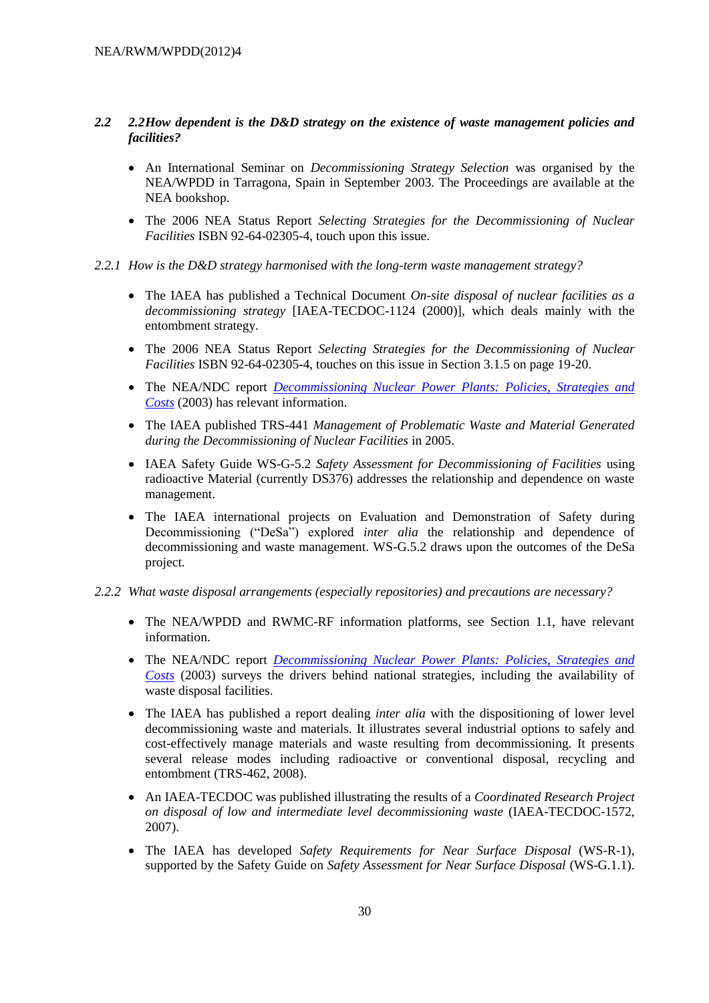## *2.2 2.2How dependent is the D&D strategy on the existence of waste management policies and facilities?*

- An International Seminar on *Decommissioning Strategy Selection* was organised by the NEA/WPDD in Tarragona, Spain in September 2003. The Proceedings are available at the NEA bookshop.
- The 2006 NEA Status Report *Selecting Strategies for the Decommissioning of Nuclear Facilities* ISBN 92-64-02305-4, touch upon this issue.
- *2.2.1 How is the D&D strategy harmonised with the long-term waste management strategy?*
	- The IAEA has published a Technical Document *On-site disposal of nuclear facilities as a decommissioning strategy* [IAEA-TECDOC-1124 (2000)], which deals mainly with the entombment strategy.
	- The 2006 NEA Status Report *Selecting Strategies for the Decommissioning of Nuclear Facilities* ISBN 92-64-02305-4, touches on this issue in Section 3.1.5 on page 19-20.
	- The NEA/NDC report *[Decommissioning Nuclear Power Plants: Policies, Strategies and](http://publications.oecd.org/kappa/publications/description.asp?ProductId=14530&EditMode=&FormId=&InputId=&NoBorder=)  [Costs](http://publications.oecd.org/kappa/publications/description.asp?ProductId=14530&EditMode=&FormId=&InputId=&NoBorder=)* (2003) has relevant information.
	- The IAEA published TRS-441 *Management of Problematic Waste and Material Generated during the Decommissioning of Nuclear Facilities* in 2005.
	- IAEA Safety Guide WS-G-5.2 *Safety Assessment for Decommissioning of Facilities* using radioactive Material (currently DS376) addresses the relationship and dependence on waste management.
	- The IAEA international projects on Evaluation and Demonstration of Safety during Decommissioning ("DeSa") explored *inter alia* the relationship and dependence of decommissioning and waste management. WS-G.5.2 draws upon the outcomes of the DeSa project.
- *2.2.2 What waste disposal arrangements (especially repositories) and precautions are necessary?*
	- The NEA/WPDD and RWMC-RF information platforms, see Section 1.1, have relevant information.
	- The NEA/NDC report *[Decommissioning Nuclear Power Plants: Policies, Strategies and](http://publications.oecd.org/kappa/publications/description.asp?ProductId=14530&EditMode=&FormId=&InputId=&NoBorder=)  [Costs](http://publications.oecd.org/kappa/publications/description.asp?ProductId=14530&EditMode=&FormId=&InputId=&NoBorder=)* (2003) surveys the drivers behind national strategies, including the availability of waste disposal facilities.
	- The IAEA has published a report dealing *inter alia* with the dispositioning of lower level decommissioning waste and materials. It illustrates several industrial options to safely and cost-effectively manage materials and waste resulting from decommissioning. It presents several release modes including radioactive or conventional disposal, recycling and entombment (TRS-462, 2008).
	- An IAEA-TECDOC was published illustrating the results of a *Coordinated Research Project on disposal of low and intermediate level decommissioning waste* (IAEA-TECDOC-1572, 2007).
	- The IAEA has developed *Safety Requirements for Near Surface Disposal* (WS-R-1), supported by the Safety Guide on *Safety Assessment for Near Surface Disposal* (WS-G.1.1).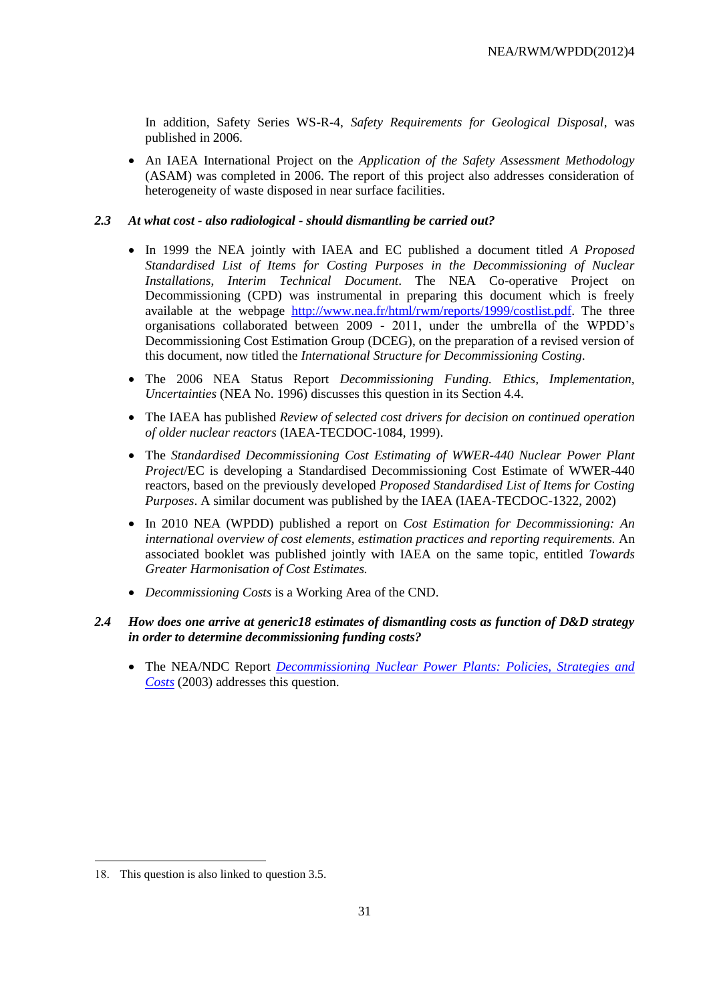In addition, Safety Series WS-R-4, *Safety Requirements for Geological Disposal*, was published in 2006.

 An IAEA International Project on the *Application of the Safety Assessment Methodology*  (ASAM) was completed in 2006. The report of this project also addresses consideration of heterogeneity of waste disposed in near surface facilities.

## *2.3 At what cost - also radiological - should dismantling be carried out?*

- In 1999 the NEA jointly with IAEA and EC published a document titled *A Proposed Standardised List of Items for Costing Purposes in the Decommissioning of Nuclear Installations*, *Interim Technical Document*. The NEA Co-operative Project on Decommissioning (CPD) was instrumental in preparing this document which is freely available at the webpage [http://www.nea.fr/html/rwm/reports/1999/costlist.pdf.](http://www.nea.fr/html/rwm/reports/1999/costlist.pdf) The three organisations collaborated between 2009 - 2011, under the umbrella of the WPDD"s Decommissioning Cost Estimation Group (DCEG), on the preparation of a revised version of this document, now titled the *International Structure for Decommissioning Costing*.
- The 2006 NEA Status Report *Decommissioning Funding. Ethics, Implementation, Uncertainties* (NEA No. 1996) discusses this question in its Section 4.4.
- The IAEA has published *Review of selected cost drivers for decision on continued operation of older nuclear reactors* (IAEA-TECDOC-1084, 1999).
- The *Standardised Decommissioning Cost Estimating of WWER-440 Nuclear Power Plant Project*/EC is developing a Standardised Decommissioning Cost Estimate of WWER-440 reactors, based on the previously developed *Proposed Standardised List of Items for Costing Purposes*. A similar document was published by the IAEA (IAEA-TECDOC-1322, 2002)
- In 2010 NEA (WPDD) published a report on *Cost Estimation for Decommissioning: An international overview of cost elements, estimation practices and reporting requirements.* An associated booklet was published jointly with IAEA on the same topic, entitled *Towards Greater Harmonisation of Cost Estimates.*
- *Decommissioning Costs* is a Working Area of the CND.

## *2.4 How does one arrive at generic18 estimates of dismantling costs as function of D&D strategy in order to determine decommissioning funding costs?*

 The NEA/NDC Report *[Decommissioning Nuclear Power Plants: Policies, Strategies and](http://publications.oecd.org/kappa/publications/description.asp?ProductId=14530&EditMode=&FormId=&InputId=&NoBorder=)  [Costs](http://publications.oecd.org/kappa/publications/description.asp?ProductId=14530&EditMode=&FormId=&InputId=&NoBorder=)* (2003) addresses this question.

1

<sup>18.</sup> This question is also linked to question 3.5.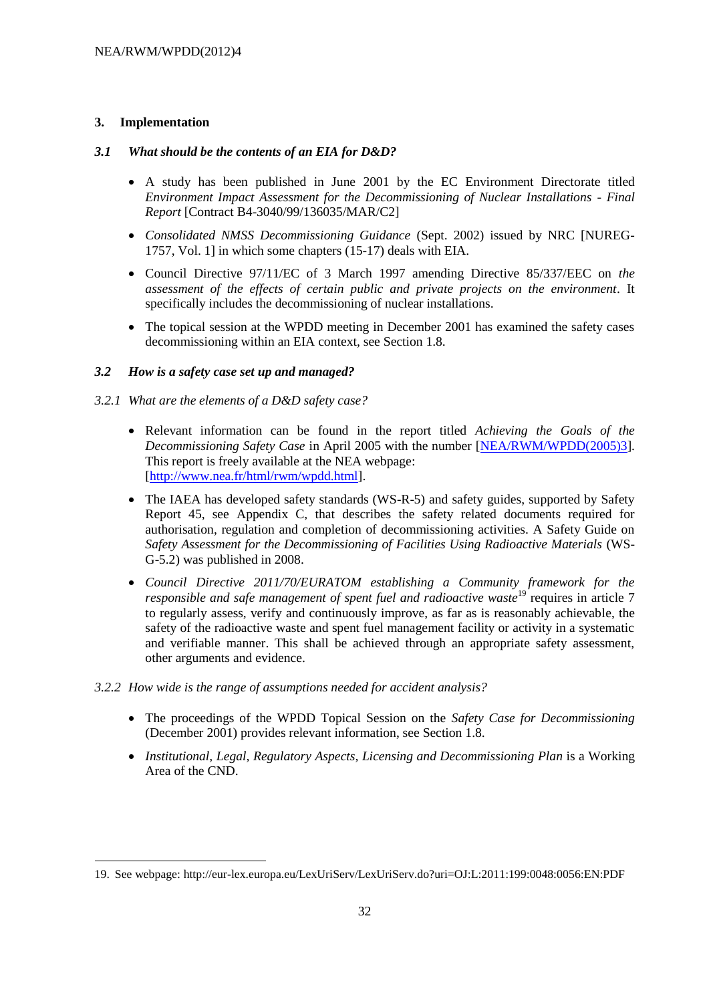## **3. Implementation**

1

### *3.1 What should be the contents of an EIA for D&D?*

- A study has been published in June 2001 by the EC Environment Directorate titled *Environment Impact Assessment for the Decommissioning of Nuclear Installations - Final Report* [Contract B4-3040/99/136035/MAR/C2]
- *Consolidated NMSS Decommissioning Guidance* (Sept. 2002) issued by NRC [NUREG-1757, Vol. 1] in which some chapters (15-17) deals with EIA.
- Council Directive 97/11/EC of 3 March 1997 amending Directive 85/337/EEC on *the assessment of the effects of certain public and private projects on the environment*. It specifically includes the decommissioning of nuclear installations.
- The topical session at the WPDD meeting in December 2001 has examined the safety cases decommissioning within an EIA context, see Section 1.8.

### *3.2 How is a safety case set up and managed?*

### *3.2.1 What are the elements of a D&D safety case?*

- Relevant information can be found in the report titled *Achieving the Goals of the Decommissioning Safety Case* in April 2005 with the number [\[NEA/RWM/WPDD\(2005\)3\]](http://www2.oecd.org/oecdinfo/info.aspx?app=OLIScoteEN&Ref=NEA/RWM/WPDD(2005)3). This report is freely available at the NEA webpage: [\[http://www.nea.fr/html/rwm/wpdd.html\]](http://www.nea.fr/html/rwm/wpdd.html).
- The IAEA has developed safety standards (WS-R-5) and safety guides, supported by Safety Report 45, see Appendix C, that describes the safety related documents required for authorisation, regulation and completion of decommissioning activities. A Safety Guide on *Safety Assessment for the Decommissioning of Facilities Using Radioactive Materials* (WS-G-5.2) was published in 2008.
- *Council Directive 2011/70/EURATOM establishing a Community framework for the responsible and safe management of spent fuel and radioactive waste*<sup>19</sup> requires in article 7 to regularly assess, verify and continuously improve, as far as is reasonably achievable, the safety of the radioactive waste and spent fuel management facility or activity in a systematic and verifiable manner. This shall be achieved through an appropriate safety assessment, other arguments and evidence.
- *3.2.2 How wide is the range of assumptions needed for accident analysis?*
	- The proceedings of the WPDD Topical Session on the *Safety Case for Decommissioning* (December 2001) provides relevant information, see Section 1.8.
	- *Institutional, Legal, Regulatory Aspects, Licensing and Decommissioning Plan* is a Working Area of the CND.

<sup>19.</sup> See webpage: http://eur-lex.europa.eu/LexUriServ/LexUriServ.do?uri=OJ:L:2011:199:0048:0056:EN:PDF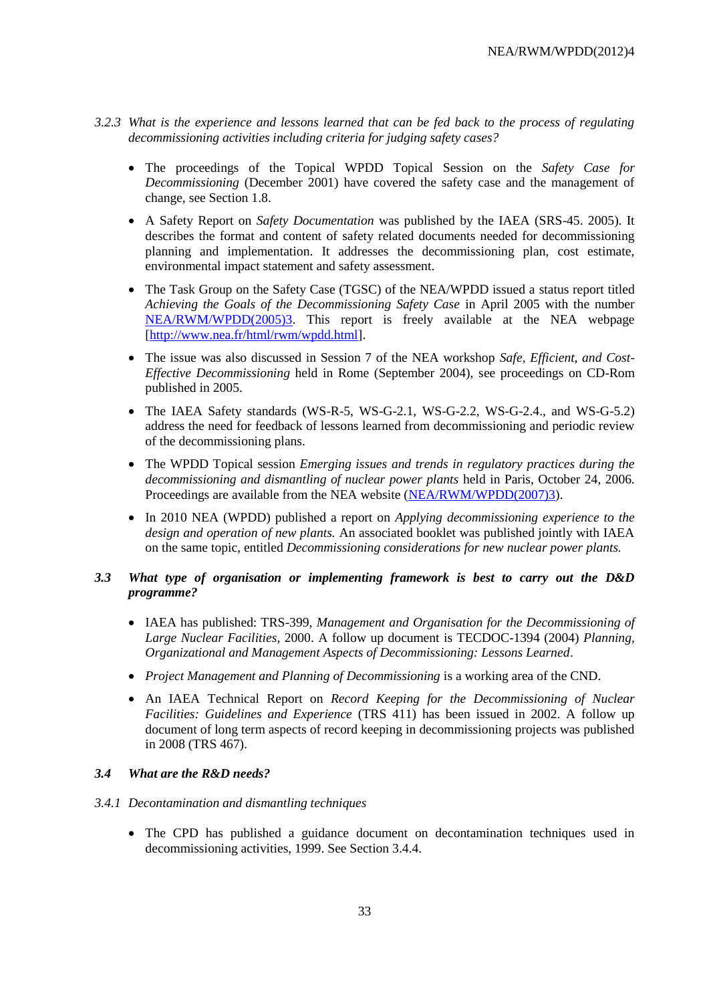- *3.2.3 What is the experience and lessons learned that can be fed back to the process of regulating decommissioning activities including criteria for judging safety cases?*
	- The proceedings of the Topical WPDD Topical Session on the *Safety Case for Decommissioning* (December 2001) have covered the safety case and the management of change, see Section 1.8.
	- A Safety Report on *Safety Documentation* was published by the IAEA (SRS-45. 2005). It describes the format and content of safety related documents needed for decommissioning planning and implementation. It addresses the decommissioning plan, cost estimate, environmental impact statement and safety assessment.
	- The Task Group on the Safety Case (TGSC) of the NEA/WPDD issued a status report titled *Achieving the Goals of the Decommissioning Safety Case* in April 2005 with the number [NEA/RWM/WPDD\(2005\)3.](http://www2.oecd.org/oecdinfo/info.aspx?app=OLIScoteEN&Ref=NEA/RWM/WPDD(2005)3) This report is freely available at the NEA webpage [\[http://www.nea.fr/html/rwm/wpdd.html\]](http://www.nea.fr/html/rwm/wpdd.html).
	- The issue was also discussed in Session 7 of the NEA workshop *Safe, Efficient, and Cost-Effective Decommissioning* held in Rome (September 2004), see proceedings on CD-Rom published in 2005.
	- The IAEA Safety standards (WS-R-5, WS-G-2.1, WS-G-2.2, WS-G-2.4., and WS-G-5.2) address the need for feedback of lessons learned from decommissioning and periodic review of the decommissioning plans.
	- The WPDD Topical session *Emerging issues and trends in regulatory practices during the decommissioning and dismantling of nuclear power plants* held in Paris, October 24, 2006. Proceedings are available from the NEA website [\(NEA/RWM/WPDD\(2007\)3\)](http://www2.oecd.org/oecdinfo/info.aspx?app=OLIScoteEN&Ref=NEA/RWM/WPDD(2007)3).
	- In 2010 NEA (WPDD) published a report on *Applying decommissioning experience to the design and operation of new plants.* An associated booklet was published jointly with IAEA on the same topic, entitled *Decommissioning considerations for new nuclear power plants.*

### *3.3 What type of organisation or implementing framework is best to carry out the D&D programme?*

- IAEA has published: TRS-399, *Management and Organisation for the Decommissioning of Large Nuclear Facilities*, 2000. A follow up document is TECDOC-1394 (2004) *Planning, Organizational and Management Aspects of Decommissioning: Lessons Learned*.
- *Project Management and Planning of Decommissioning* is a working area of the CND.
- An IAEA Technical Report on *Record Keeping for the Decommissioning of Nuclear Facilities: Guidelines and Experience* (TRS 411) has been issued in 2002. A follow up document of long term aspects of record keeping in decommissioning projects was published in 2008 (TRS 467).

### *3.4 What are the R&D needs?*

### *3.4.1 Decontamination and dismantling techniques*

 The CPD has published a guidance document on decontamination techniques used in decommissioning activities, 1999. See Section 3.4.4.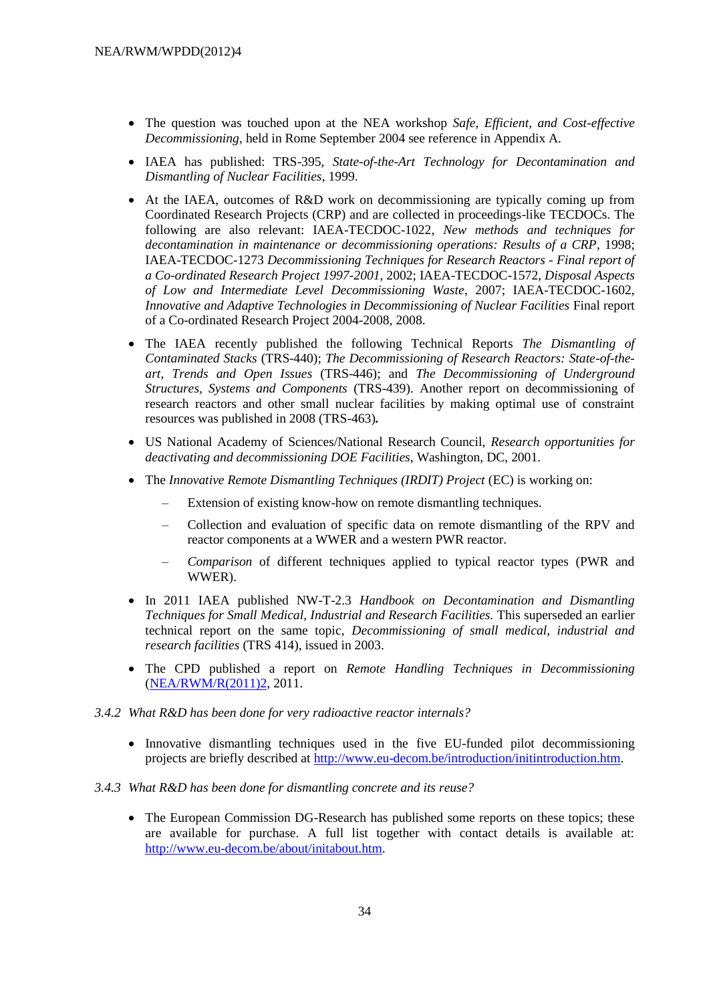- The question was touched upon at the NEA workshop *Safe, Efficient, and Cost-effective Decommissioning*, held in Rome September 2004 see reference in Appendix A.
- IAEA has published: TRS-395, *State-of-the-Art Technology for Decontamination and Dismantling of Nuclear Facilities*, 1999.
- At the IAEA, outcomes of R&D work on decommissioning are typically coming up from Coordinated Research Projects (CRP) and are collected in proceedings-like TECDOCs. The following are also relevant: IAEA-TECDOC-1022, *New methods and techniques for decontamination in maintenance or decommissioning operations: Results of a CRP*, 1998; IAEA-TECDOC-1273 *Decommissioning Techniques for Research Reactors - Final report of a Co-ordinated Research Project 1997-2001*, 2002; IAEA-TECDOC-1572, *Disposal Aspects of Low and Intermediate Level Decommissioning Waste*, 2007; IAEA-TECDOC-1602, *Innovative and Adaptive Technologies in Decommissioning of Nuclear Facilities* Final report of a Co-ordinated Research Project 2004-2008, 2008.
- The IAEA recently published the following Technical Reports *The Dismantling of Contaminated Stacks* (TRS-440); *The Decommissioning of Research Reactors: State-of-theart, Trends and Open Issues* (TRS-446); and *The Decommissioning of Underground Structures, Systems and Components* (TRS-439). Another report on decommissioning of research reactors and other small nuclear facilities by making optimal use of constraint resources was published in 2008 (TRS-463)*.*
- US National Academy of Sciences/National Research Council, *Research opportunities for deactivating and decommissioning DOE Facilities*, Washington, DC, 2001.
- The *Innovative Remote Dismantling Techniques (IRDIT) Project* (EC) is working on:
	- Extension of existing know-how on remote dismantling techniques.
	- Collection and evaluation of specific data on remote dismantling of the RPV and reactor components at a WWER and a western PWR reactor.
	- *Comparison* of different techniques applied to typical reactor types (PWR and WWER).
- In 2011 IAEA published NW-T-2.3 *Handbook on Decontamination and Dismantling Techniques for Small Medical, Industrial and Research Facilities.* This superseded an earlier technical report on the same topic, *Decommissioning of small medical, industrial and research facilities* (TRS 414), issued in 2003.
- The CPD published a report on *Remote Handling Techniques in Decommissioning* [\(NEA/RWM/R\(2011\)2,](http://www2.oecd.org/oecdinfo/info.aspx?app=OLIScoteEN&Ref=NEA/RWM/R(2011)2) 2011.
- *3.4.2 What R&D has been done for very radioactive reactor internals?*
	- Innovative dismantling techniques used in the five EU-funded pilot decommissioning projects are briefly described at [http://www.eu-decom.be/introduction/initintroduction.htm.](http://www.eu-decom.be/introduction/initintroduction.htm)
- *3.4.3 What R&D has been done for dismantling concrete and its reuse?* 
	- The European Commission DG-Research has published some reports on these topics; these are available for purchase. A full list together with contact details is available at: [http://www.eu-decom.be/about/initabout.htm.](http://www.eu-decom.be/about/initabout.htm)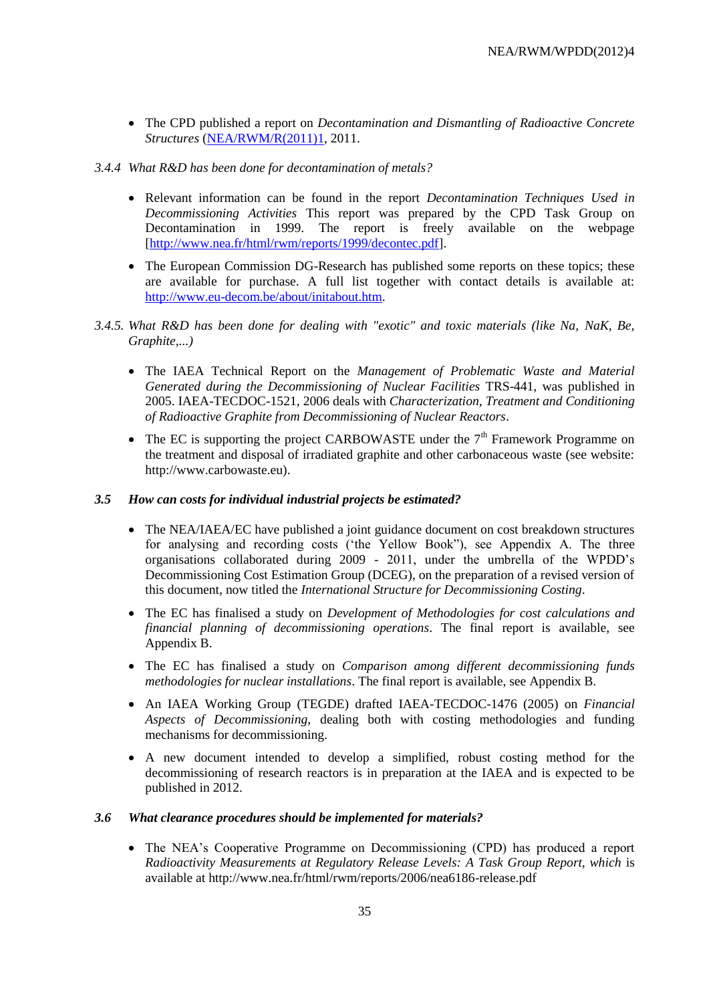- The CPD published a report on *Decontamination and Dismantling of Radioactive Concrete Structures* [\(NEA/RWM/R\(2011\)1,](http://www2.oecd.org/oecdinfo/info.aspx?app=OLIScoteEN&Ref=NEA/RWM/R(2011)1) 2011.
- *3.4.4 What R&D has been done for decontamination of metals?*
	- Relevant information can be found in the report *Decontamination Techniques Used in Decommissioning Activities* This report was prepared by the CPD Task Group on Decontamination in 1999. The report is freely available on the webpage [\[http://www.nea.fr/html/rwm/reports/1999/decontec.pdf\]](http://www.nea.fr/html/rwm/reports/1999/decontec.pdf).
	- The European Commission DG-Research has published some reports on these topics; these are available for purchase. A full list together with contact details is available at: [http://www.eu-decom.be/about/initabout.htm.](http://www.eu-decom.be/about/initabout.htm)
- *3.4.5. What R&D has been done for dealing with "exotic" and toxic materials (like Na, NaK, Be, Graphite,...)*
	- The IAEA Technical Report on the *Management of Problematic Waste and Material Generated during the Decommissioning of Nuclear Facilities* TRS-441, was published in 2005. IAEA-TECDOC-1521, 2006 deals with *Characterization, Treatment and Conditioning of Radioactive Graphite from Decommissioning of Nuclear Reactors*.
	- The EC is supporting the project CARBOWASTE under the  $7<sup>th</sup>$  Framework Programme on the treatment and disposal of irradiated graphite and other carbonaceous waste (see website: http://www.carbowaste.eu).

### *3.5 How can costs for individual industrial projects be estimated?*

- The NEA/IAEA/EC have published a joint guidance document on cost breakdown structures for analysing and recording costs ("the Yellow Book"), see Appendix A. The three organisations collaborated during 2009 - 2011, under the umbrella of the WPDD"s Decommissioning Cost Estimation Group (DCEG), on the preparation of a revised version of this document, now titled the *International Structure for Decommissioning Costing*.
- The EC has finalised a study on *Development of Methodologies for cost calculations and financial planning of decommissioning operations*. The final report is available, see Appendix B.
- The EC has finalised a study on *Comparison among different decommissioning funds methodologies for nuclear installations*. The final report is available, see Appendix B.
- An IAEA Working Group (TEGDE) drafted IAEA-TECDOC-1476 (2005) on *Financial Aspects of Decommissioning,* dealing both with costing methodologies and funding mechanisms for decommissioning.
- A new document intended to develop a simplified, robust costing method for the decommissioning of research reactors is in preparation at the IAEA and is expected to be published in 2012.

### *3.6 What clearance procedures should be implemented for materials?*

 The NEA"s Cooperative Programme on Decommissioning (CPD) has produced a report *Radioactivity Measurements at Regulatory Release Levels: A Task Group Report, which* is available at http://www.nea.fr/html/rwm/reports/2006/nea6186-release.pdf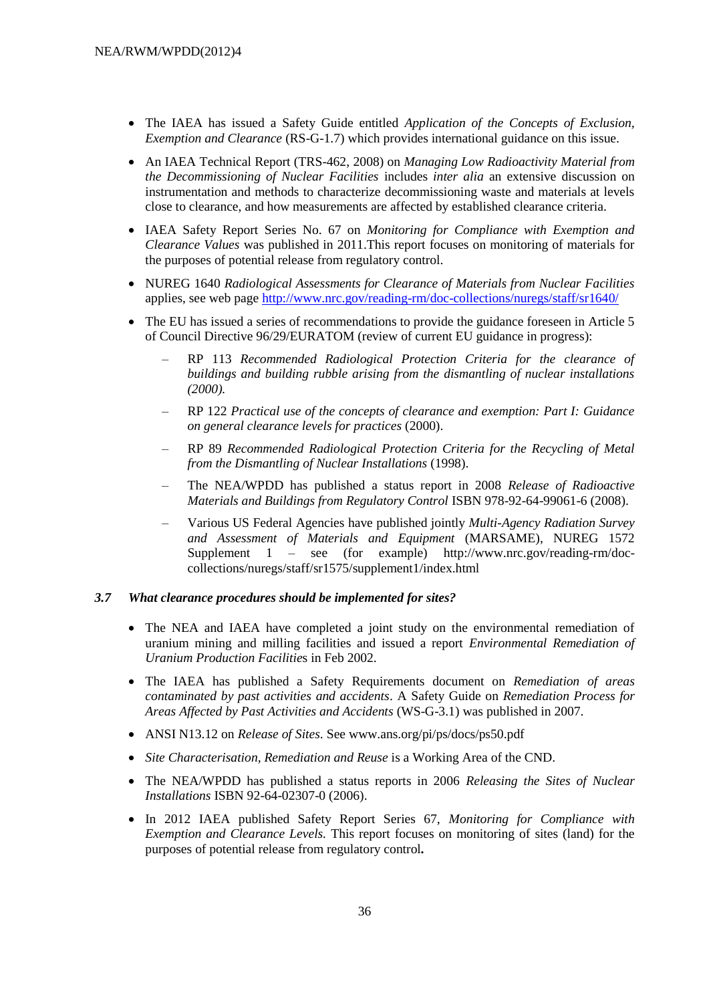- The IAEA has issued a Safety Guide entitled *Application of the Concepts of Exclusion, Exemption and Clearance* (RS-G-1.7) which provides international guidance on this issue.
- An IAEA Technical Report (TRS-462, 2008) on *Managing Low Radioactivity Material from the Decommissioning of Nuclear Facilities* includes *inter alia* an extensive discussion on instrumentation and methods to characterize decommissioning waste and materials at levels close to clearance, and how measurements are affected by established clearance criteria.
- IAEA Safety Report Series No. 67 on *Monitoring for Compliance with Exemption and Clearance Values* was published in 2011.This report focuses on monitoring of materials for the purposes of potential release from regulatory control*.*
- NUREG 1640 *Radiological Assessments for Clearance of Materials from Nuclear Facilities* applies, see web page<http://www.nrc.gov/reading-rm/doc-collections/nuregs/staff/sr1640/>
- The EU has issued a series of recommendations to provide the guidance foreseen in Article 5 of Council Directive 96/29/EURATOM (review of current EU guidance in progress):
	- RP 113 *Recommended Radiological Protection Criteria for the clearance of buildings and building rubble arising from the dismantling of nuclear installations (2000).*
	- RP 122 *Practical use of the concepts of clearance and exemption: Part I: Guidance on general clearance levels for practices* (2000).
	- RP 89 *Recommended Radiological Protection Criteria for the Recycling of Metal from the Dismantling of Nuclear Installations* (1998).
	- The NEA/WPDD has published a status report in 2008 *Release of Radioactive Materials and Buildings from Regulatory Control* ISBN 978-92-64-99061-6 (2008).
	- Various US Federal Agencies have published jointly *Multi-Agency Radiation Survey and Assessment of Materials and Equipment* (MARSAME), NUREG 1572 Supplement 1 – see (for example) http://www.nrc.gov/reading-rm/doccollections/nuregs/staff/sr1575/supplement1/index.html

### *3.7 What clearance procedures should be implemented for sites?*

- The NEA and IAEA have completed a joint study on the environmental remediation of uranium mining and milling facilities and issued a report *Environmental Remediation of Uranium Production Facilitie*s in Feb 2002.
- The IAEA has published a Safety Requirements document on *Remediation of areas contaminated by past activities and accidents*. A Safety Guide on *Remediation Process for Areas Affected by Past Activities and Accidents* (WS-G-3.1) was published in 2007.
- ANSI N13.12 on *Release of Sites*. See www.ans.org/pi/ps/docs/ps50.pdf
- *Site Characterisation, Remediation and Reuse* is a Working Area of the CND.
- The NEA/WPDD has published a status reports in 2006 *Releasing the Sites of Nuclear Installations* ISBN 92-64-02307-0 (2006).
- In 2012 IAEA published Safety Report Series 67, *Monitoring for Compliance with Exemption and Clearance Levels.* This report focuses on monitoring of sites (land) for the purposes of potential release from regulatory control*.*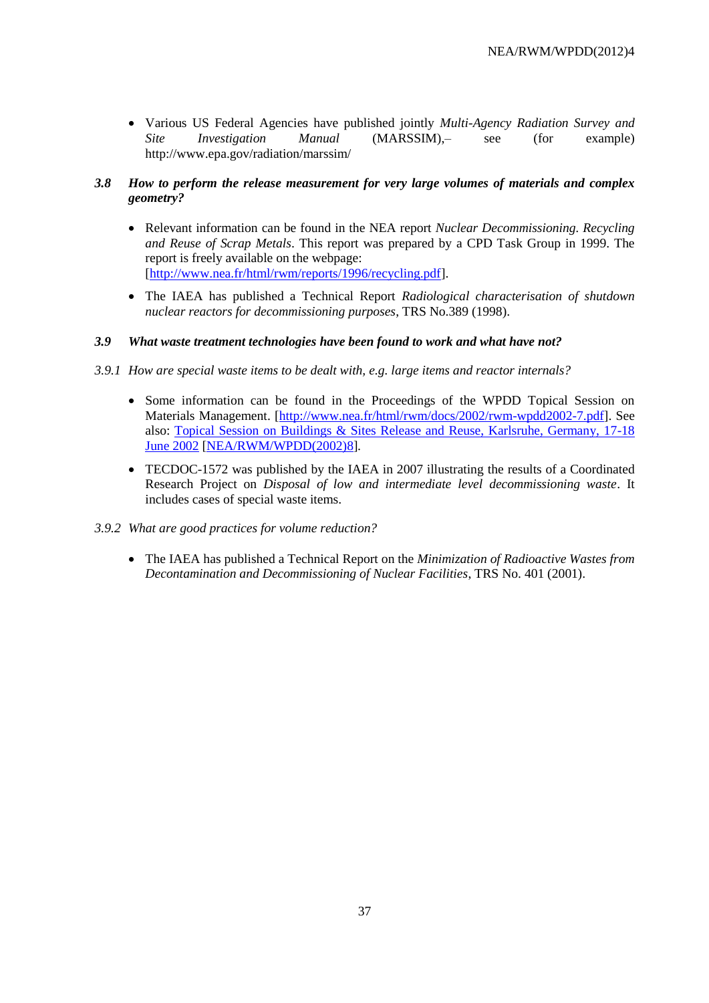Various US Federal Agencies have published jointly *Multi-Agency Radiation Survey and Site Investigation Manual* (MARSSIM),– see (for example) http://www.epa.gov/radiation/marssim/

## *3.8 How to perform the release measurement for very large volumes of materials and complex geometry?*

- Relevant information can be found in the NEA report *Nuclear Decommissioning. Recycling and Reuse of Scrap Metals*. This report was prepared by a CPD Task Group in 1999. The report is freely available on the webpage: [\[http://www.nea.fr/html/rwm/reports/1996/recycling.pdf\]](http://www.nea.fr/html/rwm/reports/1996/recycling.pdf).
- The IAEA has published a Technical Report *Radiological characterisation of shutdown nuclear reactors for decommissioning purposes*, TRS No.389 (1998).

## *3.9 What waste treatment technologies have been found to work and what have not?*

- *3.9.1 How are special waste items to be dealt with, e.g. large items and reactor internals?*
	- Some information can be found in the Proceedings of the WPDD Topical Session on Materials Management. [\[http://www.nea.fr/html/rwm/docs/2002/rwm-wpdd2002-7.pdf\]](http://www.nea.fr/html/rwm/docs/2002/rwm-wpdd2002-7.pdf). See also: Topical Session [on Buildings & Sites Release and Reuse, Karlsruhe, Germany, 17-18](file://192.168.102.97/documents/2002/rwm/rwm-wpdd2002-8.pdf)  [June 2002](file://192.168.102.97/documents/2002/rwm/rwm-wpdd2002-8.pdf) [\[NEA/RWM/WPDD\(2002\)8\]](http://www2.oecd.org/oecdinfo/info.aspx?app=OLIScoteEN&Ref=NEA/RWM/WPDD(2002)8)*.*
	- TECDOC-1572 was published by the IAEA in 2007 illustrating the results of a Coordinated Research Project on *Disposal of low and intermediate level decommissioning waste*. It includes cases of special waste items.
- *3.9.2 What are good practices for volume reduction?*
	- The IAEA has published a Technical Report on the *Minimization of Radioactive Wastes from Decontamination and Decommissioning of Nuclear Facilities*, TRS No. 401 (2001).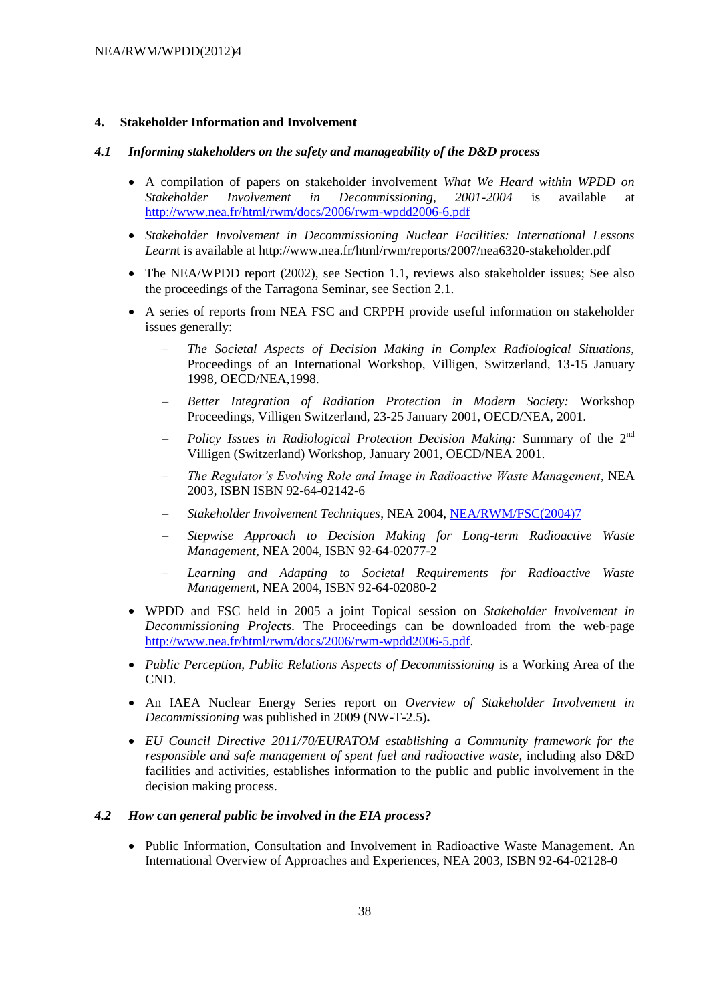## **4. Stakeholder Information and Involvement**

#### *4.1 Informing stakeholders on the safety and manageability of the D&D process*

- A compilation of papers on stakeholder involvement *What We Heard within WPDD on Stakeholder Involvement in Decommissioning, 2001-2004* is available at <http://www.nea.fr/html/rwm/docs/2006/rwm-wpdd2006-6.pdf>
- *Stakeholder Involvement in Decommissioning Nuclear Facilities: International Lessons Learn*t is available at http://www.nea.fr/html/rwm/reports/2007/nea6320-stakeholder.pdf
- The NEA/WPDD report (2002), see Section 1.1, reviews also stakeholder issues; See also the proceedings of the Tarragona Seminar, see Section 2.1.
- A series of reports from NEA FSC and CRPPH provide useful information on stakeholder issues generally:
	- *The Societal Aspects of Decision Making in Complex Radiological Situations,* Proceedings of an International Workshop, Villigen, Switzerland, 13-15 January 1998, OECD/NEA,1998.
	- *Better Integration of Radiation Protection in Modern Society:* Workshop Proceedings, Villigen Switzerland, 23-25 January 2001, OECD/NEA, 2001.
	- *Policy Issues in Radiological Protection Decision Making:* Summary of the 2nd Villigen (Switzerland) Workshop, January 2001, OECD/NEA 2001.
	- *The Regulator's Evolving Role and Image in Radioactive Waste Management*, NEA 2003, ISBN ISBN 92-64-02142-6
	- *Stakeholder Involvement Techniques*, NEA 2004[, NEA/RWM/FSC\(2004\)7](http://www2.oecd.org/oecdinfo/info.aspx?app=OLIScoteEN&Ref=NEA/RWM/FSC(2004)7)
	- *Stepwise Approach to Decision Making for Long-term Radioactive Waste Management*, NEA 2004, ISBN 92-64-02077-2
	- *Learning and Adapting to Societal Requirements for Radioactive Waste Managemen*t, NEA 2004, ISBN 92-64-02080-2
- WPDD and FSC held in 2005 a joint Topical session on *Stakeholder Involvement in Decommissioning Projects*. The Proceedings can be downloaded from the web-page [http://www.nea.fr/html/rwm/docs/2006/rwm-wpdd2006-5.pdf.](http://www.nea.fr/html/rwm/docs/2006/rwm-wpdd2006-5.pdf)
- *Public Perception, Public Relations Aspects of Decommissioning* is a Working Area of the CND.
- An IAEA Nuclear Energy Series report on *Overview of Stakeholder Involvement in Decommissioning* was published in 2009 (NW-T-2.5)**.**
- *EU Council Directive 2011/70/EURATOM establishing a Community framework for the responsible and safe management of spent fuel and radioactive waste*, including also D&D facilities and activities, establishes information to the public and public involvement in the decision making process.

### *4.2 How can general public be involved in the EIA process?*

• Public Information, Consultation and Involvement in Radioactive Waste Management. An International Overview of Approaches and Experiences, NEA 2003, ISBN 92-64-02128-0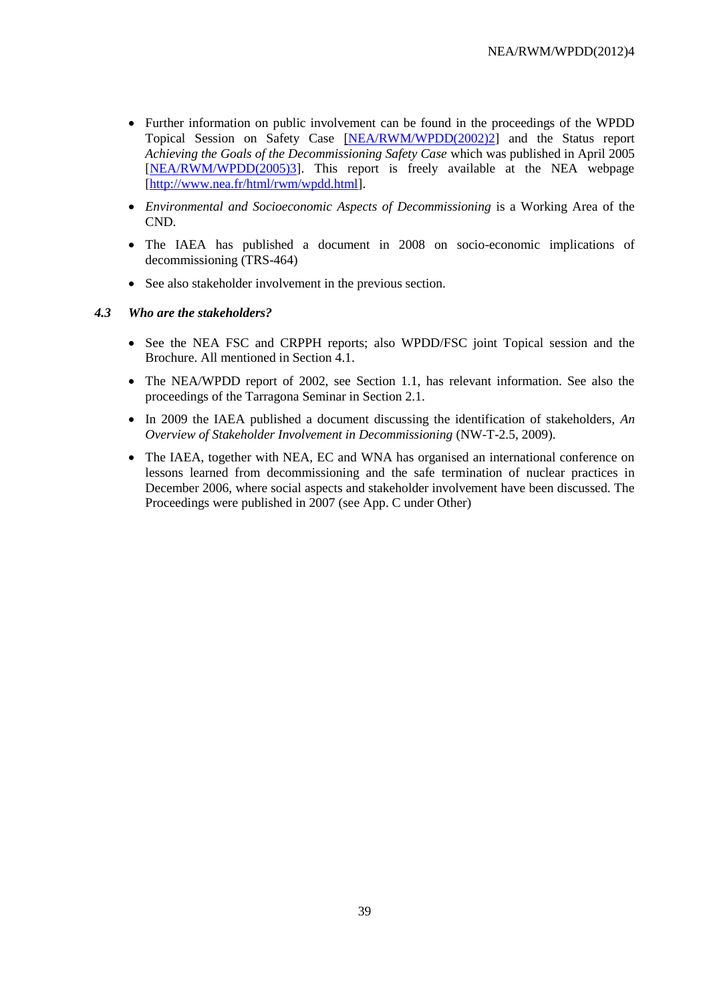- Further information on public involvement can be found in the proceedings of the WPDD Topical Session on Safety Case [\[NEA/RWM/WPDD\(2002\)2\]](http://www2.oecd.org/oecdinfo/info.aspx?app=OLIScoteEN&Ref=NEA/RWM/WPDD(2002)2) and the Status report *Achieving the Goals of the Decommissioning Safety Case* which was published in April 2005 [\[NEA/RWM/WPDD\(2005\)3\]](http://www2.oecd.org/oecdinfo/info.aspx?app=OLIScoteEN&Ref=NEA/RWM/WPDD(2005)3). This report is freely available at the NEA webpage [\[http://www.nea.fr/html/rwm/wpdd.html\]](http://www.nea.fr/html/rwm/wpdd.html).
- *Environmental and Socioeconomic Aspects of Decommissioning* is a Working Area of the CND.
- The IAEA has published a document in 2008 on socio-economic implications of decommissioning (TRS-464)
- See also stakeholder involvement in the previous section.

### *4.3 Who are the stakeholders?*

- See the NEA FSC and CRPPH reports; also WPDD/FSC joint Topical session and the Brochure. All mentioned in Section 4.1.
- The NEA/WPDD report of 2002, see Section 1.1, has relevant information. See also the proceedings of the Tarragona Seminar in Section 2.1.
- In 2009 the IAEA published a document discussing the identification of stakeholders, *An Overview of Stakeholder Involvement in Decommissioning* (NW-T-2.5, 2009).
- The IAEA, together with NEA, EC and WNA has organised an international conference on lessons learned from decommissioning and the safe termination of nuclear practices in December 2006, where social aspects and stakeholder involvement have been discussed. The Proceedings were published in 2007 (see App. C under Other)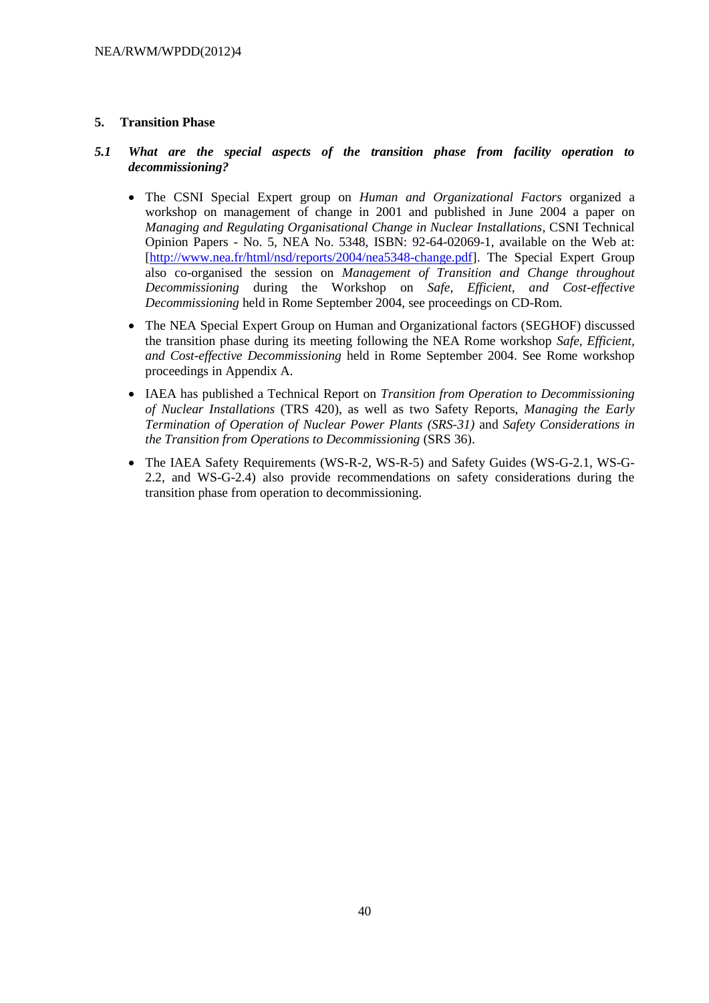## **5. Transition Phase**

## *5.1 What are the special aspects of the transition phase from facility operation to decommissioning?*

- The CSNI Special Expert group on *Human and Organizational Factors* organized a workshop on management of change in 2001 and published in June 2004 a paper on *Managing and Regulating Organisational Change in Nuclear Installations*, CSNI Technical Opinion Papers - No. 5, NEA No. 5348, ISBN: 92-64-02069-1, available on the Web at: [\[http://www.nea.fr/html/nsd/reports/2004/nea5348-change.pdf\]](http://home.nea.fr/html/nsd/reports/2004/nea5348-change.pdf). The Special Expert Group also co-organised the session on *Management of Transition and Change throughout Decommissioning* during the Workshop on *Safe, Efficient, and Cost-effective Decommissioning* held in Rome September 2004, see proceedings on CD-Rom.
- The NEA Special Expert Group on Human and Organizational factors (SEGHOF) discussed the transition phase during its meeting following the NEA Rome workshop *Safe, Efficient, and Cost-effective Decommissioning* held in Rome September 2004. See Rome workshop proceedings in Appendix A.
- IAEA has published a Technical Report on *Transition from Operation to Decommissioning of Nuclear Installations* (TRS 420), as well as two Safety Reports, *Managing the Early Termination of Operation of Nuclear Power Plants (SRS-31)* and *Safety Considerations in the Transition from Operations to Decommissioning* (SRS 36).
- The IAEA Safety Requirements (WS-R-2, WS-R-5) and Safety Guides (WS-G-2.1, WS-G-2.2, and WS-G-2.4) also provide recommendations on safety considerations during the transition phase from operation to decommissioning.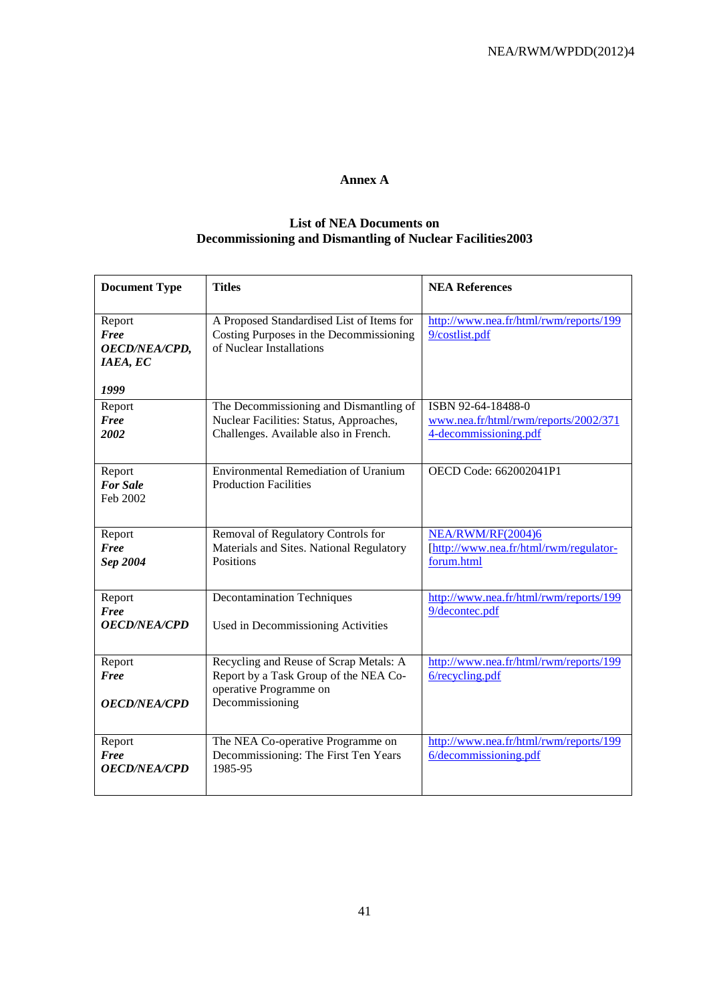# **Annex A**

# **List of NEA Documents on Decommissioning and Dismantling of Nuclear Facilities2003**

| <b>Document Type</b>                                       | <b>Titles</b>                                                                                                                | <b>NEA References</b>                                                               |
|------------------------------------------------------------|------------------------------------------------------------------------------------------------------------------------------|-------------------------------------------------------------------------------------|
| Report<br><b>Free</b><br>OECD/NEA/CPD,<br>IAEA, EC<br>1999 | A Proposed Standardised List of Items for<br>Costing Purposes in the Decommissioning<br>of Nuclear Installations             | http://www.nea.fr/html/rwm/reports/199<br>9/costlist.pdf                            |
| Report<br><b>Free</b><br>2002                              | The Decommissioning and Dismantling of<br>Nuclear Facilities: Status, Approaches,<br>Challenges. Available also in French.   | ISBN 92-64-18488-0<br>www.nea.fr/html/rwm/reports/2002/371<br>4-decommissioning.pdf |
| Report<br><b>For Sale</b><br>Feb 2002                      | <b>Environmental Remediation of Uranium</b><br><b>Production Facilities</b>                                                  | OECD Code: 662002041P1                                                              |
| Report<br><b>Free</b><br>Sep 2004                          | Removal of Regulatory Controls for<br>Materials and Sites. National Regulatory<br>Positions                                  | NEA/RWM/RF(2004)6<br>[http://www.nea.fr/html/rwm/regulator-<br>forum.html           |
| Report<br><b>Free</b><br><b>OECD/NEA/CPD</b>               | <b>Decontamination Techniques</b><br>Used in Decommissioning Activities                                                      | http://www.nea.fr/html/rwm/reports/199<br>9/decontec.pdf                            |
| Report<br><b>Free</b><br><b>OECD/NEA/CPD</b>               | Recycling and Reuse of Scrap Metals: A<br>Report by a Task Group of the NEA Co-<br>operative Programme on<br>Decommissioning | http://www.nea.fr/html/rwm/reports/199<br>$6$ /recycling.pdf                        |
| Report<br><b>Free</b><br><b>OECD/NEA/CPD</b>               | The NEA Co-operative Programme on<br>Decommissioning: The First Ten Years<br>1985-95                                         | http://www.nea.fr/html/rwm/reports/199<br>6/decommissioning.pdf                     |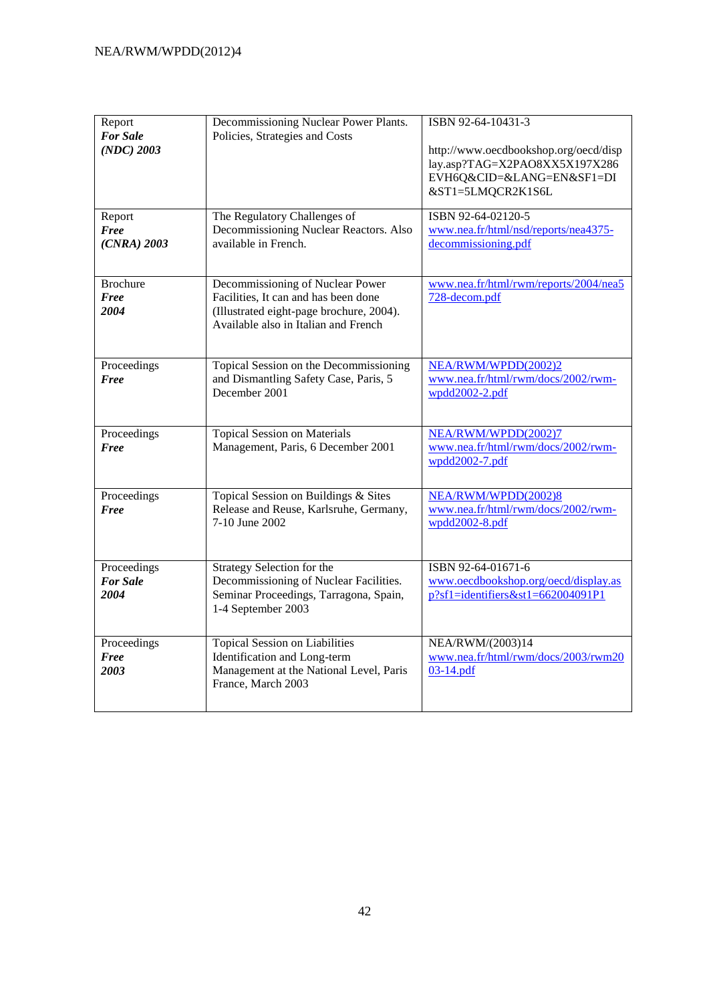| Report<br><b>For Sale</b><br>$(NDC)$ 2003 | Decommissioning Nuclear Power Plants.<br>Policies, Strategies and Costs                                                                                      | ISBN 92-64-10431-3<br>http://www.oecdbookshop.org/oecd/disp<br>lay.asp?TAG=X2PAO8XX5X197X286<br>EVH6Q&CID=&LANG=EN&SF1=DI<br>&ST1=5LMQCR2K1S6L |
|-------------------------------------------|--------------------------------------------------------------------------------------------------------------------------------------------------------------|------------------------------------------------------------------------------------------------------------------------------------------------|
| Report<br><b>Free</b><br>$(CNRA)$ 2003    | The Regulatory Challenges of<br>Decommissioning Nuclear Reactors. Also<br>available in French.                                                               | ISBN 92-64-02120-5<br>www.nea.fr/html/nsd/reports/nea4375-<br>decommissioning.pdf                                                              |
| <b>Brochure</b><br><b>Free</b><br>2004    | Decommissioning of Nuclear Power<br>Facilities, It can and has been done<br>(Illustrated eight-page brochure, 2004).<br>Available also in Italian and French | www.nea.fr/html/rwm/reports/2004/nea5<br>728-decom.pdf                                                                                         |
| Proceedings<br><b>Free</b>                | Topical Session on the Decommissioning<br>and Dismantling Safety Case, Paris, 5<br>December 2001                                                             | NEA/RWM/WPDD(2002)2<br>www.nea.fr/html/rwm/docs/2002/rwm-<br>wpdd2002-2.pdf                                                                    |
| Proceedings<br><b>Free</b>                | <b>Topical Session on Materials</b><br>Management, Paris, 6 December 2001                                                                                    | NEA/RWM/WPDD(2002)7<br>www.nea.fr/html/rwm/docs/2002/rwm-<br>wpdd2002-7.pdf                                                                    |
| Proceedings<br><b>Free</b>                | Topical Session on Buildings & Sites<br>Release and Reuse, Karlsruhe, Germany,<br>7-10 June 2002                                                             | NEA/RWM/WPDD(2002)8<br>www.nea.fr/html/rwm/docs/2002/rwm-<br>wpdd2002-8.pdf                                                                    |
| Proceedings<br><b>For Sale</b><br>2004    | Strategy Selection for the<br>Decommissioning of Nuclear Facilities.<br>Seminar Proceedings, Tarragona, Spain,<br>1-4 September 2003                         | ISBN 92-64-01671-6<br>www.oecdbookshop.org/oecd/display.as<br>$p?sfl = identifiers&st1=662004091P1$                                            |
| Proceedings<br><b>Free</b><br>2003        | Topical Session on Liabilities<br>Identification and Long-term<br>Management at the National Level, Paris<br>France, March 2003                              | NEA/RWM/(2003)14<br>www.nea.fr/html/rwm/docs/2003/rwm20<br>03-14.pdf                                                                           |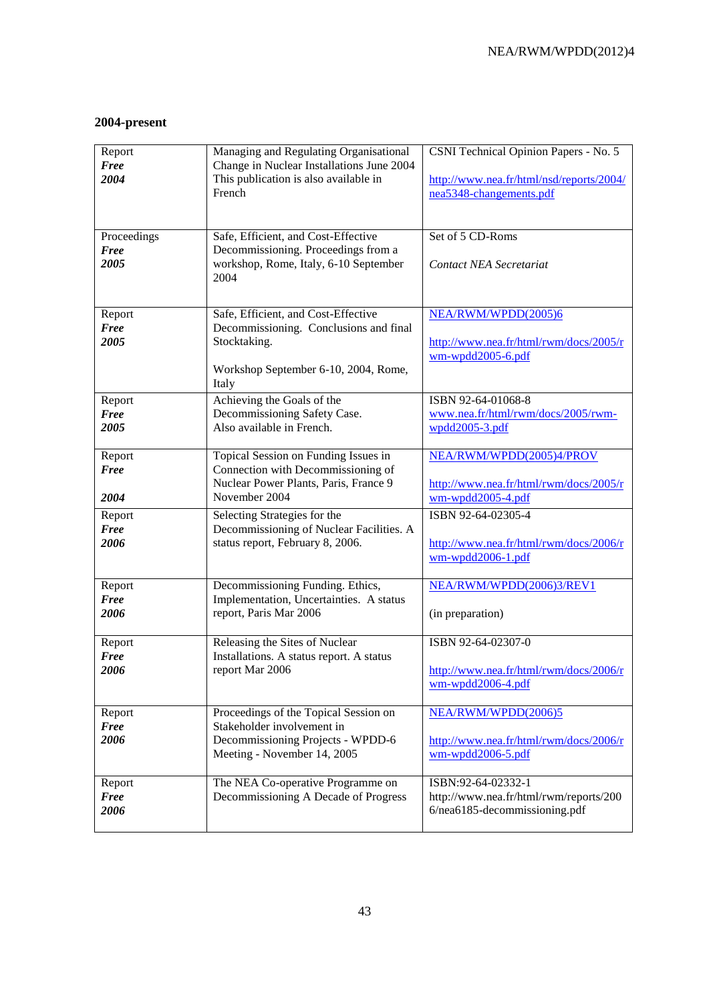# **2004-present**

| Report<br><b>Free</b><br>2004      | Managing and Regulating Organisational<br>Change in Nuclear Installations June 2004<br>This publication is also available in<br>French         | CSNI Technical Opinion Papers - No. 5<br>http://www.nea.fr/html/nsd/reports/2004/<br>nea5348-changements.pdf |
|------------------------------------|------------------------------------------------------------------------------------------------------------------------------------------------|--------------------------------------------------------------------------------------------------------------|
| Proceedings<br><b>Free</b><br>2005 | Safe, Efficient, and Cost-Effective<br>Decommissioning. Proceedings from a<br>workshop, Rome, Italy, 6-10 September<br>2004                    | Set of 5 CD-Roms<br>Contact NEA Secretariat                                                                  |
| Report<br><b>Free</b><br>2005      | Safe, Efficient, and Cost-Effective<br>Decommissioning. Conclusions and final<br>Stocktaking.<br>Workshop September 6-10, 2004, Rome,<br>Italy | NEA/RWM/WPDD(2005)6<br>http://www.nea.fr/html/rwm/docs/2005/r<br>wm-wpdd2005-6.pdf                           |
| Report<br><b>Free</b><br>2005      | Achieving the Goals of the<br>Decommissioning Safety Case.<br>Also available in French.                                                        | ISBN 92-64-01068-8<br>www.nea.fr/html/rwm/docs/2005/rwm-<br>wpdd2005-3.pdf                                   |
| Report<br><b>Free</b><br>2004      | Topical Session on Funding Issues in<br>Connection with Decommissioning of<br>Nuclear Power Plants, Paris, France 9<br>November 2004           | NEA/RWM/WPDD(2005)4/PROV<br>http://www.nea.fr/html/rwm/docs/2005/r<br>wm-wpdd2005-4.pdf                      |
| Report<br><b>Free</b><br>2006      | Selecting Strategies for the<br>Decommissioning of Nuclear Facilities. A<br>status report, February 8, 2006.                                   | ISBN 92-64-02305-4<br>http://www.nea.fr/html/rwm/docs/2006/r<br>wm-wpdd2006-1.pdf                            |
| Report<br><b>Free</b><br>2006      | Decommissioning Funding. Ethics,<br>Implementation, Uncertainties. A status<br>report, Paris Mar 2006                                          | NEA/RWM/WPDD(2006)3/REV1<br>(in preparation)                                                                 |
| Report<br><b>Free</b><br>2006      | Releasing the Sites of Nuclear<br>Installations. A status report. A status<br>report Mar 2006                                                  | ISBN 92-64-02307-0<br>http://www.nea.fr/html/rwm/docs/2006/r<br>wm-wpdd2006-4.pdf                            |
| Report<br><b>Free</b><br>2006      | Proceedings of the Topical Session on<br>Stakeholder involvement in<br>Decommissioning Projects - WPDD-6<br>Meeting - November 14, 2005        | NEA/RWM/WPDD(2006)5<br>http://www.nea.fr/html/rwm/docs/2006/r<br>wm-wpdd2006-5.pdf                           |
| Report<br><b>Free</b><br>2006      | The NEA Co-operative Programme on<br>Decommissioning A Decade of Progress                                                                      | ISBN:92-64-02332-1<br>http://www.nea.fr/html/rwm/reports/200<br>6/nea6185-decommissioning.pdf                |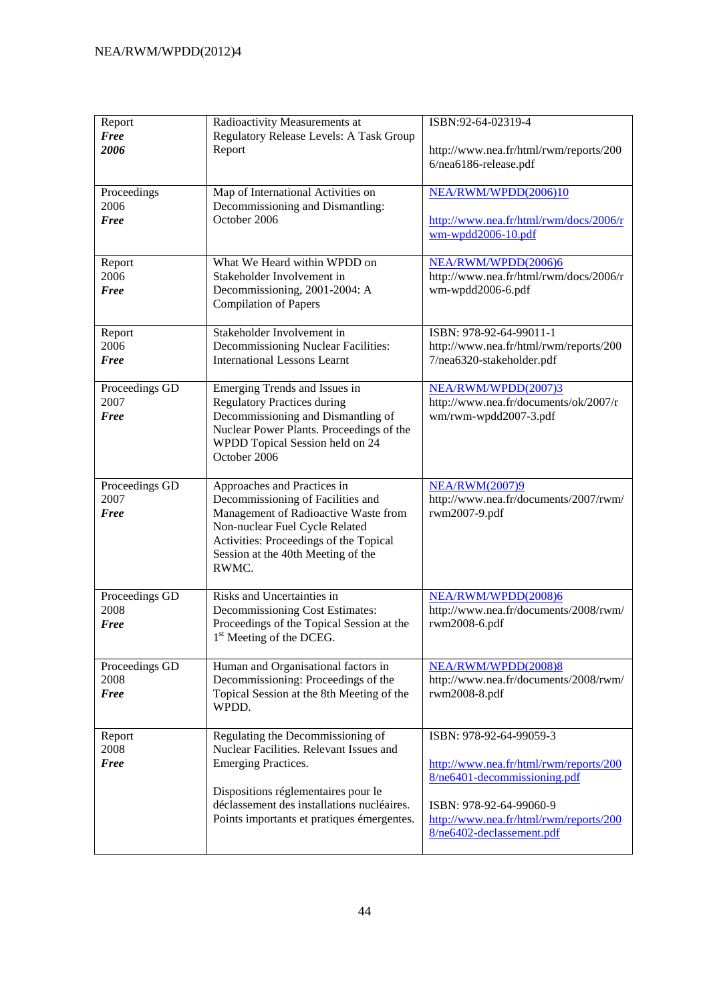| Report                        | Radioactivity Measurements at                                                                                        | ISBN:92-64-02319-4                                                                             |
|-------------------------------|----------------------------------------------------------------------------------------------------------------------|------------------------------------------------------------------------------------------------|
| <b>Free</b>                   | Regulatory Release Levels: A Task Group                                                                              |                                                                                                |
| 2006                          | Report                                                                                                               | http://www.nea.fr/html/rwm/reports/200<br>6/nea6186-release.pdf                                |
| Proceedings                   | Map of International Activities on                                                                                   | NEA/RWM/WPDD(2006)10                                                                           |
| 2006<br><b>Free</b>           | Decommissioning and Dismantling:<br>October 2006                                                                     | http://www.nea.fr/html/rwm/docs/2006/r<br>wm-wpdd2006-10.pdf                                   |
| Report                        | What We Heard within WPDD on                                                                                         | NEA/RWM/WPDD(2006)6                                                                            |
| 2006<br><b>Free</b>           | Stakeholder Involvement in<br>Decommissioning, 2001-2004: A<br><b>Compilation of Papers</b>                          | http://www.nea.fr/html/rwm/docs/2006/r<br>wm-wpdd2006-6.pdf                                    |
| Report<br>2006<br><b>Free</b> | Stakeholder Involvement in<br>Decommissioning Nuclear Facilities:<br><b>International Lessons Learnt</b>             | ISBN: 978-92-64-99011-1<br>http://www.nea.fr/html/rwm/reports/200<br>7/nea6320-stakeholder.pdf |
|                               |                                                                                                                      |                                                                                                |
| Proceedings GD<br>2007        | Emerging Trends and Issues in<br><b>Regulatory Practices during</b>                                                  | NEA/RWM/WPDD(2007)3<br>http://www.nea.fr/documents/ok/2007/r                                   |
| <b>Free</b>                   | Decommissioning and Dismantling of                                                                                   | wm/rwm-wpdd2007-3.pdf                                                                          |
|                               | Nuclear Power Plants. Proceedings of the<br>WPDD Topical Session held on 24<br>October 2006                          |                                                                                                |
| Proceedings GD<br>2007        | Approaches and Practices in                                                                                          | <b>NEA/RWM(2007)9</b>                                                                          |
| <b>Free</b>                   | Decommissioning of Facilities and<br>Management of Radioactive Waste from                                            | http://www.nea.fr/documents/2007/rwm/<br>rwm2007-9.pdf                                         |
|                               | Non-nuclear Fuel Cycle Related<br>Activities: Proceedings of the Topical                                             |                                                                                                |
|                               | Session at the 40th Meeting of the<br>RWMC.                                                                          |                                                                                                |
| Proceedings GD                | Risks and Uncertainties in                                                                                           | NEA/RWM/WPDD(2008)6                                                                            |
| 2008<br><b>Free</b>           | Decommissioning Cost Estimates:<br>Proceedings of the Topical Session at the<br>1 <sup>st</sup> Meeting of the DCEG. | http://www.nea.fr/documents/2008/rwm/<br>rwm2008-6.pdf                                         |
| Proceedings GD                | Human and Organisational factors in                                                                                  | NEA/RWM/WPDD(2008)8                                                                            |
| 2008<br><b>Free</b>           | Decommissioning: Proceedings of the<br>Topical Session at the 8th Meeting of the<br>WPDD.                            | http://www.nea.fr/documents/2008/rwm/<br>rwm2008-8.pdf                                         |
| Report                        | Regulating the Decommissioning of                                                                                    | ISBN: 978-92-64-99059-3                                                                        |
| 2008<br><b>Free</b>           | Nuclear Facilities. Relevant Issues and<br>Emerging Practices.                                                       | http://www.nea.fr/html/rwm/reports/200<br>$8/ne6401$ -decommissioning.pdf                      |
|                               | Dispositions réglementaires pour le                                                                                  |                                                                                                |
|                               | déclassement des installations nucléaires.<br>Points importants et pratiques émergentes.                             | ISBN: 978-92-64-99060-9<br>http://www.nea.fr/html/rwm/reports/200<br>8/ne6402-declassement.pdf |
|                               |                                                                                                                      |                                                                                                |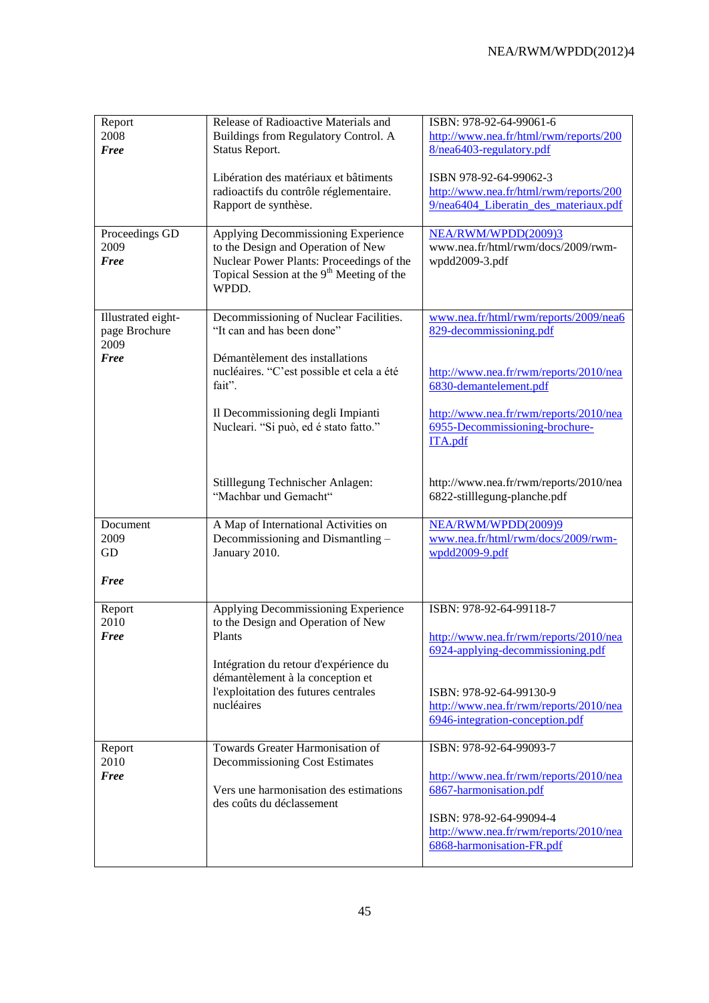| Report<br>2008<br><b>Free</b><br>Proceedings GD            | Release of Radioactive Materials and<br>Buildings from Regulatory Control. A<br>Status Report.<br>Libération des matériaux et bâtiments<br>radioactifs du contrôle réglementaire.<br>Rapport de synthèse.<br>Applying Decommissioning Experience | ISBN: 978-92-64-99061-6<br>http://www.nea.fr/html/rwm/reports/200<br>8/nea6403-regulatory.pdf<br>ISBN 978-92-64-99062-3<br>http://www.nea.fr/html/rwm/reports/200<br>9/nea6404_Liberatin_des_materiaux.pdf<br>NEA/RWM/WPDD(2009)3 |
|------------------------------------------------------------|--------------------------------------------------------------------------------------------------------------------------------------------------------------------------------------------------------------------------------------------------|-----------------------------------------------------------------------------------------------------------------------------------------------------------------------------------------------------------------------------------|
| 2009<br><b>Free</b>                                        | to the Design and Operation of New<br>Nuclear Power Plants: Proceedings of the<br>Topical Session at the 9 <sup>th</sup> Meeting of the<br>WPDD.                                                                                                 | www.nea.fr/html/rwm/docs/2009/rwm-<br>wpdd2009-3.pdf                                                                                                                                                                              |
| Illustrated eight-<br>page Brochure<br>2009<br><b>Free</b> | Decommissioning of Nuclear Facilities.<br>"It can and has been done"<br>Démantèlement des installations<br>nucléaires. "C'est possible et cela a été<br>fait".<br>Il Decommissioning degli Impianti<br>Nucleari. "Si può, ed é stato fatto."     | www.nea.fr/html/rwm/reports/2009/nea6<br>829-decommissioning.pdf<br>http://www.nea.fr/rwm/reports/2010/nea<br>6830-demantelement.pdf<br>http://www.nea.fr/rwm/reports/2010/nea<br>6955-Decommissioning-brochure-<br>ITA.pdf       |
|                                                            | Stilllegung Technischer Anlagen:<br>"Machbar und Gemacht"                                                                                                                                                                                        | http://www.nea.fr/rwm/reports/2010/nea<br>6822-stilllegung-planche.pdf                                                                                                                                                            |
| Document<br>2009<br>GD<br><b>Free</b>                      | A Map of International Activities on<br>Decommissioning and Dismantling -<br>January 2010.                                                                                                                                                       | NEA/RWM/WPDD(2009)9<br>www.nea.fr/html/rwm/docs/2009/rwm-<br>wpdd2009-9.pdf                                                                                                                                                       |
| Report<br>2010<br><b>Free</b>                              | Applying Decommissioning Experience<br>to the Design and Operation of New<br>Plants<br>Intégration du retour d'expérience du<br>démantèlement à la conception et<br>l'exploitation des futures centrales<br>nucléaires                           | ISBN: 978-92-64-99118-7<br>http://www.nea.fr/rwm/reports/2010/nea<br><u>6924-applying-decommissioning.pdf</u><br>ISBN: 978-92-64-99130-9<br>http://www.nea.fr/rwm/reports/2010/nea<br>6946-integration-conception.pdf             |
| Report<br>2010<br><b>Free</b>                              | Towards Greater Harmonisation of<br>Decommissioning Cost Estimates<br>Vers une harmonisation des estimations<br>des coûts du déclassement                                                                                                        | ISBN: 978-92-64-99093-7<br>http://www.nea.fr/rwm/reports/2010/nea<br>6867-harmonisation.pdf<br>ISBN: 978-92-64-99094-4<br>http://www.nea.fr/rwm/reports/2010/nea<br>6868-harmonisation-FR.pdf                                     |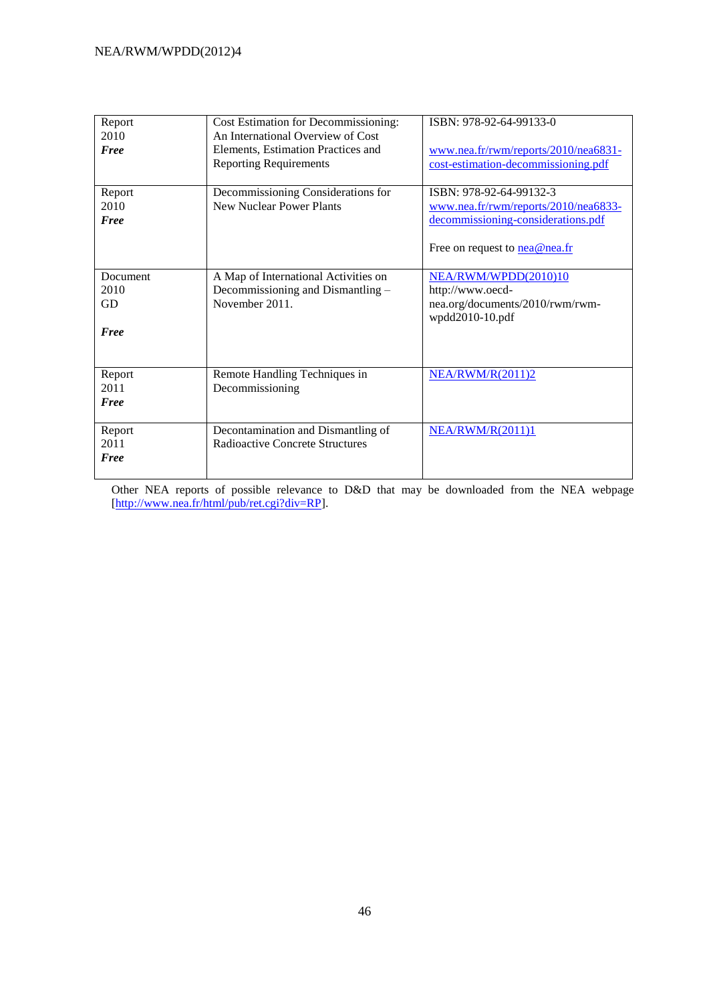| Report<br>2010<br><b>Free</b>         | Cost Estimation for Decommissioning:<br>An International Overview of Cost<br>Elements, Estimation Practices and<br><b>Reporting Requirements</b> | ISBN: 978-92-64-99133-0<br>www.nea.fr/rwm/reports/2010/nea6831-<br>cost-estimation-decommissioning.pdf                                    |
|---------------------------------------|--------------------------------------------------------------------------------------------------------------------------------------------------|-------------------------------------------------------------------------------------------------------------------------------------------|
| Report<br>2010<br><b>Free</b>         | Decommissioning Considerations for<br><b>New Nuclear Power Plants</b>                                                                            | ISBN: 978-92-64-99132-3<br>www.nea.fr/rwm/reports/2010/nea6833-<br>decommissioning-considerations.pdf<br>Free on request to $n$ ea@nea.fr |
| Document<br>2010<br>GD<br><b>Free</b> | A Map of International Activities on<br>Decommissioning and Dismantling -<br>November 2011.                                                      | NEA/RWM/WPDD(2010)10<br>http://www.oecd-<br>nea.org/documents/2010/rwm/rwm-<br>wpdd2010-10.pdf                                            |
| Report<br>2011<br><b>Free</b>         | Remote Handling Techniques in<br>Decommissioning                                                                                                 | <b>NEA/RWM/R(2011)2</b>                                                                                                                   |
| Report<br>2011<br><b>Free</b>         | Decontamination and Dismantling of<br>Radioactive Concrete Structures                                                                            | <b>NEA/RWM/R(2011)1</b>                                                                                                                   |

Other NEA reports of possible relevance to D&D that may be downloaded from the NEA webpage [\[http://www.nea.fr/html/pub/ret.cgi?div=RP\]](http://www.nea.fr/html/pub/ret.cgi?div=RP).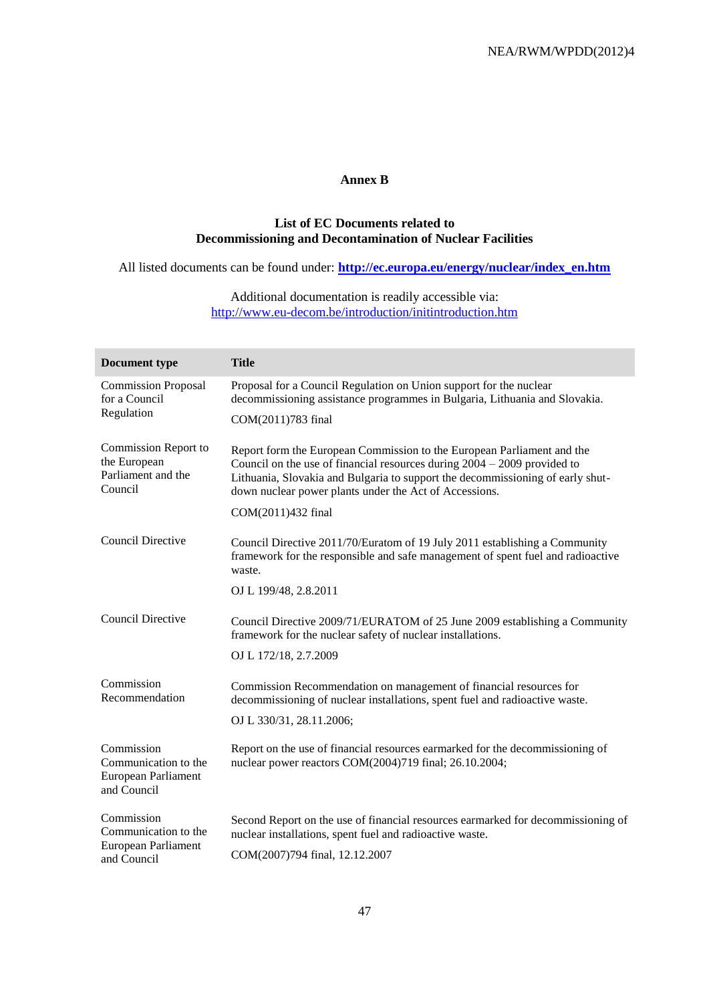## **Annex B**

## **List of EC Documents related to Decommissioning and Decontamination of Nuclear Facilities**

All listed documents can be found under: **[http://ec.europa.eu/energy/nuclear/index\\_en.htm](http://ec.europa.eu/energy/nuclear/index_en.htm)**

#### Additional documentation is readily accessible via: <http://www.eu-decom.be/introduction/initintroduction.htm>

| Document type                                                            | <b>Title</b>                                                                                                                                                                                                                                                                                     |
|--------------------------------------------------------------------------|--------------------------------------------------------------------------------------------------------------------------------------------------------------------------------------------------------------------------------------------------------------------------------------------------|
| <b>Commission Proposal</b><br>for a Council                              | Proposal for a Council Regulation on Union support for the nuclear<br>decommissioning assistance programmes in Bulgaria, Lithuania and Slovakia.                                                                                                                                                 |
| Regulation                                                               | COM(2011)783 final                                                                                                                                                                                                                                                                               |
| Commission Report to<br>the European<br>Parliament and the<br>Council    | Report form the European Commission to the European Parliament and the<br>Council on the use of financial resources during $2004 - 2009$ provided to<br>Lithuania, Slovakia and Bulgaria to support the decommissioning of early shut-<br>down nuclear power plants under the Act of Accessions. |
|                                                                          | COM(2011)432 final                                                                                                                                                                                                                                                                               |
| <b>Council Directive</b>                                                 | Council Directive 2011/70/Euratom of 19 July 2011 establishing a Community<br>framework for the responsible and safe management of spent fuel and radioactive<br>waste.                                                                                                                          |
|                                                                          | OJ L 199/48, 2.8.2011                                                                                                                                                                                                                                                                            |
| <b>Council Directive</b>                                                 | Council Directive 2009/71/EURATOM of 25 June 2009 establishing a Community<br>framework for the nuclear safety of nuclear installations.                                                                                                                                                         |
|                                                                          | OJ L 172/18, 2.7.2009                                                                                                                                                                                                                                                                            |
| Commission<br>Recommendation                                             | Commission Recommendation on management of financial resources for<br>decommissioning of nuclear installations, spent fuel and radioactive waste.                                                                                                                                                |
|                                                                          | OJ L 330/31, 28.11.2006;                                                                                                                                                                                                                                                                         |
| Commission<br>Communication to the<br>European Parliament<br>and Council | Report on the use of financial resources earmarked for the decommissioning of<br>nuclear power reactors COM(2004)719 final; 26.10.2004;                                                                                                                                                          |
| Commission<br>Communication to the                                       | Second Report on the use of financial resources earmarked for decommissioning of<br>nuclear installations, spent fuel and radioactive waste.                                                                                                                                                     |
| European Parliament<br>and Council                                       | COM(2007)794 final, 12.12.2007                                                                                                                                                                                                                                                                   |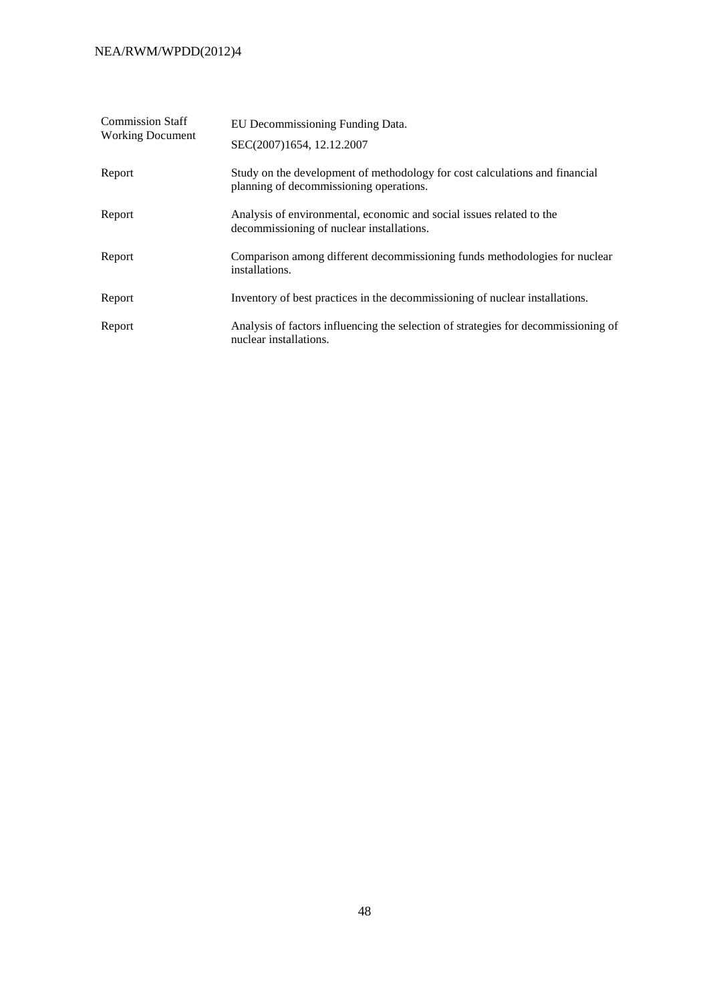| <b>Commission Staff</b><br><b>Working Document</b> | EU Decommissioning Funding Data.                                                                                       |  |
|----------------------------------------------------|------------------------------------------------------------------------------------------------------------------------|--|
|                                                    | SEC(2007)1654, 12.12.2007                                                                                              |  |
| Report                                             | Study on the development of methodology for cost calculations and financial<br>planning of decommissioning operations. |  |
| Report                                             | Analysis of environmental, economic and social issues related to the<br>decommissioning of nuclear installations.      |  |
| Report                                             | Comparison among different decommissioning funds methodologies for nuclear<br>installations.                           |  |
| Report                                             | Inventory of best practices in the decommissioning of nuclear installations.                                           |  |
| Report                                             | Analysis of factors influencing the selection of strategies for decommissioning of<br>nuclear installations.           |  |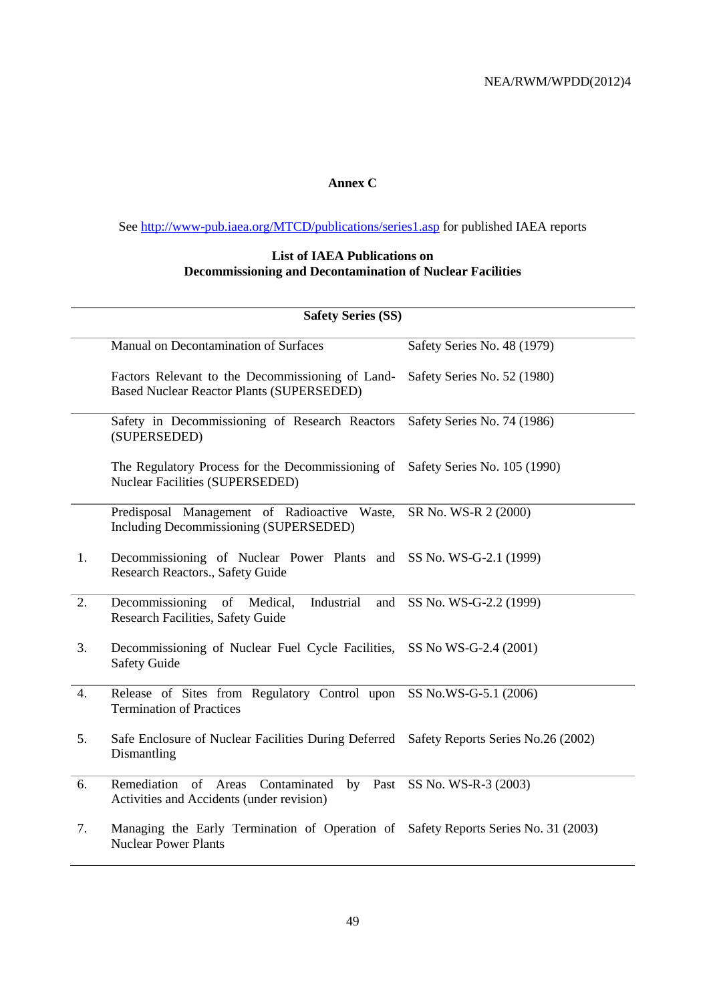# **Annex C**

See<http://www-pub.iaea.org/MTCD/publications/series1.asp> for published IAEA reports

# **List of IAEA Publications on Decommissioning and Decontamination of Nuclear Facilities**

|    | <b>Safety Series (SS)</b>                                                                                         |                              |  |
|----|-------------------------------------------------------------------------------------------------------------------|------------------------------|--|
|    | Manual on Decontamination of Surfaces                                                                             | Safety Series No. 48 (1979)  |  |
|    | Factors Relevant to the Decommissioning of Land-<br><b>Based Nuclear Reactor Plants (SUPERSEDED)</b>              | Safety Series No. 52 (1980)  |  |
|    | Safety in Decommissioning of Research Reactors<br>(SUPERSEDED)                                                    | Safety Series No. 74 (1986)  |  |
|    | The Regulatory Process for the Decommissioning of<br><b>Nuclear Facilities (SUPERSEDED)</b>                       | Safety Series No. 105 (1990) |  |
|    | Predisposal Management of Radioactive Waste,<br>Including Decommissioning (SUPERSEDED)                            | SR No. WS-R 2 (2000)         |  |
| 1. | Decommissioning of Nuclear Power Plants and SS No. WS-G-2.1 (1999)<br>Research Reactors., Safety Guide            |                              |  |
| 2. | Decommissioning<br>Industrial<br>of<br>Medical,<br>and<br>Research Facilities, Safety Guide                       | SS No. WS-G-2.2 (1999)       |  |
| 3. | Decommissioning of Nuclear Fuel Cycle Facilities,<br><b>Safety Guide</b>                                          | SS No WS-G-2.4 (2001)        |  |
| 4. | Release of Sites from Regulatory Control upon<br><b>Termination of Practices</b>                                  | SS No.WS-G-5.1 (2006)        |  |
| 5. | Safe Enclosure of Nuclear Facilities During Deferred Safety Reports Series No.26 (2002)<br>Dismantling            |                              |  |
| 6. | Contaminated by Past<br>of<br>Remediation<br>Areas<br>Activities and Accidents (under revision)                   | SS No. WS-R-3 (2003)         |  |
| 7. | Managing the Early Termination of Operation of Safety Reports Series No. 31 (2003)<br><b>Nuclear Power Plants</b> |                              |  |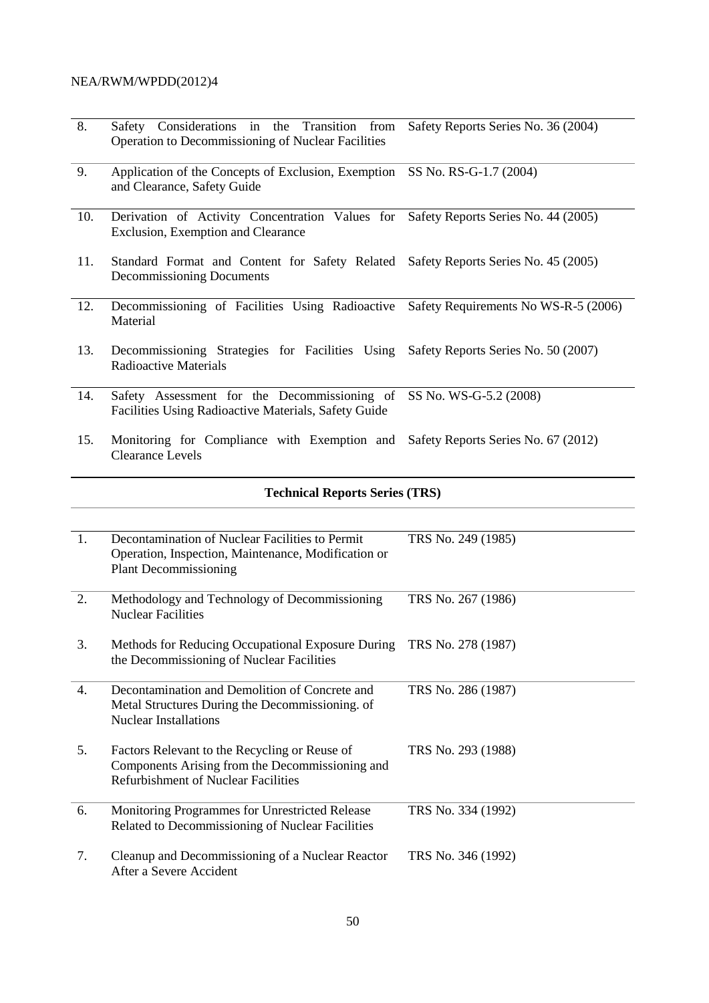- 8. Safety Considerations in the Transition from Safety Reports Series No. 36 (2004) Operation to Decommissioning of Nuclear Facilities
- 9. Application of the Concepts of Exclusion, Exemption SS No. RS-G-1.7 (2004) and Clearance, Safety Guide
- 10. Derivation of Activity Concentration Values for Safety Reports Series No. 44 (2005) Exclusion, Exemption and Clearance
- 11. Standard Format and Content for Safety Related Safety Reports Series No. 45 (2005) Decommissioning Documents
- 12. Decommissioning of Facilities Using Radioactive Material Safety Requirements No WS-R-5 (2006)
- 13. Decommissioning Strategies for Facilities Using Safety Reports Series No. 50 (2007) Radioactive Materials
- 14. Safety Assessment for the Decommissioning of Facilities Using Radioactive Materials, Safety Guide SS No. WS-G-5.2 (2008)
- 15. Monitoring for Compliance with Exemption and Safety Reports Series No. 67 (2012) Clearance Levels

#### **Technical Reports Series (TRS)**

| 1. | Decontamination of Nuclear Facilities to Permit<br>Operation, Inspection, Maintenance, Modification or<br><b>Plant Decommissioning</b>         | TRS No. 249 (1985) |
|----|------------------------------------------------------------------------------------------------------------------------------------------------|--------------------|
| 2. | Methodology and Technology of Decommissioning<br><b>Nuclear Facilities</b>                                                                     | TRS No. 267 (1986) |
| 3. | Methods for Reducing Occupational Exposure During<br>the Decommissioning of Nuclear Facilities                                                 | TRS No. 278 (1987) |
| 4. | Decontamination and Demolition of Concrete and<br>Metal Structures During the Decommissioning. of<br><b>Nuclear Installations</b>              | TRS No. 286 (1987) |
| 5. | Factors Relevant to the Recycling or Reuse of<br>Components Arising from the Decommissioning and<br><b>Refurbishment of Nuclear Facilities</b> | TRS No. 293 (1988) |
| 6. | Monitoring Programmes for Unrestricted Release<br>Related to Decommissioning of Nuclear Facilities                                             | TRS No. 334 (1992) |
| 7. | Cleanup and Decommissioning of a Nuclear Reactor<br>After a Severe Accident                                                                    | TRS No. 346 (1992) |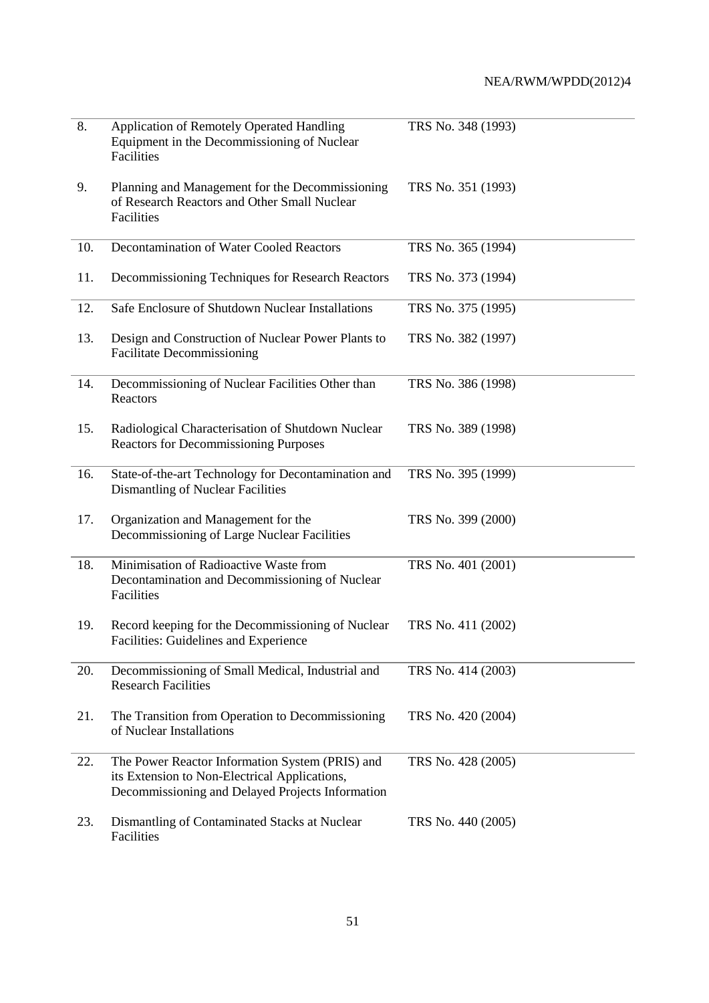| 8.  | <b>Application of Remotely Operated Handling</b><br>Equipment in the Decommissioning of Nuclear<br>Facilities                                        | TRS No. 348 (1993) |
|-----|------------------------------------------------------------------------------------------------------------------------------------------------------|--------------------|
| 9.  | Planning and Management for the Decommissioning<br>of Research Reactors and Other Small Nuclear<br>Facilities                                        | TRS No. 351 (1993) |
| 10. | Decontamination of Water Cooled Reactors                                                                                                             | TRS No. 365 (1994) |
| 11. | Decommissioning Techniques for Research Reactors                                                                                                     | TRS No. 373 (1994) |
| 12. | Safe Enclosure of Shutdown Nuclear Installations                                                                                                     | TRS No. 375 (1995) |
| 13. | Design and Construction of Nuclear Power Plants to<br><b>Facilitate Decommissioning</b>                                                              | TRS No. 382 (1997) |
| 14. | Decommissioning of Nuclear Facilities Other than<br>Reactors                                                                                         | TRS No. 386 (1998) |
| 15. | Radiological Characterisation of Shutdown Nuclear<br><b>Reactors for Decommissioning Purposes</b>                                                    | TRS No. 389 (1998) |
| 16. | State-of-the-art Technology for Decontamination and<br>Dismantling of Nuclear Facilities                                                             | TRS No. 395 (1999) |
| 17. | Organization and Management for the<br>Decommissioning of Large Nuclear Facilities                                                                   | TRS No. 399 (2000) |
| 18. | Minimisation of Radioactive Waste from<br>Decontamination and Decommissioning of Nuclear<br>Facilities                                               | TRS No. 401 (2001) |
| 19. | Record keeping for the Decommissioning of Nuclear<br>Facilities: Guidelines and Experience                                                           | TRS No. 411 (2002) |
| 20. | Decommissioning of Small Medical, Industrial and<br><b>Research Facilities</b>                                                                       | TRS No. 414 (2003) |
| 21. | The Transition from Operation to Decommissioning<br>of Nuclear Installations                                                                         | TRS No. 420 (2004) |
| 22. | The Power Reactor Information System (PRIS) and<br>its Extension to Non-Electrical Applications,<br>Decommissioning and Delayed Projects Information | TRS No. 428 (2005) |
| 23. | Dismantling of Contaminated Stacks at Nuclear<br>Facilities                                                                                          | TRS No. 440 (2005) |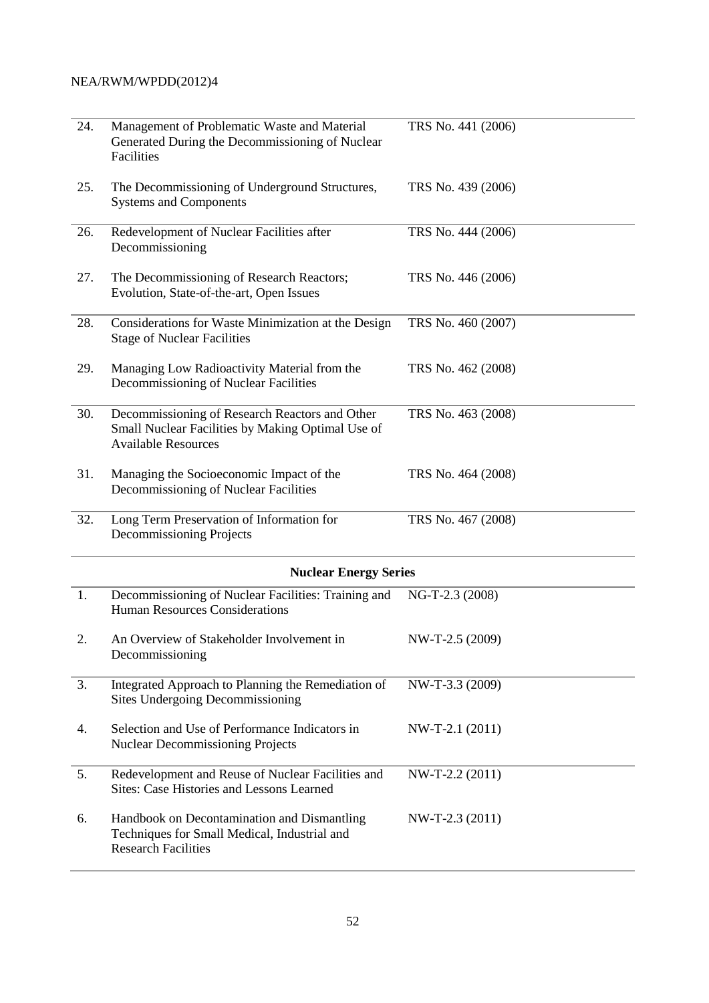| 24. | Management of Problematic Waste and Material<br>Generated During the Decommissioning of Nuclear<br>Facilities                     | TRS No. 441 (2006) |
|-----|-----------------------------------------------------------------------------------------------------------------------------------|--------------------|
| 25. | The Decommissioning of Underground Structures,<br><b>Systems and Components</b>                                                   | TRS No. 439 (2006) |
| 26. | Redevelopment of Nuclear Facilities after<br>Decommissioning                                                                      | TRS No. 444 (2006) |
| 27. | The Decommissioning of Research Reactors;<br>Evolution, State-of-the-art, Open Issues                                             | TRS No. 446 (2006) |
| 28. | Considerations for Waste Minimization at the Design<br><b>Stage of Nuclear Facilities</b>                                         | TRS No. 460 (2007) |
| 29. | Managing Low Radioactivity Material from the<br>Decommissioning of Nuclear Facilities                                             | TRS No. 462 (2008) |
| 30. | Decommissioning of Research Reactors and Other<br>Small Nuclear Facilities by Making Optimal Use of<br><b>Available Resources</b> | TRS No. 463 (2008) |
| 31. | Managing the Socioeconomic Impact of the<br>Decommissioning of Nuclear Facilities                                                 | TRS No. 464 (2008) |
| 32. | Long Term Preservation of Information for<br>Decommissioning Projects                                                             | TRS No. 467 (2008) |
|     | <b>Nuclear Energy Series</b>                                                                                                      |                    |
| 1.  | Decommissioning of Nuclear Facilities: Training and<br><b>Human Resources Considerations</b>                                      | NG-T-2.3 (2008)    |
| 2.  | An Overview of Stakeholder Involvement in<br>Decommissioning                                                                      | NW-T-2.5 (2009)    |
| 3.  | Integrated Approach to Planning the Remediation of<br><b>Sites Undergoing Decommissioning</b>                                     | NW-T-3.3 (2009)    |
| 4.  | Selection and Use of Performance Indicators in<br><b>Nuclear Decommissioning Projects</b>                                         | NW-T-2.1 (2011)    |
| 5.  | Redevelopment and Reuse of Nuclear Facilities and<br>Sites: Case Histories and Lessons Learned                                    | NW-T-2.2 (2011)    |
| 6.  | Handbook on Decontamination and Dismantling<br>Techniques for Small Medical, Industrial and<br><b>Research Facilities</b>         | NW-T-2.3 (2011)    |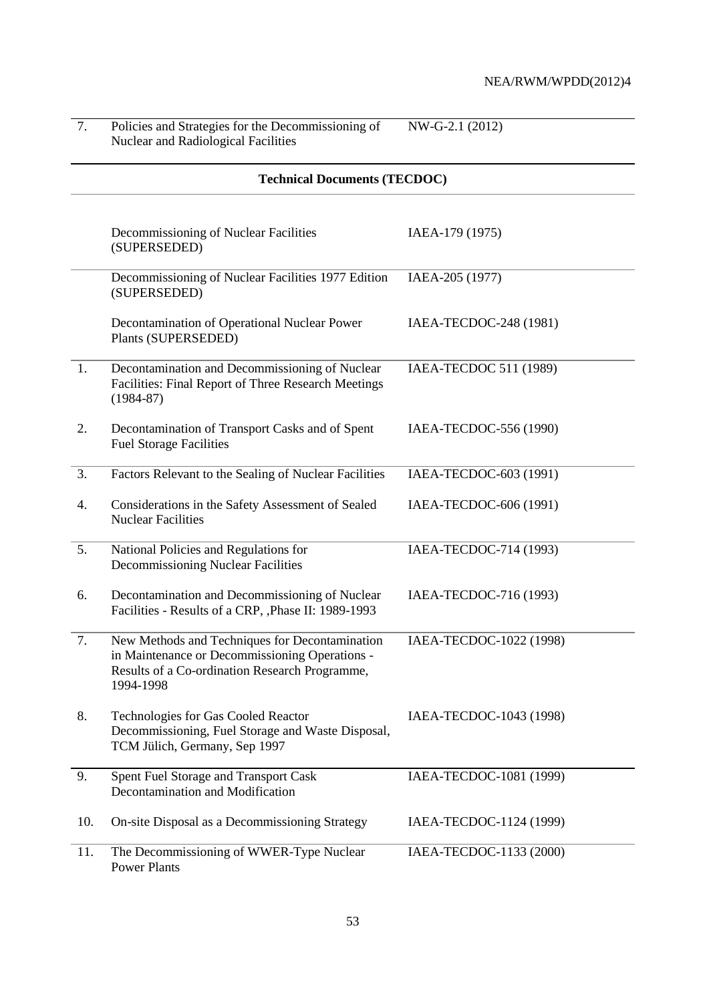| 7.  | Policies and Strategies for the Decommissioning of<br><b>Nuclear and Radiological Facilities</b>                                                              | NW-G-2.1 (2012)         |  |
|-----|---------------------------------------------------------------------------------------------------------------------------------------------------------------|-------------------------|--|
|     | <b>Technical Documents (TECDOC)</b>                                                                                                                           |                         |  |
|     | Decommissioning of Nuclear Facilities<br>(SUPERSEDED)                                                                                                         | IAEA-179 (1975)         |  |
|     | Decommissioning of Nuclear Facilities 1977 Edition<br>(SUPERSEDED)                                                                                            | IAEA-205 (1977)         |  |
|     | Decontamination of Operational Nuclear Power<br>Plants (SUPERSEDED)                                                                                           | IAEA-TECDOC-248 (1981)  |  |
| 1.  | Decontamination and Decommissioning of Nuclear<br>Facilities: Final Report of Three Research Meetings<br>$(1984 - 87)$                                        | IAEA-TECDOC 511 (1989)  |  |
| 2.  | Decontamination of Transport Casks and of Spent<br><b>Fuel Storage Facilities</b>                                                                             | IAEA-TECDOC-556 (1990)  |  |
| 3.  | Factors Relevant to the Sealing of Nuclear Facilities                                                                                                         | IAEA-TECDOC-603 (1991)  |  |
| 4.  | Considerations in the Safety Assessment of Sealed<br><b>Nuclear Facilities</b>                                                                                | IAEA-TECDOC-606 (1991)  |  |
| 5.  | National Policies and Regulations for<br><b>Decommissioning Nuclear Facilities</b>                                                                            | IAEA-TECDOC-714 (1993)  |  |
| 6.  | Decontamination and Decommissioning of Nuclear<br>Facilities - Results of a CRP, , Phase II: 1989-1993                                                        | IAEA-TECDOC-716 (1993)  |  |
| 7.  | New Methods and Techniques for Decontamination<br>in Maintenance or Decommissioning Operations<br>Results of a Co-ordination Research Programme,<br>1994-1998 | IAEA-TECDOC-1022 (1998) |  |
| 8.  | <b>Technologies for Gas Cooled Reactor</b><br>Decommissioning, Fuel Storage and Waste Disposal,<br>TCM Jülich, Germany, Sep 1997                              | IAEA-TECDOC-1043 (1998) |  |
| 9.  | Spent Fuel Storage and Transport Cask<br>Decontamination and Modification                                                                                     | IAEA-TECDOC-1081 (1999) |  |
| 10. | On-site Disposal as a Decommissioning Strategy                                                                                                                | IAEA-TECDOC-1124 (1999) |  |
| 11. | The Decommissioning of WWER-Type Nuclear<br><b>Power Plants</b>                                                                                               | IAEA-TECDOC-1133 (2000) |  |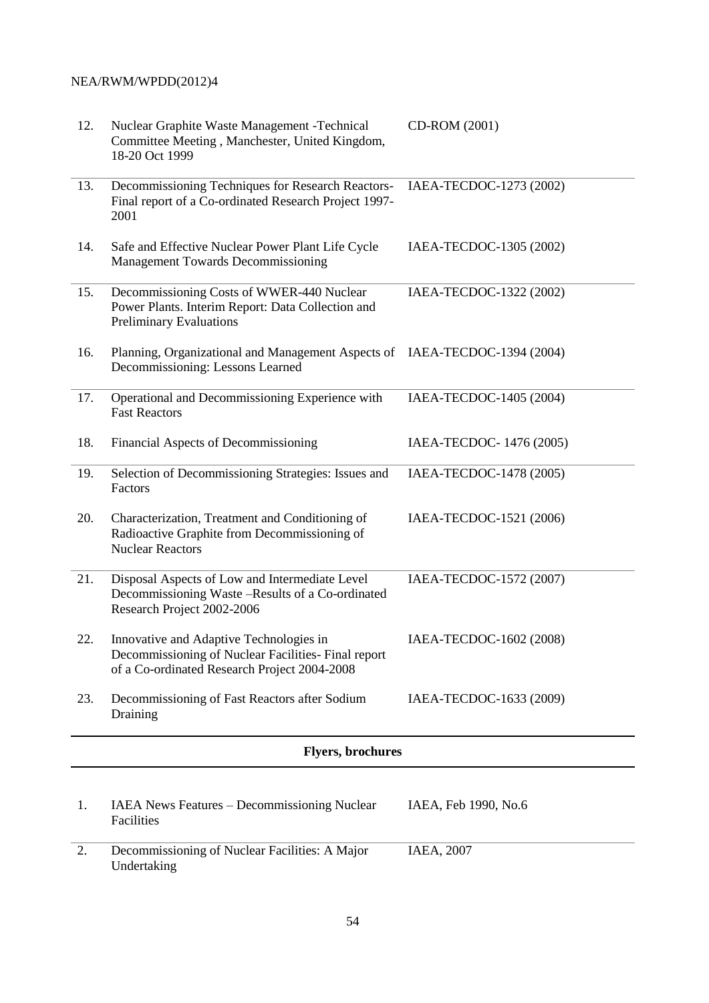| 12. | Nuclear Graphite Waste Management - Technical<br>Committee Meeting, Manchester, United Kingdom,<br>18-20 Oct 1999                              | CD-ROM (2001)           |
|-----|------------------------------------------------------------------------------------------------------------------------------------------------|-------------------------|
| 13. | Decommissioning Techniques for Research Reactors-<br>Final report of a Co-ordinated Research Project 1997-<br>2001                             | IAEA-TECDOC-1273 (2002) |
| 14. | Safe and Effective Nuclear Power Plant Life Cycle<br><b>Management Towards Decommissioning</b>                                                 | IAEA-TECDOC-1305 (2002) |
| 15. | Decommissioning Costs of WWER-440 Nuclear<br>Power Plants. Interim Report: Data Collection and<br><b>Preliminary Evaluations</b>               | IAEA-TECDOC-1322 (2002) |
| 16. | Planning, Organizational and Management Aspects of<br>Decommissioning: Lessons Learned                                                         | IAEA-TECDOC-1394 (2004) |
| 17. | Operational and Decommissioning Experience with<br><b>Fast Reactors</b>                                                                        | IAEA-TECDOC-1405 (2004) |
| 18. | Financial Aspects of Decommissioning                                                                                                           | IAEA-TECDOC-1476 (2005) |
| 19. | Selection of Decommissioning Strategies: Issues and<br>Factors                                                                                 | IAEA-TECDOC-1478 (2005) |
| 20. | Characterization, Treatment and Conditioning of<br>Radioactive Graphite from Decommissioning of<br><b>Nuclear Reactors</b>                     | IAEA-TECDOC-1521 (2006) |
| 21. | Disposal Aspects of Low and Intermediate Level<br>Decommissioning Waste -Results of a Co-ordinated<br>Research Project 2002-2006               | IAEA-TECDOC-1572 (2007) |
| 22. | Innovative and Adaptive Technologies in<br>Decommissioning of Nuclear Facilities- Final report<br>of a Co-ordinated Research Project 2004-2008 | IAEA-TECDOC-1602 (2008) |
| 23. | Decommissioning of Fast Reactors after Sodium<br>Draining                                                                                      | IAEA-TECDOC-1633 (2009) |
|     | <b>Flyers, brochures</b>                                                                                                                       |                         |
|     |                                                                                                                                                |                         |
| 1.  | IAEA News Features - Decommissioning Nuclear<br>Facilities                                                                                     | IAEA, Feb 1990, No.6    |
| 2.  | Decommissioning of Nuclear Facilities: A Major<br>Undertaking                                                                                  | IAEA, 2007              |